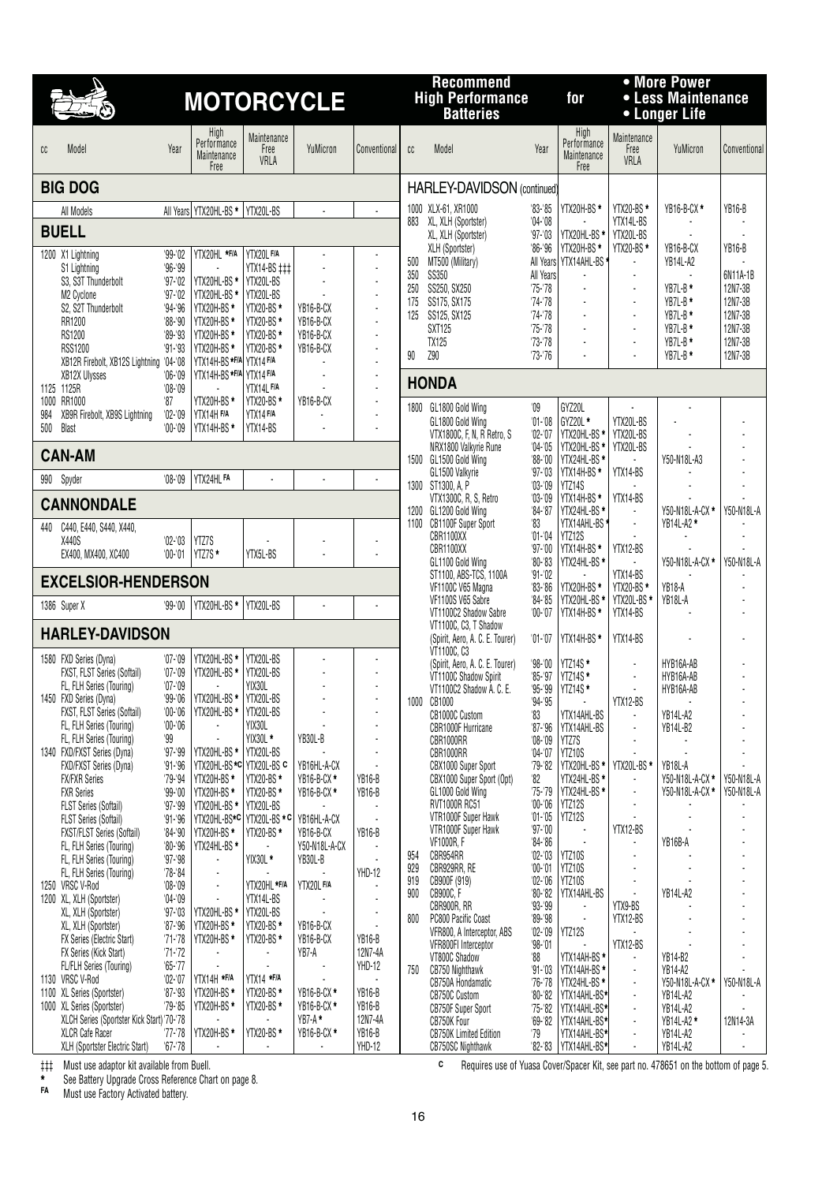|                                                               |                             |                                            |                                          | <b>MOTORCYCLE</b>          |                                                      |            | <b>Recommend</b><br><b>High Performance</b><br><b>Batteries</b>         |                             | for                                        |                                  | • More Power<br>• Less Maintenance<br>• Longer Life |                          |
|---------------------------------------------------------------|-----------------------------|--------------------------------------------|------------------------------------------|----------------------------|------------------------------------------------------|------------|-------------------------------------------------------------------------|-----------------------------|--------------------------------------------|----------------------------------|-----------------------------------------------------|--------------------------|
| Model<br>cc                                                   | Year                        | High<br>Performance<br>Maintenance<br>Free | Maintenance<br>Free<br>VRLA              | YuMicron                   | Conventional                                         | cc         | Model                                                                   | Year                        | High<br>Performance<br>Maintenance<br>Free | Maintenance<br>Free<br>VRLA      | YuMicron                                            | Conventional             |
| <b>BIG DOG</b>                                                |                             |                                            |                                          |                            |                                                      |            | HARLEY-DAVIDSON (continued)                                             |                             |                                            |                                  |                                                     |                          |
| All Models                                                    |                             | All Years YTX20HL-BS * YTX20L-BS           |                                          |                            | $\overline{\phantom{a}}$                             |            | 1000 XLX-61, XR1000                                                     | $^{\prime}83 - 85$          | YTX20H-BS*                                 | YTX20-BS *                       | YB16-B-CX *                                         | <b>YB16-B</b>            |
| <b>BUELL</b>                                                  |                             |                                            |                                          |                            |                                                      |            | 883 XL, XLH (Sportster)<br>XL, XLH (Sportster)                          | $'04 - 08$<br>$97 - 03$     | YTX20HL-BS*                                | YTX14L-BS<br>YTX20L-BS           |                                                     |                          |
| 1200 X1 Lightning                                             | $99 - 02$                   | YTX20HL *F/A                               | YTX20L F/A                               |                            |                                                      | 500        | XLH (Sportster)<br>MT500 (Military)                                     | $86 - 96$<br>All Years      | YTX20H-BS*<br>YTX14AHL-BS                  | YTX20-BS *                       | YB16-B-CX<br>YB14L-A2                               | <b>YB16-B</b>            |
| S1 Lightning<br>S3. S3T Thunderbolt                           | $96 - 99$<br>$97 - 02$      | YTX20HL-BS *                               | YTX14-BS ###<br>YTX20L-BS                |                            |                                                      | 350        | <b>SS350</b>                                                            | All Years                   |                                            |                                  |                                                     | 6N11A-1B                 |
| M2 Cyclone                                                    | $97 - 02$                   | YTX20HL-BS *                               | YTX20L-BS                                |                            |                                                      | 250<br>175 | SS250, SX250<br>SS175, SX175                                            | $75 - 78$<br>$74 - 78$      | $\blacksquare$                             | $\blacksquare$                   | YB7L-B *<br>$YB7L-B*$                               | 12N7-3B<br>12N7-3B       |
| S2, S2T Thunderbolt<br>RR1200                                 | $94 - 96$<br>$88 - 90$      | YTX20H-BS*<br>YTX20H-BS *                  | YTX20-BS *<br>YTX20-BS*                  | YB16-B-CX<br>YB16-B-CX     | ÷,                                                   | 125        | SS125, SX125                                                            | $74 - 78$                   | $\blacksquare$                             | $\blacksquare$                   | $YB7L-B*$                                           | 12N7-3B                  |
| RS1200                                                        | $89 - 93$                   | YTX20H-BS *                                | YTX20-BS *                               | YB16-B-CX                  | $\overline{\phantom{a}}$                             |            | <b>SXT125</b><br><b>TX125</b>                                           | $75 - 78$<br>$73 - 78$      | $\sim$                                     |                                  | $YB7L-B*$<br>YB7L-B*                                | 12N7-3B<br>12N7-3B       |
| <b>RSS1200</b><br>XB12R Firebolt, XB12S Lightning '04-'08     | $91 - 93$                   | YTX20H-BS*<br>YTX14H-BS *F/A YTX14 F/A     | YTX20-BS *                               | YB16-B-CX                  | $\overline{\phantom{a}}$<br>$\overline{\phantom{a}}$ | 90         | <b>Z90</b>                                                              | $'73 - 76$                  |                                            |                                  | YB7L-B *                                            | 12N7-3B                  |
| XB12X Ulysses                                                 | '06-'09                     | YTX14H-BS *F/A YTX14 F/A                   |                                          |                            | $\blacksquare$                                       |            | <b>HONDA</b>                                                            |                             |                                            |                                  |                                                     |                          |
| 1125 1125R<br>RR1000<br>1000                                  | $'08 - 09$<br>$^{\prime}87$ | YTX20H-BS*                                 | YTX14L F/A<br>YTX20-BS *                 | YB16-B-CX                  | $\overline{\phantom{a}}$                             |            |                                                                         |                             |                                            |                                  |                                                     |                          |
| XB9R Firebolt, XB9S Lightning<br>984                          | $'02 - '09$                 | YTX14H F/A                                 | YTX14 F/A                                |                            | $\overline{a}$                                       |            | 1800 GL1800 Gold Wing<br>GL1800 Gold Wing                               | $^{\prime}09$<br>$'01 - 08$ | GYZ20L<br>GYZ20L *                         | YTX20L-BS                        |                                                     |                          |
| 500<br><b>Blast</b>                                           | $'00 - 09$                  | YTX14H-BS*                                 | YTX14-BS                                 |                            |                                                      |            | VTX1800C, F, N, R Retro, S                                              | $'02 - '07$                 | YTX20HL-BS *                               | YTX20L-BS                        | ÷,                                                  |                          |
| <b>CAN-AM</b>                                                 |                             |                                            |                                          |                            |                                                      |            | NRX1800 Valkyrie Rune<br>1500 GL1500 Gold Wing                          | $'04 - 05$<br>$'88 - '00$   | YTX20HL-BS *<br>YTX24HL-BS*                | YTX20L-BS                        | Y50-N18L-A3                                         |                          |
| 990<br>Spyder                                                 | $'08 - 09$                  | YTX24HL FA                                 |                                          |                            |                                                      |            | GL1500 Valkyrie<br>1300 ST1300, A, P                                    | $97 - 03$<br>$'03 - 09$     | YTX14H-BS*<br>YTZ14S                       | YTX14-BS                         |                                                     |                          |
| <b>CANNONDALE</b>                                             |                             |                                            |                                          |                            |                                                      |            | VTX1300C, R, S, Retro                                                   | $'03 - 09$                  | YTX14H-BS*                                 | YTX14-BS                         |                                                     |                          |
| C440, E440, S440, X440,<br>440                                |                             |                                            |                                          |                            |                                                      |            | 1200 GL1200 Gold Wing<br>1100 CB1100F Super Sport                       | $84 - 87$<br>$^{\prime}83$  | YTX24HL-BS *<br>YTX14AHL-BS                |                                  | Y50-N18L-A-CX *<br>YB14L-A2 *                       | Y50-N18L-A               |
| X440S                                                         | $'02 - 03$                  | YTZ7S                                      |                                          |                            | $\overline{\phantom{a}}$                             |            | CBR1100XX<br>CBR1100XX                                                  | $01 - 04$<br>$97 - 00$      | YTZ12S<br>YTX14H-BS*                       | YTX12-BS                         |                                                     |                          |
| EX400, MX400, XC400                                           | $'00 - 01$                  | YTZ7S*                                     | YTX5L-BS                                 |                            | ÷.                                                   |            | GL1100 Gold Wing                                                        | $80 - 83$                   | YTX24HL-BS *                               |                                  | Y50-N18L-A-CX *                                     | Y50-N18L-A               |
| <b>EXCELSIOR-HENDERSON</b>                                    |                             |                                            |                                          |                            |                                                      |            | ST1100, ABS-TCS, 1100A<br>VF1100C V65 Magna                             | $91 - 02$<br>$83 - 86$      | YTX20H-BS*                                 | YTX14-BS<br>YTX20-BS *           | YB18-A                                              |                          |
| 1386 Super X                                                  | $99 - 00$                   | YTX20HL-BS*                                | YTX20L-BS                                |                            |                                                      |            | VF1100S V65 Sabre<br>VT1100C2 Shadow Sabre                              | $84 - 85$<br>$00 - 07$      | YTX20HL-BS *<br>YTX14H-BS*                 | YTX20L-BS *<br>YTX14-BS          | YB18L-A                                             |                          |
| <b>HARLEY-DAVIDSON</b>                                        |                             |                                            |                                          |                            |                                                      |            | VT1100C, C3, T Shadow<br>(Spirit, Aero, A. C. E. Tourer)<br>VT1100C, C3 | $01 - 07$                   | YTX14H-BS*                                 | YTX14-BS                         |                                                     |                          |
| 1580 FXD Series (Dyna)<br>FXST, FLST Series (Softail)         | $'07 - 09$<br>$'07 - '09$   | YTX20HL-BS *<br>YTX20HL-BS *               | YTX20L-BS<br>YTX20L-BS                   |                            |                                                      |            | (Spirit, Aero, A. C. E. Tourer)                                         | $98 - 00$                   | YTZ14S*                                    |                                  | HYB16A-AB                                           |                          |
| FL, FLH Series (Touring)                                      | $'07 - 09$                  |                                            | YIX30L                                   |                            |                                                      |            | VT1100C Shadow Spirit<br>VT1100C2 Shadow A. C. E.                       | $85 - 97$<br>$95 - 99$      | YTZ14S*<br>YTZ14S*                         | $\blacksquare$<br>$\overline{a}$ | HYB16A-AB<br>HYB16A-AB                              |                          |
| 1450 FXD Series (Dyna)<br>FXST, FLST Series (Softail)         | $99 - 06$<br>$'00 - '06$    | YTX20HL-BS *<br>YTX20HL-BS *               | YTX20L-BS<br>YTX20L-BS                   |                            |                                                      |            | 1000 CB1000<br>CB1000C Custom                                           | $94 - 95$<br>33             | YTX14AHL-BS                                | YTX12-BS<br>$\blacksquare$       | YB14L-A2                                            |                          |
| FL, FLH Series (Touring)                                      | $'00 - '06$                 |                                            | YIX30L                                   |                            |                                                      |            | CBR1000F Hurricane                                                      | $'87 - '96$                 | YTX14AHL-BS                                |                                  | YB14L-B2                                            |                          |
| FL, FLH Series (Touring)<br>1340 FXD/FXST Series (Dyna)       | '99<br>$97 - 99$            | YTX20HL-BS *                               | YIX30L *<br>YTX20L-BS                    | YB30L-B                    | ÷,<br>÷,                                             |            | CBR1000RR<br>CBR1000RR                                                  | $'08 - 09$<br>$'04 - 07$    | YTZ7S<br>YTZ10S                            |                                  |                                                     |                          |
| FXD/FXST Series (Dyna)                                        | $91 - 96$                   | YTX20HL-BS*C YTX20L-BS C                   |                                          | YB16HL-A-CX                |                                                      |            | CBX1000 Super Sport                                                     | $79 - 82$                   | YTX20HL-BS *                               | YTX20L-BS*                       | YB18L-A                                             |                          |
| <b>FX/FXR Series</b><br><b>FXR Series</b>                     | $79 - 94$<br>$99 - 00$      | YTX20H-BS*<br>YTX20H-BS*                   | <b>YTX20-BS*</b><br>YTX20-BS*            | YB16-B-CX *<br>YB16-B-CX * | YB16-B<br>YB16-B                                     |            | CBX1000 Super Sport (Opt)<br>GL1000 Gold Wing                           | '82<br>$75 - 79$            | YTX24HL-BS *<br>YTX24HL-BS *               | $\blacksquare$<br>$\blacksquare$ | Y50-N18L-A-CX *<br>Y50-N18L-A-CX *                  | Y50-N18L-A<br>Y50-N18L-A |
| <b>FLST Series (Softail)</b>                                  | $97 - 99$                   | YTX20HL-BS*                                | YTX20L-BS                                |                            |                                                      |            | <b>RVT1000R RC51</b>                                                    | $'00 - 06$<br>$'01 - 05$    | YTZ12S<br>YTZ12S                           |                                  |                                                     |                          |
| FLST Series (Softail)<br><b>FXST/FLST Series (Softail)</b>    | $91 - 96$<br>$'84 - 90$     | YTX20H-BS *                                | YTX20HL-BS*C YTX20L-BS * C<br>YTX20-BS * | YB16HL-A-CX<br>YB16-B-CX   | YB16-B                                               |            | VTR1000F Super Hawk<br>VTR1000F Super Hawk                              | $97 - 00$                   | $\overline{\phantom{a}}$                   | YTX12-BS                         |                                                     |                          |
| FL, FLH Series (Touring)                                      | $80 - 96$                   | YTX24HL-BS *                               |                                          | Y50-N18L-A-CX              |                                                      | 954        | <b>VF1000R, F</b><br>CBR954RR                                           | $84 - 86$<br>$'02 - 03$     | YTZ10S                                     |                                  | YB16B-A                                             |                          |
| FL, FLH Series (Touring)<br>FL, FLH Series (Touring)          | $97 - 98$<br>$78 - 84$      | $\overline{\phantom{a}}$<br>$\overline{a}$ | YIX30L*                                  | YB30L-B                    | YHD-12                                               | 929        | CBR929RR, RE                                                            | $'00 - '01$                 | YTZ10S                                     |                                  |                                                     |                          |
| 1250 VRSC V-Rod                                               | $08 - 09$                   | $\overline{a}$                             | YTX20HL *F/A                             | YTX20LF/A                  |                                                      | 919<br>900 | CB900F (919)<br>CB900C, F                                               | $'02 - '06$<br>$80 - 82$    | YTZ10S<br>YTX14AHL-BS                      |                                  | YB14L-A2                                            |                          |
| 1200 XL, XLH (Sportster)<br>XL, XLH (Sportster)               | $'04 - 09$<br>$97 - 03$     | L.<br>YTX20HL-BS *                         | YTX14L-BS<br>YTX20L-BS                   |                            | ÷,                                                   |            | CBR900R, RR                                                             | $93 - 99$                   |                                            | YTX9-BS                          |                                                     |                          |
| XL, XLH (Sportster)                                           | $87 - 96$                   | YTX20H-BS *                                | YTX20-BS *                               | YB16-B-CX                  |                                                      | 800        | PC800 Pacific Coast<br>VFR800, A Interceptor, ABS                       | $89 - 98$<br>$'02 - 09$     | YTZ12S                                     | YTX12-BS                         |                                                     |                          |
| FX Series (Electric Start)<br>FX Series (Kick Start)          | $71 - 78$<br>$71 - 72$      | YTX20H-BS *<br>$\blacksquare$              | YTX20-BS *                               | YB16-B-CX<br>YB7-A         | YB16-B<br>12N7-4A                                    |            | VFR800FI Interceptor                                                    | $98 - 01$                   |                                            | YTX12-BS                         |                                                     |                          |
| FL/FLH Series (Touring)                                       | $65 - 77$                   |                                            |                                          |                            | YHD-12                                               | 750        | VT800C Shadow<br>CB750 Nighthawk                                        | $^{\prime}88$<br>$91 - 03$  | YTX14AH-BS *<br>YTX14AH-BS*                | $\blacksquare$                   | YB14-B2<br>YB14-A2                                  |                          |
| 1130 VRSC V-Rod<br>1100 XL Series (Sportster)                 | $02 - 07$<br>$87 - 93$      | YTX14H *F/A<br>YTX20H-BS *                 | YTX14 *F/A<br>YTX20-BS*                  | YB16-B-CX*                 | YB16-B                                               |            | CB750A Hondamatic<br><b>CB750C Custom</b>                               | $76 - 78$<br>$80 - 82$      | YTX24HL-BS *<br>YTX14AHL-BS*               | $\blacksquare$                   | Y50-N18L-A-CX *<br>YB14L-A2                         | Y50-N18L-A               |
| 1000 XL Series (Sportster)                                    | $79 - 85$                   | YTX20H-BS*                                 | YTX20-BS *                               | YB16-B-CX *                | YB16-B                                               |            | <b>CB750F Super Sport</b>                                               | $75 - 82$                   | YTX14AHL-BS*                               | $\blacksquare$                   | YB14L-A2                                            |                          |
| XLCH Series (Sportster Kick Start) '70-'78<br>XLCR Cafe Racer | $77 - 78$                   | YTX20H-BS*                                 | YTX20-BS *                               | $YB7-A*$<br>YB16-B-CX *    | 12N7-4A<br>YB16-B                                    |            | CB750K Four<br><b>CB750K Limited Edition</b>                            | $69 - 82$<br>79             | YTX14AHL-BS*<br>YTX14AHL-BS*               | $\blacksquare$<br>$\blacksquare$ | YB14L-A2 *<br>YB14L-A2                              | 12N14-3A                 |
| XLH (Sportster Electric Start)                                | $67 - 78$                   |                                            |                                          |                            | YHD-12                                               |            | <b>CB750SC Nighthawk</b>                                                |                             | '82-'83   YTX14AHL-BS*                     | ÷,                               | YB14L-A2                                            | $\blacksquare$           |

‡‡‡ Must use adaptor kit available from Buell.

**\*** See Battery Upgrade Cross Reference Chart on page 8.

**FA** Must use Factory Activated battery.

**<sup>C</sup>** Requires use of Yuasa Cover/Spacer Kit, see part no. 478651 on the bottom of page 5.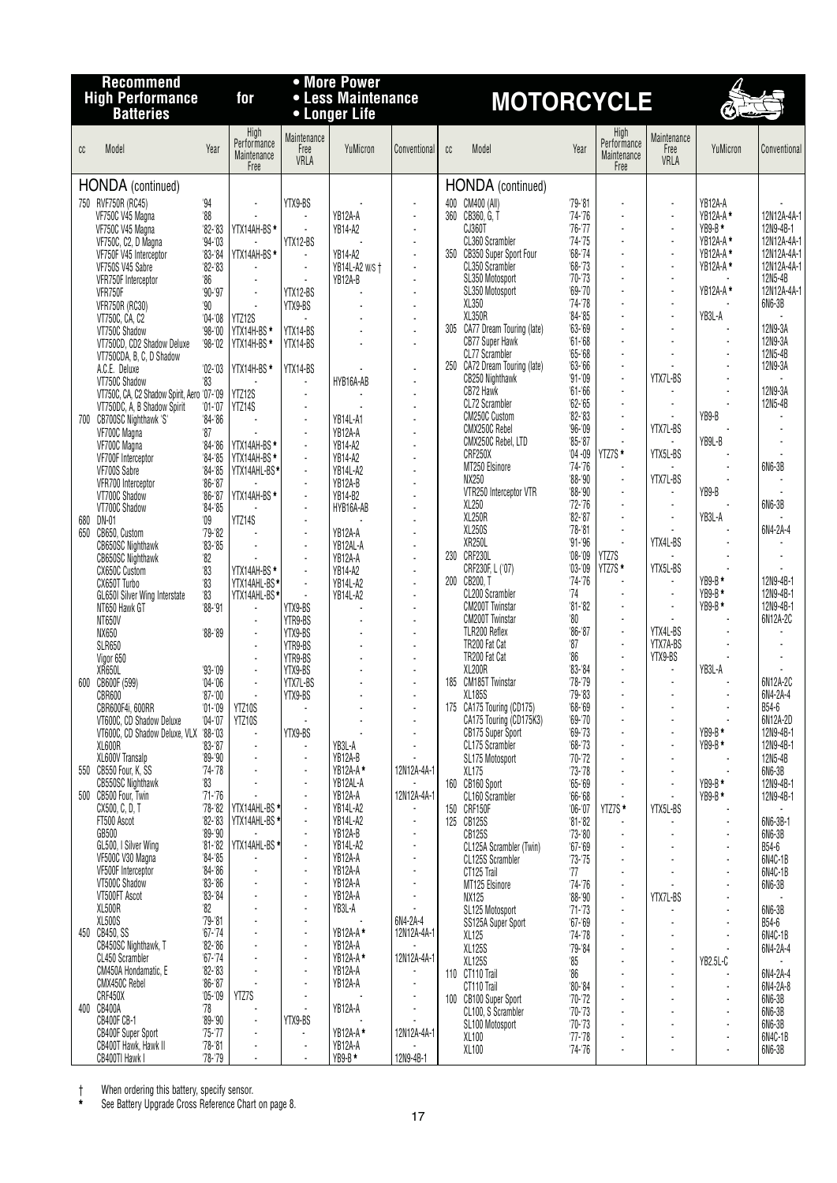|     | <b>Recommend</b>                                                          |                             |                                            |                             | • More Power                        |                                          |     |                                                      |                          |                                            |                                  |                       |                            |
|-----|---------------------------------------------------------------------------|-----------------------------|--------------------------------------------|-----------------------------|-------------------------------------|------------------------------------------|-----|------------------------------------------------------|--------------------------|--------------------------------------------|----------------------------------|-----------------------|----------------------------|
|     | <b>High Performance</b><br><b>Batteries</b>                               |                             | for                                        |                             | • Less Maintenance<br>• Longer Life |                                          |     | <b>MOTORCYCLE</b>                                    |                          |                                            |                                  | Ó                     |                            |
| cc  | Model                                                                     | Year                        | High<br>Performance<br>Maintenance<br>Free | Maintenance<br>Free<br>VRLA | YuMicron                            | Conventional                             | cc  | Model                                                | Year                     | High<br>Performance<br>Maintenance<br>Free | Maintenance<br>Free<br>VRLA      | YuMicron              | Conventional               |
|     | <b>HONDA</b> (continued)                                                  |                             |                                            |                             |                                     |                                          |     | <b>HONDA</b> (continued)                             |                          |                                            |                                  |                       |                            |
|     | 750 RVF750R (RC45)                                                        | 94                          |                                            | YTX9-BS                     |                                     |                                          |     | 400 CM400 (All)                                      | $79 - 81$                |                                            | $\ddot{\phantom{0}}$             | YB12A-A               |                            |
|     | VF750C V45 Magna<br>VF750C V45 Magna                                      | $^{\circ}88$<br>$82 - 83$   | YTX14AH-BS *                               | ä,                          | YB12A-A<br>YR14-A2                  | ÷,<br>$\mathcal{L}$                      |     | 360 CB360, G, T<br>CJ360T                            | $74 - 76$<br>$76 - 77$   | L.                                         | $\overline{a}$<br>$\overline{a}$ | YB12A-A *<br>$YB9-B*$ | 12N12A-4A-1<br>12N9-4B-1   |
|     | VF750C, C2, D Magna                                                       | $94 - 03$                   |                                            | YTX12-BS                    |                                     | ÷,                                       |     | CL360 Scrambler                                      | $74 - 75$                |                                            | $\overline{a}$                   | YB12A-A*              | 12N12A-4A-1                |
|     | VF750F V45 Interceptor                                                    | $83 - 84$<br>$82 - 83$      | YTX14AH-BS*                                | $\blacksquare$              | YB14-A2                             | $\blacksquare$<br>÷,                     |     | 350 CB350 Super Sport Four<br>CL350 Scrambler        | $68 - 74$<br>$68 - 73$   |                                            | ÷,<br>$\overline{a}$             | YB12A-A*<br>YB12A-A*  | 12N12A-4A-1<br>12N12A-4A-1 |
|     | VF750S V45 Sabre<br>VFR750F Interceptor                                   | '86                         | $\blacksquare$                             |                             | YB14L-A2 w/s +<br>YB12A-B           | ÷.                                       |     | SL350 Motosport                                      | $70 - 73$                |                                            |                                  |                       | 12N5-4B                    |
|     | VFR750F                                                                   | $90 - 97$                   | ÷,                                         | YTX12-BS                    |                                     | ÷,                                       |     | SL350 Motosport                                      | $69 - 70$<br>$74 - 78$   |                                            | $\overline{a}$<br>÷,             | YB12A-A*              | 12N12A-4A-1<br>6N6-3B      |
|     | <b>VFR750R (RC30)</b><br>VT750C, CA, C2                                   | 90<br>$04 - 08$             | YTZ12S                                     | YTX9-BS                     |                                     | $\blacksquare$                           |     | XL350<br>XL350R                                      | $84 - 85$                |                                            | $\overline{a}$                   | YB3L-A                |                            |
|     | VT750C Shadow                                                             | $98 - 00$                   | YTX14H-BS*                                 | YTX14-BS                    |                                     | $\blacksquare$                           |     | 305 CA77 Dream Touring (late)                        | 63-69                    |                                            | ÷,                               |                       | 12N9-3A                    |
|     | VT750CD, CD2 Shadow Deluxe<br>VT750CDA, B, C, D Shadow                    | $98 - 02$                   | YTX14H-BS*                                 | YTX14-BS                    |                                     |                                          |     | <b>CB77 Super Hawk</b><br>CL77 Scrambler             | $61 - 68$<br>$65 - 68$   | $\overline{a}$                             | $\overline{a}$<br>÷,             | $\tilde{\phantom{a}}$ | 12N9-3A<br>12N5-4B         |
|     | A.C.E. Deluxe                                                             | $'02 - 03$                  | YTX14H-BS*                                 | YTX14-BS                    |                                     |                                          |     | 250 CA72 Dream Touring (late)                        | $63 - 66$                | ÷,                                         |                                  |                       | 12N9-3A                    |
|     | VT750C Shadow                                                             | '83                         |                                            | ٠<br>$\overline{a}$         | HYB16A-AB                           |                                          |     | CB250 Nighthawk<br>CB72 Hawk                         | $91 - 09$<br>$61 - 66$   | ÷.<br>L.                                   | YTX7L-BS<br>÷                    |                       | 12N9-3A                    |
|     | VT750C, CA, C2 Shadow Spirit, Aero '07-'09<br>VT750DC, A, B Shadow Spirit | $'01 - '07$                 | YTZ12S<br>YTZ14S                           | $\overline{a}$              |                                     | $\overline{a}$                           |     | CL72 Scrambler                                       | $62 - 65$                |                                            | ٠                                |                       | 12N5-4B                    |
|     | 700 CB700SC Nighthawk 'S'                                                 | $84 - 86$                   |                                            | ÷,                          | YB14L-A1                            |                                          |     | CM250C Custom<br>CMX250C Rebel                       | $82 - 83$<br>$96 - 09$   | ÷.                                         | YTX7L-BS                         | YB9-B                 |                            |
|     | VF700C Magna<br>VF700C Magna                                              | $^{\prime}87$<br>$84 - 86$  | YTX14AH-BS *                               | ÷,<br>$\overline{a}$        | YB12A-A<br><b>YB14-A2</b>           |                                          |     | CMX250C Rebel, LTD                                   | $85 - 87$                |                                            | $\overline{\phantom{a}}$         | YB9L-B                |                            |
|     | VF700F Interceptor                                                        | $84 - 85$                   | YTX14AH-BS *                               | ÷,                          | <b>YB14-A2</b>                      |                                          |     | CRF250X<br>MT250 Elsinore                            | $04 - 09$<br>$74 - 76$   | YTZ7S *<br>$\overline{a}$                  | YTX5L-BS                         |                       | 6N6-3B                     |
|     | VF700S Sabre<br>VFR700 Interceptor                                        | $84 - 85$<br>$86 - 87$      | YTX14AHL-BS*                               | ÷,<br>÷,                    | <b>YB14L-A2</b><br>YB12A-B          |                                          |     | NX250                                                | $88 - 90$                | $\mathcal{L}$                              | YTX7L-BS                         |                       |                            |
|     | VT700C Shadow                                                             | $86 - 87$                   | YTX14AH-BS*                                | $\overline{a}$              | YB14-B2                             |                                          |     | VTR250 Interceptor VTR                               | $88 - 90$                | ÷.                                         | ÷.                               | YB9-B                 |                            |
| 680 | VT700C Shadow<br>DN-01                                                    | $84 - 85$<br>$^{\prime}09$  | YTZ14S                                     | $\overline{a}$              | HYB16A-AB                           |                                          |     | XL250<br><b>XL250R</b>                               | $72 - 76$<br>$82 - 87$   | L.                                         | $\overline{\phantom{a}}$<br>÷.   | YB3L-A                | 6N6-3B                     |
| 650 | CB650, Custom                                                             | $'79 - 82$                  |                                            | $\overline{a}$              | YB12A-A                             | $\overline{a}$                           |     | XL250S                                               | $78 - 81$                |                                            |                                  |                       | 6N4-2A-4                   |
|     | <b>CB650SC Nighthawk</b><br>CB650SC Nighthawk                             | $83 - 85$<br>$^{\prime}82$  |                                            | ÷,<br>÷,                    | YB12AL-A<br>YB12A-A                 | $\blacksquare$<br>$\overline{a}$         |     | XR250L<br>230 CRF230L                                | $91 - 96$<br>$'08 - '09$ | L.<br>YTZ7S                                | YTX4L-BS                         |                       |                            |
|     | CX650C Custom                                                             | $^{\prime}83$               | YTX14AH-BS *                               | $\overline{a}$              | YB14-A2                             |                                          |     | CRF230F, L ('07)                                     | $'03 - 09$               | YTZ7S*                                     | YTX5L-BS                         |                       |                            |
|     | CX650T Turbo                                                              | 33<br>33                    | YTX14AHL-BS*                               | $\blacksquare$              | <b>YB14L-A2</b>                     | $\mathbf{r}$<br>$\overline{\phantom{a}}$ |     | 200 CB200, T<br>CL200 Scrambler                      | $74 - 76$<br>74          |                                            | ÷<br>÷,                          | YB9-B*<br>$YB9-B*$    | 12N9-4B-1<br>12N9-4B-1     |
|     | GL650I Silver Wing Interstate<br>NT650 Hawk GT                            | $88 - 91$                   | YTX14AHL-BS*                               | YTX9-BS                     | YB14L-A2                            | $\overline{\phantom{a}}$                 |     | <b>CM200T Twinstar</b>                               | $81 - 82$                |                                            |                                  | $YB9-B*$              | 12N9-4B-1                  |
|     | <b>NT650V</b>                                                             |                             |                                            | YTR9-BS                     |                                     | ÷,                                       |     | <b>CM200T Twinstar</b>                               | '80<br>$86 - 87$         | ÷.<br>÷.                                   | YTX4L-BS                         |                       | 6N12A-2C                   |
|     | NX650<br><b>SLR650</b>                                                    | $'88 - '89$                 |                                            | YTX9-BS<br>YTR9-BS          |                                     | ÷.                                       |     | TLR200 Reflex<br>TR200 Fat Cat                       | 37                       | $\tilde{\phantom{a}}$                      | YTX7A-BS                         |                       |                            |
|     | Vigor 650                                                                 |                             |                                            | YTR9-BS                     |                                     |                                          |     | TR200 Fat Cat                                        | $^{\prime}86$            |                                            | YTX9-BS                          |                       |                            |
|     | XR650L<br>600 CB600F (599)                                                | $'93 - '09$<br>$'04 - '06$  |                                            | YTX9-BS<br>YTX7L-BS         |                                     |                                          |     | <b>XL200R</b><br>185 CM185T Twinstar                 | $83 - 84$<br>$78 - 79$   | $\tilde{\phantom{a}}$                      | ÷,<br>$\blacksquare$             | YB3L-A                | 6N12A-2C                   |
|     | CBR600                                                                    | $'87 - '00$                 |                                            | YTX9-BS                     |                                     |                                          |     | XL185S                                               | $79 - 83$                |                                            |                                  |                       | 6N4-2A-4                   |
|     | CBR600F4i, 600RR<br>VT600C, CD Shadow Deluxe                              | $'01 - '09$<br>$'04 - '07$  | YTZ10S<br>YTZ10S                           |                             |                                     |                                          |     | 175 CA175 Touring (CD175)<br>CA175 Touring (CD175K3) | $68 - 69$<br>$69 - 70$   |                                            |                                  |                       | B54-6<br>6N12A-2D          |
|     | VT600C, CD Shadow Deluxe, VLX '88-'03                                     |                             |                                            | YTX9-BS                     |                                     |                                          |     | CB175 Super Sport                                    | $69 - 73$                |                                            | Ĭ.                               | $YB9-B*$              | 12N9-4B-1                  |
|     | XL600R<br>XL600V Transalp                                                 | $83 - 87$<br>$99 - 90$      |                                            | $\blacksquare$              | YB3L-A<br>YB12A-B                   |                                          |     | CL175 Scrambler<br>SL175 Motosport                   | $68 - 73$<br>$70 - 72$   |                                            | ÷,                               | $YB9-B*$              | 12N9-4B-1<br>12N5-4B       |
|     | 550 CB550 Four, K, SS                                                     | $74 - 78$                   |                                            | $\overline{\phantom{a}}$    | YB12A-A*                            | 12N12A-4A-1                              |     | XL175                                                | $73 - 78$                |                                            | $\overline{\phantom{a}}$         |                       | 6N6-3B                     |
|     | <b>CB550SC Nighthawk</b><br>500 CB500 Four. Twin                          | '83                         |                                            | $\ddot{\phantom{a}}$<br>÷,  | YB12AL-A<br>YB12A-A                 |                                          |     | 160 CB160 Sport                                      | $65 - 69$                |                                            | ÷,                               | $YB9-B*$              | 12N9-4B-1                  |
|     | CX500, C, D, T                                                            | $71 - 76$<br>$78 - 82$      | YTX14AHL-BS *                              | ÷,                          | YB14L-A2                            | 12N12A-4A-1                              | 150 | CL160 Scrambler<br>CRF150F                           | $66 - 68$<br>$06 - 07$   | YTZ7S *                                    | YTX5L-BS                         | $YB9-B*$              | 12N9-4B-1                  |
|     | FT500 Ascot                                                               | $82 - 83$                   | YTX14AHL-BS *                              | ÷,                          | <b>YB14L-A2</b>                     |                                          |     | 125 CB125S                                           | $81 - 82$                |                                            |                                  |                       | 6N6-3B-1                   |
|     | GB500<br>GL500, I Silver Wing                                             | $89 - 90$<br>$81 - 82$      | YTX14AHL-BS *                              | $\overline{a}$              | YB12A-B<br><b>YB14L-A2</b>          |                                          |     | CB125S<br>CL125A Scrambler (Twin)                    | $73 - 80$<br>$67 - 69$   |                                            |                                  |                       | 6N6-3B<br>B54-6            |
|     | VF500C V30 Magna                                                          | $84 - 85$                   |                                            |                             | YB12A-A                             |                                          |     | CL125S Scrambler                                     | $73 - 75$                |                                            |                                  |                       | 6N4C-1B                    |
|     | VF500F Interceptor<br>VT500C Shadow                                       | $84 - 86$<br>$83 - 86$      |                                            | ÷,                          | YB12A-A<br>YB12A-A                  |                                          |     | CT125 Trail<br>MT125 Elsinore                        | 77<br>$74 - 76$          |                                            |                                  |                       | 6N4C-1B<br>6N6-3B          |
|     | VT500FT Ascot                                                             | $83 - 84$                   |                                            | $\overline{a}$              | YB12A-A                             |                                          |     | NX125                                                | $88 - 90$                |                                            | YTX7L-BS                         |                       |                            |
|     | XL500R<br><b>XL500S</b>                                                   | $^{\prime}82$<br>$'79 - 81$ |                                            |                             | YB3L-A                              | 6N4-2A-4                                 |     | SL125 Motosport                                      | $71 - 73$                |                                            |                                  |                       | 6N6-3B                     |
| 450 | CB450, SS                                                                 | $67 - 74$                   |                                            |                             | YB12A-A*                            | 12N12A-4A-1                              |     | SS125A Super Sport<br>XL125                          | $67 - 69$<br>$74 - 78$   |                                            |                                  |                       | B54-6<br>6N4C-1B           |
|     | CB450SC Nighthawk, T<br>CL450 Scrambler                                   | $82 - 86$<br>$67 - 74$      |                                            | $\overline{a}$              | YB12A-A<br>YB12A-A*                 | 12N12A-4A-1                              |     | XL125S                                               | $79 - 84$                |                                            |                                  |                       | 6N4-2A-4                   |
|     | CM450A Hondamatic, E                                                      | $82 - 83$                   |                                            | ٠                           | YB12A-A                             |                                          |     | <b>XL125S</b><br>110 CT110 Trail                     | 85<br>86                 |                                            | $\overline{a}$                   | YB2.5L-C              | 6N4-2A-4                   |
|     | CMX450C Rebel                                                             | $86 - 87$                   |                                            |                             | YB12A-A                             |                                          |     | CT110 Trail                                          | $80 - 84$                |                                            |                                  |                       | 6N4-2A-8                   |
| 400 | CRF450X<br>CB400A                                                         | $'05 - '09$<br>'78          | YTZ7S                                      | ÷,                          | YB12A-A                             |                                          |     | 100 CB100 Super Sport<br>CL100, S Scrambler          | $70 - 72$<br>$70 - 73$   |                                            |                                  |                       | 6N6-3B<br>6N6-3B           |
|     | <b>CB400F CB-1</b>                                                        | $'89-'90$                   |                                            | YTX9-BS                     |                                     |                                          |     | SL100 Motosport                                      | $70 - 73$                |                                            |                                  |                       | 6N6-3B                     |
|     | <b>CB400F Super Sport</b><br>CB400T Hawk, Hawk II                         | $75 - 77$<br>$'78 - '81$    |                                            | ÷,                          | YB12A-A*<br>YB12A-A                 | 12N12A-4A-1                              |     | XL100<br>XL100                                       | $77 - 78$<br>$74 - 76$   | ÷,                                         |                                  | Ĭ.                    | 6N4C-1B<br>6N6-3B          |
|     | CB400TI Hawk I                                                            | $78 - 79$                   |                                            |                             | $YB9-B*$                            | 12N9-4B-1                                |     |                                                      |                          |                                            |                                  |                       |                            |

† When ordering this battery, specify sensor.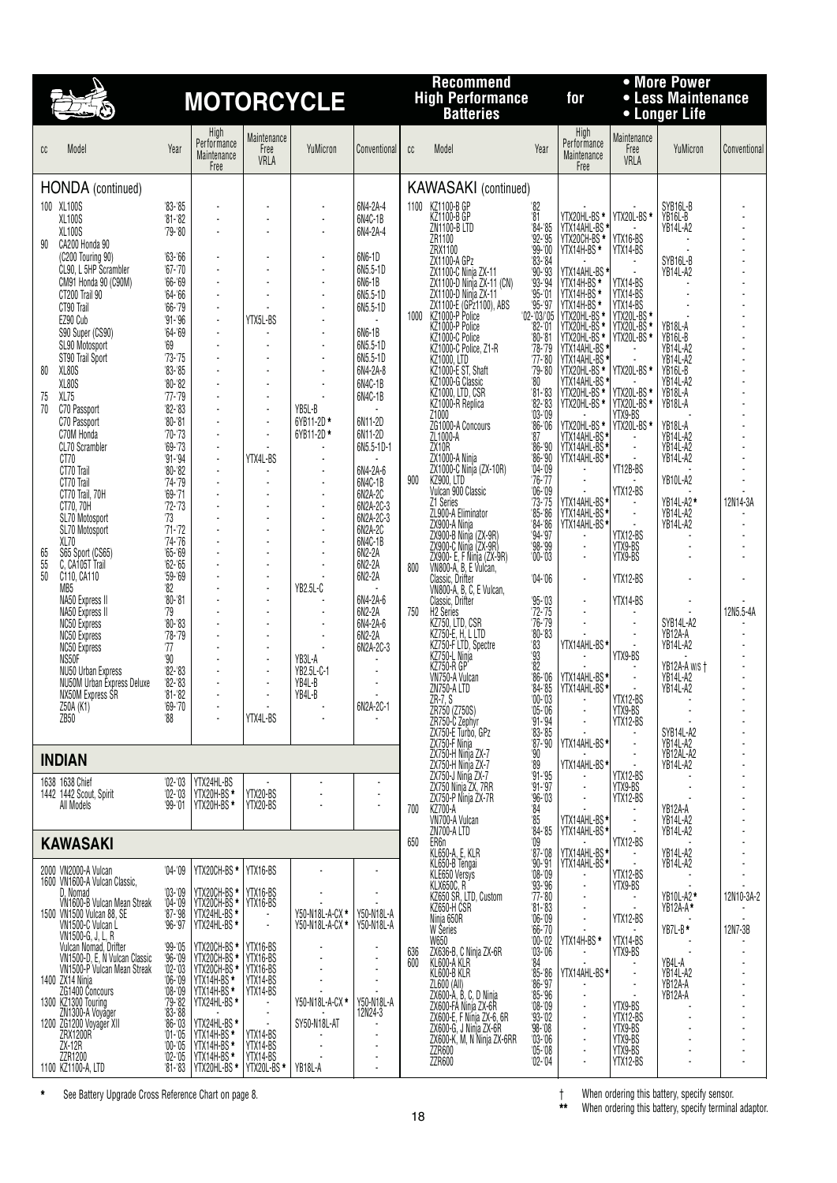

## **Hecommend**<br> **High Performance for** • Less Maintenance<br> **Batteries Batteries** • Longer Life<br> **Batteries**

## **Recommend • More Power**

| cc             | Model                                                                                                                                                                                                                                                                                                                                                                                                                                                                                   | Year                                                                                                                                                                                                                                                                                                        | High<br>Performance<br>Maintenance<br>Free                                                                                                                                                                                                             | Maintenance<br>Free<br>VRLA                                                                                                                                                                            | YuMicron                                                                                                        | Conventional                                                                                                             | cc         | Model                                                                                                                                                                                                                                                                                                                                                                                                                           | Year                                                                                                                                                                                                                               | High<br>Performance<br>Maintenance<br>Free                                                                                                                                                                                                                                                                                         | Maintenance<br>Free<br>VRLA                                                                                     | YuMicron                                                                                                                                                       | Conventiona           |
|----------------|-----------------------------------------------------------------------------------------------------------------------------------------------------------------------------------------------------------------------------------------------------------------------------------------------------------------------------------------------------------------------------------------------------------------------------------------------------------------------------------------|-------------------------------------------------------------------------------------------------------------------------------------------------------------------------------------------------------------------------------------------------------------------------------------------------------------|--------------------------------------------------------------------------------------------------------------------------------------------------------------------------------------------------------------------------------------------------------|--------------------------------------------------------------------------------------------------------------------------------------------------------------------------------------------------------|-----------------------------------------------------------------------------------------------------------------|--------------------------------------------------------------------------------------------------------------------------|------------|---------------------------------------------------------------------------------------------------------------------------------------------------------------------------------------------------------------------------------------------------------------------------------------------------------------------------------------------------------------------------------------------------------------------------------|------------------------------------------------------------------------------------------------------------------------------------------------------------------------------------------------------------------------------------|------------------------------------------------------------------------------------------------------------------------------------------------------------------------------------------------------------------------------------------------------------------------------------------------------------------------------------|-----------------------------------------------------------------------------------------------------------------|----------------------------------------------------------------------------------------------------------------------------------------------------------------|-----------------------|
| 90             | HONDA (continued)<br>100 XL100S<br>XL100S<br><b>XL100S</b><br>CA200 Honda 90<br>(C200 Touring 90)<br>CL90, L 5HP Scrambler<br>CM91 Honda 90 (C90M)<br>CT200 Trail 90<br>CT90 Trail<br>EZ90 Cub                                                                                                                                                                                                                                                                                          | $83 - 85$<br>$'81 - '82$<br>$'79 - '80$<br>$63 - 66$<br>$67 - 70$<br>$66 - 69$<br>$64 - 66$<br>$66 - 79$<br>$91 - 96$                                                                                                                                                                                       | $\overline{\phantom{a}}$<br>$\overline{a}$<br>÷<br>$\blacksquare$<br>$\blacksquare$<br>$\sim$<br>$\blacksquare$                                                                                                                                        | YTX5L-BS                                                                                                                                                                                               | $\overline{\phantom{a}}$<br>÷.<br>$\blacksquare$<br>$\blacksquare$<br>$\overline{\phantom{a}}$<br>÷,<br>٠<br>÷. | 6N4-2A-4<br>6N4C-1B<br>6N4-2A-4<br>6N6-1D<br>6N5.5-1D<br>6N6-1B<br>6N5.5-1D<br>6N5.5-1D                                  | 1000       | <b>KAWASAKI</b> (continued)<br>1100 KZ1100-B GP<br>KZ1100-B GP<br><b>ZN1100-B LTD</b><br>ZR1100<br>ZRX1100<br>ZX1100-A GPz<br>ZX1100-C Ninja ZX-11<br>ZX1100-D Ninja ZX-11 (CN)<br>ZX1100-D Ninja ZX-11<br>ZX1100-E (GP21100), ABS<br>KZ1000-P Police<br>KZ1000-P Police                                                                                                                                                        | '82<br>$^{\prime}81$<br>$84 - 85$<br>$92 - 95$<br>$\frac{99}{83}$ - 00<br>$90 - 93$<br>$\frac{93}{93} - \frac{94}{91}$<br>$95 - 97$<br>$'02 - 03/05$<br>$82 - 01$                                                                  | YTX20HL-BS *<br>YTX14AHL-BS *<br>YTX20CH-BS *<br><b>YTX14H-BS*</b><br>YTX14AHL-BS*                                                                                                                                                                                                                                                 | YTX20L-BS*<br>YTX16-BS<br>YTX14-BS<br>YTX14-BS<br>YTX14-BŠ<br>YTX14-BS<br>YTX20L-BS *                           | SYB16L-B<br>YB16L-B<br><b>YB14L-A2</b><br>SYB16L-B<br><b>YB14L-A2</b><br>YB18L-A                                                                               |                       |
| 80<br>75<br>70 | S90 Super (CS90)<br>SL90 Motosport<br>ST90 Trail Sport<br>XL80S<br>XL80S<br>XL75<br>C70 Passport<br>C70 Passport<br>C70M Honda<br>CL70 Scrambler<br>CT70                                                                                                                                                                                                                                                                                                                                | $64 - 69$<br>$^{\circ}69$<br>$73 - 75$<br>$83 - 85$<br>$'80 - '82$<br>$'77 - '79$<br>$82 - 83$<br>$80 - 81$<br>$'70 - '73$<br>$'69 - 73$<br>$91 - 94$                                                                                                                                                       | $\blacksquare$<br>$\blacksquare$<br>$\blacksquare$<br>$\blacksquare$<br>÷,<br>$\overline{a}$<br>$\blacksquare$<br>$\blacksquare$<br>$\blacksquare$<br>÷,                                                                                               | $\overline{\phantom{a}}$<br>÷,<br>÷,<br>YTX4L-BS                                                                                                                                                       | ٠<br>÷,<br>÷,<br>÷,<br>÷,<br>YB5L-B<br>6YB11-2D*<br>6YB11-2D*                                                   | 6N6-1B<br>6N5.5-1D<br>6N5.5-1D<br>6N4-2A-8<br>6N4C-1B<br>6N4C-1B<br>$\overline{a}$<br>6N11-2D<br>6N11-2D<br>6N5.5-1D-1   |            | KZ1000-C Police<br>K21000-C Police, 21-R<br>K21000, LTD<br>K21000-E ST, Shaft<br>KZ1000-G Classic<br>KZ1000, LTD, CSR<br>KZ1000-R Replica<br>Z1000<br>ZG1000-A Concours<br>ZL1000-A<br>ZX <sub>10R</sub><br>ZX1000-A Ninja<br>ZX1000-C Ninja (ZX-10R)                                                                                                                                                                           | $80 - 81$<br>$78 - 79$<br>$77 - 80$<br>$79 - 80$<br>$80\,$<br>$\frac{81-83}{82-83}$<br>$03 - 09$<br>$86 - 06$<br>87<br>$86 - 90$<br>$\frac{86-90}{04-09}$                                                                          | YTX14AHL-BS<br>YTX14H-BS *<br>YTX14H-BS *<br>YTX14H-BS *<br>YTX20HL-BS *<br>YTX20HL-BS *<br>YTX20HL-BS *<br>YTX14AHL-BS *<br>YTX14AHL-BS *<br>YTX14AHL-BS *<br>YTX14AHL-BS *<br>YTX14AHL-BS *<br>YTX14AHL-BS *<br>YTX14AHL-BS *<br>YTX14AHL-BS *<br>YTX20HL-BS *<br>YTX20HL-BS *<br>YTX14AHL-BS *<br>YTX14AHL-BS *<br>YTX14AHL-BS* | YTX20L-BS <sup>*</sup><br>YTX20L-BS*<br>YTX20L-BS *<br>YTX20L-BS *<br>YTX9-BS<br>YTX20L-BS*                     | YB16L-B<br><b>YB14L-A2</b><br><b>YB14L-A2</b><br>YB16L-B<br><b>YB14L-A2</b><br>YB18L-A<br>YB18L-A<br>YB18L-A<br>YB14L-A2<br><b>YB14L-A2</b><br><b>YB14L-A2</b> |                       |
| 65<br>55<br>50 | CT70 Trail<br>CT70 Trail<br>CT70 Trail, 70H<br>CT70, 70H<br>SL70 Motosport<br>SL70 Motosport<br>XL70<br>S65 Sport (CS65)<br>C. CA105T Trail<br>C110, CA110<br>MB <sub>5</sub><br>NA50 Express II                                                                                                                                                                                                                                                                                        | $80 - 82$<br>$74 - 79$<br>$69 - 71$<br>$72 - 73$<br>73<br>$71 - 72$<br>$74 - 76$<br>$'65 - '69$<br>$62 - 65$<br>$9 - 69$<br>'82<br>$'80 - '81$                                                                                                                                                              | $\blacksquare$<br>$\blacksquare$<br>$\overline{\phantom{a}}$                                                                                                                                                                                           |                                                                                                                                                                                                        | ÷,<br>÷,<br>÷,<br>$\blacksquare$<br>$\overline{a}$<br>÷,<br>÷,<br>÷,<br>YB2.5L-C                                | 6N4-2A-6<br>6N4C-1B<br>6N2A-2C<br>6N2A-2C-3<br>6N2A-2C-3<br>6N2A-2C<br>6N4C-1B<br>6N2-2A<br>6N2-2A<br>6N2-2A<br>6N4-2A-6 | 900<br>800 | <b>KZ900, LTD</b><br>Vulcan 900 Classic<br>Z1 Series<br>ZL900-A Eliminator<br>223900-A Ninja<br>27900-A Ninja<br>27900-B Ninja (2X-9R)<br>27900-C Ninja (2X-9R)<br>27900-C F, F Ninja (2X-9R)<br>VN800-A, B, E Vulcan,<br>Classic, Drifter<br>VN800-A, B, C, E Vulcan,<br>Classic, Drifter                                                                                                                                      | $76 - 77$<br>$06 - 09$<br>$\frac{73-75}{85-86}$<br>$\frac{84-86}{94-97}$<br>$98 - 99$<br>$'00 - 03$<br>$04 - 06$<br>$95 - 03$                                                                                                      | ÷<br>YTX14AHL-BS*<br>YTX14AHL-BS*<br>YTX14AHL-BS*<br>÷<br>$\overline{a}$<br>$\blacksquare$                                                                                                                                                                                                                                         | YT12B-BS<br>YTX12-BS<br>YTX12-BS<br>YTX9-BS<br>YTX9-BS<br>YTX12-BS<br>YTX14-BS                                  | YB10L-A2<br>YB14L-A2 *<br>YB14L-A2<br><b>YB14L-A2</b>                                                                                                          | 12N14-3A              |
|                | NA50 Express II<br><b>NC50 Express</b><br><b>NC50 Express</b><br>NC50 Express<br>NS50F<br>NU50 Urban Express<br>NU50M Urban Express Deluxe<br>NX50M Express SR<br>Z50A (K1)<br>ZB50                                                                                                                                                                                                                                                                                                     | 79<br>$'80 - '83$<br>$78 - 79$<br>77<br>$90^{\circ}$<br>$82 - 83$<br>$82 - 83$<br>$81 - 82$<br>$'69 - '70$<br>'88                                                                                                                                                                                           | $\blacksquare$<br>$\blacksquare$<br>$\blacksquare$<br>$\blacksquare$                                                                                                                                                                                   | $\ddot{\phantom{a}}$<br>$\ddot{\phantom{a}}$<br>÷,<br>$\blacksquare$<br>YTX4L-BS                                                                                                                       | YB3L-A<br>YB2.5L-C-1<br>YB4L-B<br>YB4L-B<br>÷,                                                                  | 6N2-2A<br>6N4-2A-6<br>6N2-2A<br>6N2A-2C-3<br>$\blacksquare$<br>6N2A-2C-1                                                 | 750        | H2 Series<br>KZ750, LTD, CSR<br>KZ750-E, H, L LTD<br>KZ750-F LTD, Spectre<br>KZ750-L Ninja<br><b>KZ750-R GP</b><br>VN750-A Vulcan<br>ZN750-A LTD<br>ZR-7, S<br>ZR750 (Z750S)<br>ZR750-C Zephyr<br>ZX750-E Turbo, GPz                                                                                                                                                                                                            | $72 - 75$<br>$76 - 79$<br>$\frac{180 - 83}{83}$<br>$\overline{\textbf{82}}$<br>$\frac{86}{86}$<br>$\frac{106}{84}$<br>$\frac{100}{00}$<br>$\frac{103}{8}$<br>$05 - 06$<br>$\frac{91.94}{83.85}$                                    | YTX14AHL-BS*<br>YTX14AHL-BS*<br>YTX14AHL-BS*<br>L.                                                                                                                                                                                                                                                                                 | YTX9-BS<br>YTX12-BS<br>YTX9-BS<br>YTX12-BS                                                                      | SYB14L-A2<br>YB12A-A<br>YB14L-A2<br>YB12A-A w/s t<br><b>YB14L-A2</b><br>YB14L-A2<br>SYB14L-A2                                                                  | 12N5.5-4A             |
|                | <b>INDIAN</b>                                                                                                                                                                                                                                                                                                                                                                                                                                                                           |                                                                                                                                                                                                                                                                                                             |                                                                                                                                                                                                                                                        |                                                                                                                                                                                                        |                                                                                                                 |                                                                                                                          |            | ŽX750-F Ninja<br>ZX750-H Ninja ZX-7<br>ZX750-H Ninja ZX-7                                                                                                                                                                                                                                                                                                                                                                       | $87 - 90$<br>$90^{\circ}$<br>'89                                                                                                                                                                                                   | YTX14AHL-BS*<br>YTX14AHL-BS*                                                                                                                                                                                                                                                                                                       |                                                                                                                 | YB14L-A2<br>YB12AL-A2<br>YB14L-A2                                                                                                                              |                       |
|                | 1638 1638 Chief<br>1442 1442 Scout, Spirit<br>All Models                                                                                                                                                                                                                                                                                                                                                                                                                                | $'02 - '03$<br>$'02 - 03$<br>$'99 - '01$                                                                                                                                                                                                                                                                    | YTX24HL-BS<br>YTX20H-BS *<br>YTX20H-BS *                                                                                                                                                                                                               | YTX20-BS<br>YTX20-BS                                                                                                                                                                                   |                                                                                                                 |                                                                                                                          | 700        | ZX750-J Ninja ZX-7<br>ZX750 Ninja ZX, 7RR<br>ZX750-P Ninja ŽX-7R<br>KZ700-A<br>VN700-A Vulcan<br>ZN700-A LTD                                                                                                                                                                                                                                                                                                                    | $91 - 95$<br>$91 - 97$<br>'96-'03<br>'84<br>'85<br>$84 - 85$                                                                                                                                                                       | ä,<br>YTX14AHL-BS*<br>YTX14AHL-BS*                                                                                                                                                                                                                                                                                                 | YTX12-BS<br>YTX9-BS<br>YTX12-BS                                                                                 | YB12A-A<br><b>YB14L-A2</b><br><b>YB14L-A2</b>                                                                                                                  |                       |
|                | <b>KAWASAKI</b>                                                                                                                                                                                                                                                                                                                                                                                                                                                                         |                                                                                                                                                                                                                                                                                                             |                                                                                                                                                                                                                                                        |                                                                                                                                                                                                        |                                                                                                                 |                                                                                                                          | 650        | ER <sub>6</sub> n<br>KL650-A, E, KLR                                                                                                                                                                                                                                                                                                                                                                                            | '09<br>$\frac{87}{90}$ - 91                                                                                                                                                                                                        | YTX14AHL-BS*                                                                                                                                                                                                                                                                                                                       | YTX12-BS                                                                                                        | YB14L-A2                                                                                                                                                       |                       |
|                | 2000 VN2000-A Vulcan<br>1600 VN1600-A Vulcan Classic,<br>D, Nomad<br>VN1600-B Vulcan Mean Streak<br>1500 VN1500 Vulcan 88, SE<br>VN1500-C Vulcan<br>VN1500-C Vulcan<br>VN1500-G, J, L, R<br>Vulcan Nomad, Drifter<br>VN1500-D, E, N Vulcan Classic<br>VN1500-D, E, N Vulcan Classic<br>VN1500-P Vulcan Mean Streak<br>1400 ZX14 Ninja<br>ZG1400 Concours<br>1300 KZ1300 Touring<br>ZN1300-A Voyager<br>1200 ZG1200 Voyager XII<br>ZRX1200R<br>$ZX-12R$<br>ZZR1200<br>1100 KZ1100-A, LTD | '04-'09<br>$^{103-109}_{04-09}$<br>$87 - 98$<br>$96 - 97$<br>$'99 - '05$<br>'96-'09<br>$^{102-103}_{06-109}$<br>$\frac{79}{79}$<br>$\frac{82}{83}$<br>$\frac{83}{86}$<br>$\frac{83}{66}$<br>$\frac{703}{10}$<br>$\frac{105}{10}$<br>$\frac{105}{10}$<br>$\frac{105}{10}$<br>$\frac{105}{10}$<br>$'81 - '83$ | YTX20CH-BS *<br>YTX20CH-BS *<br>YTX20CH-BS *<br>YTX24HL-BS *<br>YTX24HL-BS *<br>YTX20CH-BS *<br>YTX20CH-BS *<br>YTX20CH-BS *<br>YTX14H-BS *<br>YTX14H-BS *<br>YTX14H-BS *<br>YTX24HL-BS *<br>YTX14H-BS *<br>YTX14H-BS *<br>YTX14H-BS *<br>YTX20HL-BS * | YTX16-BS<br>YTX16-BS<br>YTX16-BS<br>$\overline{\phantom{a}}$<br>YTX16-BS<br>YTX16-BS<br>YTX16-BS<br>YTX14-BS<br>YTX14-BS<br>$\overline{\phantom{a}}$<br>YTX14-BS<br>YTX14-BS<br>YTX14-BS<br>YTX20L-BS* | Y50-N18L-A-CX *<br>Y50-N18L-A-CX *<br>Y50-N18L-A-CX *<br>SY50-N18L-AT<br>YB18L-A                                | Y50-N18L-A<br>Y50-N18L-A<br>Y50-N18L-A<br>12N24-3                                                                        | 636<br>600 | KL650-B'Tengai<br>KLE650 Versys<br>KLX650C, R<br>KZ650 SR, LTD, Custom<br>KZ650-H ĆSR<br>Ninja 650R<br>W Series<br>W650<br>ZX636-B, C Ninja ZX-6R<br><i>ENGOO-A KLR</i><br>KL600-A KLR<br>KL600-B KLR<br>ZL600 (All)<br>ZX600-FA Ninja ZX-6<br>ZX600-FA Ninja ZX-6<br>ZX600-FA Ninja ZX-6<br>ZX600-E, F Ninja ZX-6, 6R<br>ZX600-G, J Ninja ZX-6, 6R<br>ZX600-G, J Ninja ZX-6R<br>ZX600-K, M, N Ninja ZX-6RR<br>ZZR600<br>ZZR600 | $08 - 09$<br>$93 - 96$<br>$77 - 80$<br>$81 - 83$<br>$06 - 09$<br>$66 - 70$<br>$'00 - '02$<br>$03 - 06$<br>84<br>85-86<br>86-97<br>$85 - 96$<br>$08 - 09$<br>$\frac{93}{98} - \frac{02}{08}$<br>$03 - 06$<br>$05 - 08$<br>$02 - 04$ | YTX14AHL-BS*<br>YTX14H-BS*<br>YTX14AHL-BS*<br>ä,<br>٠<br>÷,<br>Ĭ.<br>Ĭ.                                                                                                                                                                                                                                                            | YTX12-BS<br>YTX9-BS<br>YTX12-BS<br>YTX14-BS<br>YTX9-BS<br>YTX9-BS<br>YTX12-BS<br>YTX9-BS<br>YTX9-BS<br>YTX12-BS | <b>YB14L-A2</b><br>YB10L-A2 *<br>YB12A-A*<br>YB7L-B*<br>YB4L-A<br><b>YB14L-A2</b><br>YB12A-A<br>YB12A-A                                                        | 12N10-3A-2<br>12N7-3B |

**\*** See Battery Upgrade Cross Reference Chart on page 8. † When ordering this battery, specify sensor.

When ordering this battery, specify sensor.<br>When ordering this battery, specify terminal adaptor.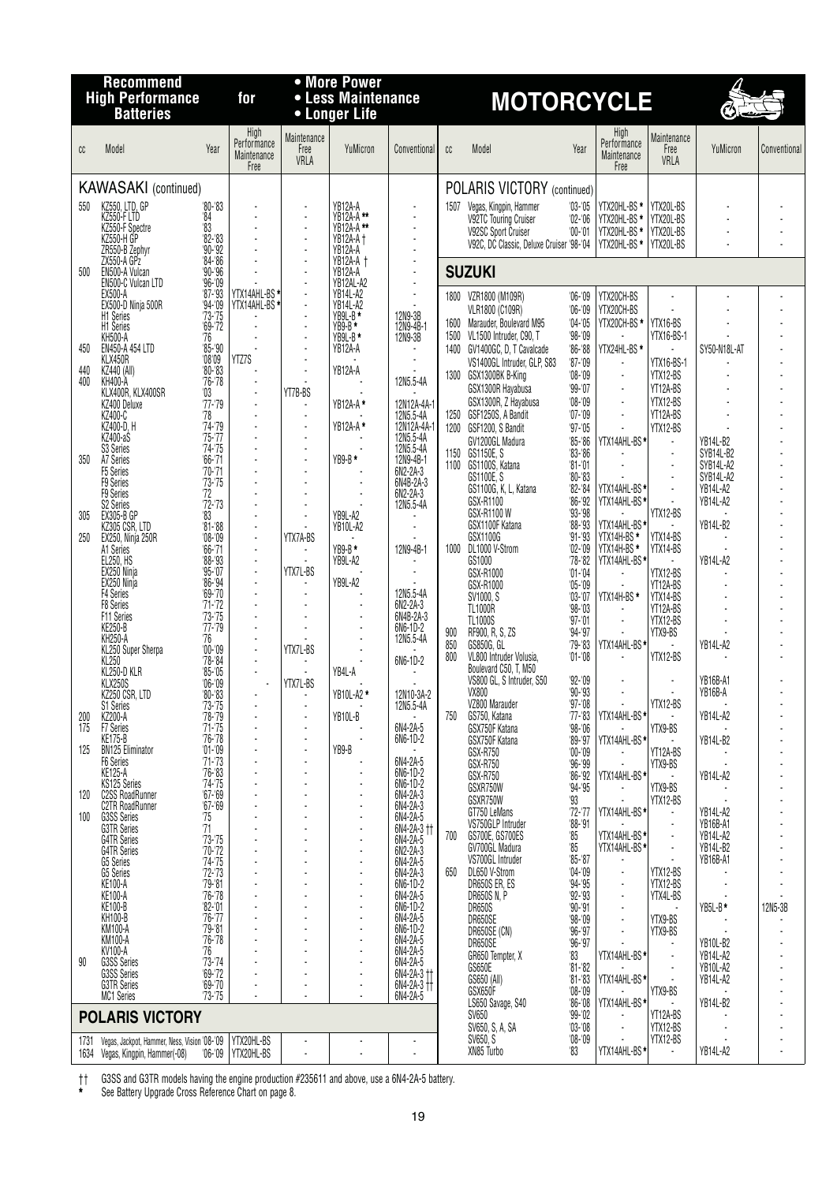|            | <b>Recommend</b>                                 |                                                                          |                                            |                             | • More Power                        |                                            |            |                                                              |                               |                                            |                             |                             |              |
|------------|--------------------------------------------------|--------------------------------------------------------------------------|--------------------------------------------|-----------------------------|-------------------------------------|--------------------------------------------|------------|--------------------------------------------------------------|-------------------------------|--------------------------------------------|-----------------------------|-----------------------------|--------------|
|            | <b>High Performance</b><br><b>Batteries</b>      |                                                                          | for                                        |                             | • Less Maintenance<br>• Longer Life |                                            |            | <b>MOTORCYCLE</b>                                            |                               |                                            |                             | Ó                           |              |
| cc         | Model                                            | Year                                                                     | High<br>Performance<br>Maintenance<br>Free | Maintenance<br>Free<br>VRLA | YuMicron                            | Conventional                               | cc         | Model                                                        | Year                          | High<br>Performance<br>Maintenance<br>Free | Maintenance<br>Free<br>VRLA | YuMicron                    | Conventional |
|            | <b>KAWASAKI</b> (continued)                      |                                                                          |                                            |                             |                                     |                                            |            | POLARIS VICTORY (continued)                                  |                               |                                            |                             |                             |              |
| 550        | KZ550, LTD, GP<br>KZ550-F LTD                    | $80 - 83$<br>84                                                          |                                            |                             | YB12A-A<br>YB12A-A **               |                                            | 1507       | Vegas, Kingpin, Hammer<br>V92TC Touring Cruiser              | $03 - 05$<br>$02 - 06$        | YTX20HL-BS *                               | YTX20L-BS                   |                             |              |
|            | KZ550-F Spectre<br>KZ550-H GP                    |                                                                          |                                            |                             | YB12A-A**<br><b>YB12A-A</b> +       | $\blacksquare$<br>$\overline{\phantom{a}}$ |            | V92SC Sport Cruiser                                          | $'00 - 01$                    | YTX20HL-BS *<br>YTX20HL-BS *               | YTX20L-BS<br>YTX20L-BS      |                             |              |
|            | ZR550-B Zephyr                                   | $\begin{array}{r} 63 \\ 83 \\ 82 - 83 \\ 90 - 92 \\ 84 - 86 \end{array}$ |                                            |                             | YB12A-A                             | $\overline{\phantom{a}}$                   |            | V92C, DC Classic, Deluxe Cruiser '98-'04                     |                               | YTX20HL-BS *                               | YTX20L-BS                   |                             |              |
| 500        | ZX550-A GPz<br>EN500-A Vulcan                    | $90 - 96$                                                                |                                            |                             | <b>YB12A-A +</b><br>YB12A-A         |                                            |            | <b>SUZUKI</b>                                                |                               |                                            |                             |                             |              |
|            | EN500-C Vulcan LTD<br>EX500-A                    | $\frac{96-09}{87-93}$                                                    | YTX14AHL-BS*                               |                             | YB12AL-A2<br>YB14L-A2               | $\blacksquare$<br>$\blacksquare$           |            | 1800 VZR1800 (M109R)                                         | $'06 - '09$                   | YTX20CH-BS                                 | $\overline{\phantom{a}}$    |                             |              |
|            | EX500-D Ninja 500R<br>H1 Series                  | $94 - 09$<br>$73 - 75$                                                   | YTX14AHL-BS                                |                             | YB14L-A2<br>YB9L-B *                | 12N9-3B                                    |            | VLR1800 (C109R)<br>1600 Marauder, Boulevard M95              | $06 - 09$<br>$04 - 05$        | YTX20CH-BS<br>YTX20CH-BS *                 | YTX16-BS                    |                             |              |
|            | H1 Series<br><b>KH500-A</b>                      | $69 - 72$<br>'76                                                         |                                            |                             | $YB9-B*$<br>YB9L-B*                 | 12N9-4B-1<br>12N9-3B                       |            | 1500 VL1500 Intruder, C90, T                                 | $98 - 09$                     |                                            | YTX16-BS-1                  |                             |              |
| 450        | EN450-A 454 LTD<br>KLX450R                       | $85 - 90$<br>08'09'                                                      | YTZ7S                                      |                             | YB12A-A                             |                                            |            | 1400 GV1400GC, D, T Cavalcade<br>VS1400GL Intruder, GLP, S83 | $86 - 88$<br>$'87 - '09$      | YTX24HL-BS*                                | YTX16-BS-1                  | SY50-N18L-AT                |              |
| 440<br>400 | KZ440 (All)<br>KH400-A                           | $80 - 83$<br>$76 - 78$                                                   |                                            |                             | YB12A-A                             | 12N5.5-4A                                  |            | 1300 GSX1300BK B-King                                        | $'08 - 09$                    | $\blacksquare$                             | YTX12-BS                    |                             |              |
|            | KLX400R, KLX400SR<br>KZ400 Deluxe                | $^{\prime}03$<br>$77 - 79$                                               |                                            | YT7B-BS                     | YB12A-A*                            | 12N12A-4A-1                                |            | GSX1300R Hayabusa<br>GSX1300R, Z Hayabusa                    | $99 - 07$<br>$08 - 09$        | $\blacksquare$<br>$\blacksquare$           | YT12A-BS<br>YTX12-BS        |                             |              |
|            | KZ400-C                                          | '78                                                                      |                                            |                             |                                     | 12N5.5-4A                                  |            | 1250 GSF1250S, A Bandit                                      | $'07 - '09$                   | $\blacksquare$                             | YT12A-BS                    |                             |              |
|            | KZ400-D, H<br>KZ400-aS                           | $74 - 79$<br>$75 - 77$                                                   |                                            | $\overline{a}$              | YB12A-A *                           | 12N12A-4A-1<br>12N5.5-4A                   |            | 1200 GSF1200, S Bandit<br>GV1200GL Madura                    | $97 - 05$<br>$85 - 86$        | YTX14AHL-BS*                               | YTX12-BS<br>$\blacksquare$  | YB14L-B2                    |              |
| 350        | S3 Series<br>A7 Series                           | $74 - 75$<br>$66 - 71$                                                   |                                            | $\overline{\phantom{a}}$    | YB9-B *                             | 12N5.5-4A                                  |            | 1150 GS1150E, S<br>1100 GS1100S, Katana                      | $83 - 86$<br>$81 - 01$        | ÷.                                         | $\overline{\phantom{a}}$    | SYB14L-B2<br>SYB14L-A2      |              |
|            | F5 Series<br>F9 Series                           | $'70 - '71$<br>$73 - 75$                                                 |                                            |                             |                                     | 6N2-2A-3<br>6N4B-2A-3                      |            | GS1100E, S                                                   | $80 - 83$                     |                                            |                             | SYB14L-A2                   |              |
|            | <b>F9 Series</b><br>S <sub>2</sub> Series        | 72<br>$72 - 73$                                                          |                                            |                             |                                     | 6N2-2A-3<br>12N5.5-4A                      |            | GS1100G, K, L, Katana<br>GSX-R1100                           | $82 - 84$<br>$86 - 92$        | YTX14AHL-BS*<br>YTX14AHL-BS*               | $\overline{\phantom{a}}$    | YB14L-A2<br><b>YB14L-A2</b> |              |
| 305        | <b>EX305-B GP</b>                                | '83                                                                      |                                            |                             | YB9L-A2<br>YB10L-A2                 |                                            |            | GSX-R1100 W<br>GSX1100F Katana                               | $93 - 98$<br>$'88 - '93$      | YTX14AHL-BS*                               | YTX12-BS                    | YB14L-B2                    |              |
| 250        | KZ305 CSR, LTD<br>EX250, Ninja 250R              | $^{181-188}_{08-09}$                                                     | ÷.                                         | YTX7A-BS                    |                                     |                                            |            | GSX1100G                                                     | $91 - 93$                     | YTX14H-BS*                                 | YTX14-BS                    |                             |              |
|            | A1 Series<br>EL250, HS                           | $66 - 71$<br>$98 - 93$                                                   | $\blacksquare$                             |                             | $YB9-B*$<br>YB9L-A2                 | 12N9-4B-1                                  |            | 1000 DL1000 V-Strom<br>GS1000                                | $'02 - 09$<br>$78 - 82$       | YTX14H-BS*<br>YTX14AHL-BS*                 | YTX14-BS                    | <b>YB14L-A2</b>             |              |
|            | EX250 Ninja<br>EX250 Ninja                       | $95 - 07$<br>$86 - 94$                                                   | ÷.<br>$\overline{a}$                       | YTX7L-BS                    | YB9L-A2                             |                                            |            | GSX-R1000<br>GSX-R1000                                       | $'01 - 04$<br>$05 - 09$       |                                            | YTX12-BS<br>YT12A-BS        |                             |              |
|            | F4 Series<br><b>F8 Series</b>                    | $69 - 70$<br>$71 - 72$                                                   |                                            |                             |                                     | 12N5.5-4A<br>6N2-2A-3                      |            | SV1000, S<br><b>TL1000R</b>                                  | $'03 - '07$<br>$98 - 03$      | YTX14H-BS*                                 | YTX14-BS<br>YT12A-BS        |                             |              |
|            | F11 Series<br>KE250-B                            | $73 - 75$<br>$77 - 79$                                                   |                                            |                             |                                     | 6N4B-2A-3<br>6N6-1D-2                      |            | TL1000S                                                      | $97 - 01$                     | $\blacksquare$                             | YTX12-BS                    |                             |              |
|            | <b>KH250-A</b><br>KL250 Super Sherpa             | 76<br>$00 - 09$                                                          | $\blacksquare$                             | YTX7L-BS                    |                                     | 12N5.5-4A                                  | 900<br>850 | RF900, R, S, ZS<br>GS850G, GL                                | $94 - 97$<br>$'79 - 83$       | YTX14AHL-BS*                               | YTX9-BS                     | YB14L-A2                    |              |
|            | KL250<br>KL250-D KLR                             | $'78 - 84$                                                               |                                            |                             |                                     | 6N6-1D-2                                   | 800        | VL800 Intruder Volusia,<br>Boulevard C50, T, M50             | $'01 - 08$                    |                                            | YTX12-BS                    |                             |              |
|            | KLX250S                                          | $85 - 05$<br>$'06 - 09$                                                  |                                            | YTX7L-BS                    | YB4L-A                              |                                            |            | VS800 GL, S Intruder, S50                                    | $92 - 09$                     | $\blacksquare$                             |                             | YB16B-A1                    |              |
|            | KZ250 CSR, LTD<br>S1 Series                      | $80 - 83$<br>'73-'75<br>'78-'79                                          |                                            |                             | YB10L-A2 *                          | 12N10-3A-2<br>12N5.5-4A                    |            | VX800<br>VZ800 Marauder                                      | $90 - 93$<br>$97 - 08$        |                                            | YTX12-BS                    | YB16B-A                     |              |
| 200<br>175 | <b>KZ200-A</b>                                   | $71 - 75$                                                                |                                            |                             | YB10L-B                             | 6N4-2A-5                                   | 750        | GS750, Katana<br>GSX750F Katana                              | $'77 - 83$<br>$98 - 06$       | YTX14AHL-BS*                               | YTX9-BS                     | YB14L-A2                    |              |
| 125        | F7 Series<br>KE175-B<br><b>BN125 Eliminator</b>  | $76 - 78$<br>$'01 - 09$                                                  |                                            |                             | YB9-B                               | 6N6-1D-2                                   |            | GSX750F Katana<br>GSX-R750                                   | $89 - 97$<br>$'00 - '09$      | YTX14AHL-BS*                               | YT12A-BS                    | YB14L-B2                    |              |
|            | F6 Series<br><b>KE125-A</b>                      | $71 - 73$<br>$76 - 83$                                                   |                                            |                             |                                     | 6N4-2A-5<br>6N6-1D-2                       |            | GSX-R750<br>GSX-R750                                         | $96 - 99$                     |                                            | YTX9-BS                     |                             |              |
|            | KS125 Series                                     | $74 - 75$<br>$67 - 69$                                                   |                                            |                             |                                     | 6N6-1D-2                                   |            | GSXR750W                                                     | $86 - 92$<br>$94 - 95$        | YTX14AHL-BS*                               | YTX9-BS                     | YB14L-A2                    |              |
| 120        | <b>C2SS RoadRunner</b><br><b>C2TR RoadRunner</b> | $67 - 69$                                                                |                                            |                             |                                     | 6N4-2A-3<br>6N4-2A-3<br>6N4-2A-5           |            | GSXR750W<br>GT750 LeMans                                     | '93<br>$72 - 77$              | YTX14AHL-BS*                               | YTX12-BS<br>$\blacksquare$  | YB14L-A2                    |              |
| 100        | G3SS Series<br>G3TR Series                       | 75<br>71                                                                 |                                            |                             |                                     | 6N4-2A-3 ††                                |            | VS750GLP Intruder<br>GS700E, GS700ES                         | $88 - 91$<br>85               | YTX14AHL-BS*                               | $\blacksquare$              | YB16B-A1<br>YB14L-A2        |              |
|            | <b>G4TR Series</b><br><b>G4TR Series</b>         | $73 - 75$<br>$70 - 72$                                                   |                                            |                             |                                     | 6N4-2A-5<br>6N2-2A-3                       | 700        | GV700GL Madura                                               | 85                            | YTX14AHL-BS*                               | ÷,                          | YB14L-B2                    |              |
|            | G5 Series<br>G5 Series<br>KE100-A                | $74 - 75$<br>$72 - 73$                                                   |                                            |                             |                                     | 6N4-2A-5<br>6N4-2A-3                       | 650        | VS700GL Intruder<br>DL650 V-Strom                            | $85 - 87$<br>$04 - 09$        |                                            | YTX12-BS                    | YB16B-A1                    |              |
|            |                                                  | $'79 - '81$<br>$76 - 78$                                                 |                                            |                             |                                     | 6N6-1D-2<br>6N4-2A-5                       |            | DR650S ER, ES<br><b>DR650S N, P</b>                          | $94 - 95$<br>$92 - 93$        | $\blacksquare$<br>$\blacksquare$           | YTX12-BS<br>YTX4L-BS        |                             |              |
|            | KE100-A<br>KE100-B<br>KH100-B                    | $\frac{82}{76}$ -'01                                                     |                                            |                             |                                     | 6N6-1D-2<br>6N4-2A-5                       |            | <b>DR650S</b>                                                | $90 - 91$                     |                                            |                             | YB5L-B*                     | 12N5-3B      |
|            | KM100-A<br>KM100-A                               | $'79 - 81$                                                               |                                            |                             |                                     | 6N6-1D-2                                   |            | DR650SE<br>DR650SE (CN)                                      | $98 - 09$<br>$96 - 97$        | $\blacksquare$                             | YTX9-BS<br>YTX9-BS          |                             |              |
|            | KV100-A                                          | '76-'78<br>76                                                            |                                            |                             |                                     | 6N4-2A-5<br>6N4-2A-5                       |            | DR650SE<br>GR650 Tempter, X                                  | $96 - 97$<br>'83              | YTX14AHL-BS*                               | $\blacksquare$              | YB10L-B2<br>YB14L-A2        |              |
| 90         | G3SS Series<br>G3SS Series                       | $73 - 74$<br>$69 - 72$                                                   |                                            |                             |                                     | $6N4-2A-5$<br>$6N4-2A-3$ T                 |            | GS650E<br>GS650 (All)                                        | $81 - 82$<br>$81 - 83$        | YTX14AHL-BS*                               |                             | YB10L-A2<br>YB14L-A2        |              |
|            | <b>G3TR Series</b><br><b>MC1 Series</b>          | $69 - 70$<br>$73 - 75$                                                   |                                            |                             |                                     | $6N4 - 2A - 3$ +<br>6N4-2A-5               |            | GSX650F                                                      | $08 - 09$                     |                                            | YTX9-BS                     |                             |              |
|            | <b>POLARIS VICTORY</b>                           |                                                                          |                                            |                             |                                     |                                            |            | LS650 Savage, S40<br>SV650                                   | $86 - 08$<br>$99 - 02$        | YTX14AHL-BS*                               | YT12A-BS                    | YB14L-B2                    |              |
| 1731       | Vegas, Jackpot, Hammer, Ness, Vision '08-'09     |                                                                          | YTX20HL-BS                                 |                             |                                     |                                            |            | SV650, S, A, SA<br>SV650, S<br>XN85 Turbo                    | $03 - 08$<br>$08 - 09$<br>'83 | ÷,<br>$\blacksquare$<br>YTX14AHL-BS*       | YTX12-BS<br>YTX12-BS        | YB14L-A2                    |              |
|            | 1634 Vegas, Kingpin, Hammer(-08)                 |                                                                          | '06-'09 YTX20HL-BS                         |                             |                                     |                                            |            |                                                              |                               |                                            |                             |                             |              |

†† G3SS and G3TR models having the engine production #235611 and above, use a 6N4-2A-5 battery.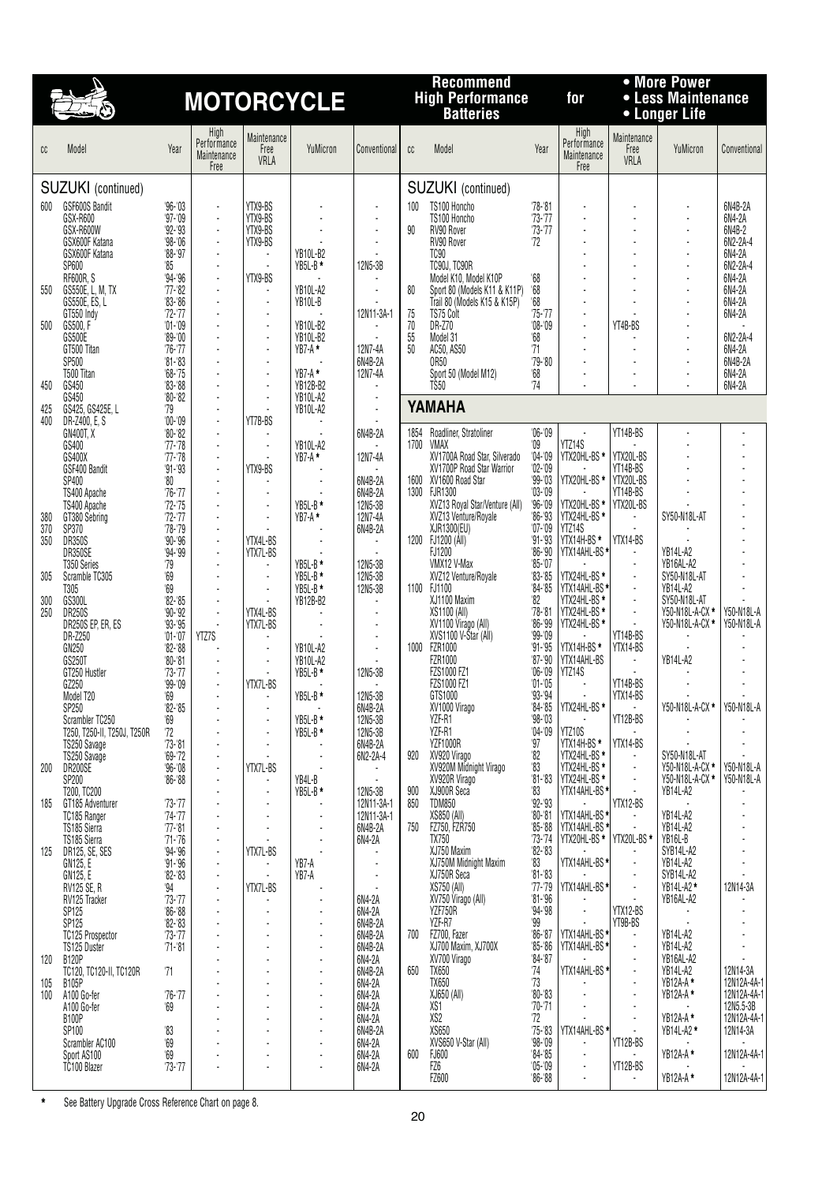# **High Performance for • Less Maintenance MOTORCYCLE Batteries • Longer Life**

## **Recommend • More Power**

| CC  | Model                      | Year                       | High<br>Performance<br>Maintenance<br>Free | Maintenance<br>Free<br>VRLA | YuMicron        | Conventional | cc       | Model                          | Year                    | High<br>Performance<br>Maintenance<br>Free | Maintenance<br>Free<br>VRLA | YuMicron        | Conventiona |
|-----|----------------------------|----------------------------|--------------------------------------------|-----------------------------|-----------------|--------------|----------|--------------------------------|-------------------------|--------------------------------------------|-----------------------------|-----------------|-------------|
|     | SUZUKI (continued)         |                            |                                            |                             |                 |              |          | SUZUKI (continued)             |                         |                                            |                             |                 |             |
| 600 | GSF600S Bandit             | $96 - 03$                  |                                            | YTX9-BS                     |                 |              | 100      | TS100 Honcho                   | $78 - 81$               | $\blacksquare$                             |                             |                 | 6N4B-2A     |
|     | GSX-R600                   | $97 - 09$                  |                                            | YTX9-BS                     |                 |              |          | TS100 Honcho                   | $73 - 77$               |                                            |                             |                 | 6N4-2A      |
|     | GSX-R600W                  | $92 - 93$                  |                                            | YTX9-BS                     |                 |              | 90       | RV90 Rover                     | $73 - 77$               |                                            | $\sim$                      |                 | 6N4B-2      |
|     | GSX600F Katana             | $98 - 06$                  |                                            | YTX9-BS                     |                 |              |          | RV90 Rover                     | 72                      |                                            | ÷                           |                 | 6N2-2A-4    |
|     | GSX600F Katana             | $'88 - '97$                |                                            | ÷.                          | YB10L-B2        |              |          | <b>TC90</b>                    |                         |                                            | ÷                           | ×               | 6N4-2A      |
|     | SP600                      | '85                        |                                            |                             | YB5L-B*         | 12N5-3B      |          | TC90J, TC90R                   |                         |                                            |                             |                 | 6N2-2A-4    |
|     | <b>RF600R, S</b>           | $94 - 96$                  |                                            | YTX9-BS                     |                 |              |          | Model K10, Model K10P          | $68\,$                  |                                            |                             |                 | 6N4-2A      |
| 550 | GS550E, L, M, TX           | $'77 - 82$                 |                                            | ÷,                          | YB10L-A2        |              | 80       | Sport 80 (Models K11 & K11P)   | $68\,$                  |                                            |                             |                 | 6N4-2A      |
|     | GS550E, ES, L              | $'83 - '86$                |                                            | $\overline{a}$              | YB10L-B         |              |          | Trail 80 (Models K15 & K15P)   | $68\,$                  |                                            |                             |                 | 6N4-2A      |
| 500 | GT550 Indy<br>GS500, F     | $72 - 77$<br>$'01 - '09$   |                                            | ÷,                          | YB10L-B2        | 12N11-3A-1   | 75<br>70 | TS75 Colt<br>DR-Z70            | $75 - 77$<br>$'08 - 09$ |                                            | YT4B-BS                     |                 | 6N4-2A      |
|     | GS500E                     | $'89 - '00$                |                                            | ÷,                          | YB10L-B2        |              | 55       | Model 31                       | 68                      |                                            |                             |                 | 6N2-2A-4    |
|     | GT500 Titan                | $76 - 77$                  |                                            | $\blacksquare$              | YB7-A *         | 12N7-4A      | 50       | AC50, AS50                     | 71                      |                                            |                             |                 | 6N4-2A      |
|     | SP500                      | $81 - 83$                  |                                            |                             |                 | 6N4B-2A      |          | <b>OR50</b>                    | $79 - 80$               |                                            |                             |                 | 6N4B-2A     |
|     | T500 Titan                 | $68 - 75$                  |                                            | ÷,                          | $YB7-A*$        | 12N7-4A      |          | Sport 50 (Model M12)           | 68                      |                                            | $\overline{\phantom{a}}$    |                 | 6N4-2A      |
| 450 | GS450                      | $83 - 88$                  |                                            |                             | YB12B-B2        |              |          | T\$50                          | 74                      |                                            |                             |                 | 6N4-2A      |
|     | GS450                      | $'80 - '82$                |                                            | ÷,                          | YB10L-A2        |              |          | YAMAHA                         |                         |                                            |                             |                 |             |
| 425 | GS425, GS425E, L           | '79                        |                                            |                             | <b>YB10L-A2</b> |              |          |                                |                         |                                            |                             |                 |             |
| 400 | DR-Z400, E. S<br>GN400T, X | $'00 - '09$<br>$'80 - '82$ |                                            | YT7B-BS                     |                 | 6N4B-2A      | 1854     | Roadliner, Stratoliner         | $06 - 09$               |                                            | YT14B-BS                    |                 |             |
|     | GS400                      | $'77 - 78$                 |                                            | ÷,                          | YB10L-A2        |              | 1700     | <b>VMAX</b>                    | $^{\prime}09$           | YTZ14S                                     |                             |                 |             |
|     | GS400X                     | $'77 - '78$                |                                            |                             | YB7-A *         | 12N7-4A      |          | XV1700A Road Star, Silverado   | $04 - 09$               | YTX20HL-BS *                               | YTX20L-BS                   |                 |             |
|     | GSF400 Bandit              | $91 - 93$                  |                                            | YTX9-BS                     |                 |              |          | XV1700P Road Star Warrior      | $02 - 09$               |                                            | YT14B-BS                    |                 |             |
|     | SP400                      | '80                        |                                            |                             |                 | 6N4B-2A      |          | 1600 XV1600 Road Star          | $99 - 03$               | YTX20HL-BS *                               | YTX20L-BS                   |                 |             |
|     | TS400 Apache               | $76 - 77$                  |                                            |                             |                 | 6N4B-2A      |          | 1300 FJR1300                   | $03 - 09$               |                                            | YT14B-BS                    |                 |             |
|     | TS400 Apache               | $72 - 75$                  |                                            | ÷,                          | YB5L-B*         | 12N5-3B      |          | XVZ13 Royal Star/Venture (All) | $96 - 09$               | YTX20HL-BS *                               | YTX20L-BS                   |                 |             |
| 380 | GT380 Sebring              | $72 - 77$                  |                                            | ÷,                          | YB7-A*          | 12N7-4A      |          | XVZ13 Venture/Royale           | $86 - 93$               | YTX24HL-BS *                               |                             | SY50-N18L-AT    |             |
| 370 | SP370                      | $78 - 79$<br>$90 - 96$     |                                            |                             |                 | 6N4B-2A      | 1200     | XJR1300(EU)<br>FJ1200 (All)    | $'07 - 09$<br>$91 - 93$ | YTZ14S<br>YTX14H-BS*                       | YTX14-BS                    |                 |             |
| 350 | <b>DR350S</b><br>DR350SE   | $94 - 99$                  |                                            | YTX4L-BS<br>YTX7L-BS        |                 |              |          | FJ1200                         | $86 - 90$               | YTX14AHL-BS*                               |                             | YB14L-A2        |             |
|     | T350 Series                | 79                         |                                            | $\blacksquare$              | YB5L-B*         | 12N5-3B      |          | VMX12 V-Max                    | $85 - 07$               |                                            |                             | YB16AL-A2       |             |
| 305 | Scramble TC305             | $^{\prime}69$              |                                            | $\blacksquare$              | $YB5L-B*$       | 12N5-3B      |          | XVZ12 Venture/Royale           | $83 - 85$               | YTX24HL-BS *                               | $\blacksquare$              | SY50-N18L-AT    |             |
|     | T305                       | 69                         |                                            | ÷,                          | $YB5L-B*$       | 12N5-3B      |          | 1100 FJ1100                    | $84 - 85$               | YTX14AHL-BS*                               |                             | <b>YB14L-A2</b> |             |
| 300 | GS300L                     | $82 - 85$                  |                                            |                             | YB12B-B2        |              |          | XJ1100 Maxim                   | $^{\prime}82$           | YTX24HL-BS *                               |                             | SY50-N18L-AT    |             |
| 250 | <b>DR250S</b>              | $90 - 92$                  |                                            | YTX4L-BS                    |                 |              |          | XS1100 (All)                   | $'78 - 81$              | YTX24HL-BS *                               | $\blacksquare$              | Y50-N18L-A-CX * | Y50-N18L-A  |
|     | DR250S EP, ER, ES          | $93 - 95$                  |                                            | YTX7L-BS                    |                 |              |          | XV1100 Virago (All)            | $86 - 99$<br>0.00100    | YTX24HL-BS *                               | T11000                      | Y50-N18L-A-CX * | Y50-N18L-A  |

|            | GT500 Titan<br>SP500<br>T500 Titan                   | '76-'77<br>$\frac{181 - 83}{68 - 75}$<br>$83 - 88$ |       | $\blacksquare$       | YB7-A *<br>YB7-A *               | 12N7-4A<br>6N4B-2A<br>12N7-4A   | 50           | AC50, AS50<br><b>OR50</b><br>Sport 50 (Model M12)      | 71<br>$79 - 80$<br>68      |                              |                       |                       | 6N4-2A<br>6N4B-2A<br>6N4-2A |
|------------|------------------------------------------------------|----------------------------------------------------|-------|----------------------|----------------------------------|---------------------------------|--------------|--------------------------------------------------------|----------------------------|------------------------------|-----------------------|-----------------------|-----------------------------|
| 450<br>425 | GS450<br>GS450<br>GS425, GS425E, L                   | $80 - 82$<br>'79                                   |       | ÷,<br>$\overline{a}$ | YB12B-B2<br>YB10L-A2<br>YB10L-A2 |                                 |              | TS50<br>YAMAHA                                         | 74                         |                              |                       |                       | 6N4-2A                      |
| 400        | DR-Z400, E, S                                        | $00 - 09$                                          |       | YT7B-BS              |                                  |                                 |              |                                                        |                            |                              | YT14B-BS              |                       |                             |
|            | GN400T, X<br>GS400                                   | $80 - 82$<br>$77 - 78$                             |       | ÷,                   | YB10L-A2                         | 6N4B-2A                         | 1854<br>1700 | Roadliner, Stratoliner<br>VMAX                         | $06 - 09$<br>$^{\prime}09$ | YTZ14S                       |                       |                       |                             |
|            | GS400X                                               | $77 - 78$                                          |       |                      | $YB7-A*$                         | 12N7-4A                         |              | XV1700A Road Star, Silverado                           | $04 - 09$                  | YTX20HL-BS *                 | YTX20L-BS             |                       |                             |
|            | GSF400 Bandit                                        | $91 - 93$                                          |       | YTX9-BS              |                                  |                                 |              | XV1700P Road Star Warrior                              | $'02 - 09$                 |                              | YT14B-BS              |                       |                             |
|            | SP400                                                | $^{\prime}80$                                      |       |                      |                                  | 6N4B-2A                         | 1600         | XV1600 Road Star                                       | $99 - 03$                  | YTX20HL-BS *                 | YTX20L-BS             |                       |                             |
|            | TS400 Apache                                         | $76 - 77$<br>$72 - 75$                             |       | ÷,                   | YB5L-B*                          | 6N4B-2A<br>12N <sub>5</sub> -3B |              | 1300 FJR1300                                           | $03 - 09$<br>$96 - 09$     | YTX20HL-BS *                 | YT14B-BS<br>YTX20L-BS |                       |                             |
| 380        | TS400 Apache<br>GT380 Sebring                        | $72 - 77$                                          |       | $\overline{a}$       | YB7-A*                           | 12N7-4A                         |              | XVZ13 Royal Star/Venture (All)<br>XVZ13 Venture/Royale | $86 - 93$                  | YTX24HL-BS*                  |                       | SY50-N18L-AT          |                             |
| 370        | SP370                                                | $78 - 79$                                          |       |                      |                                  | 6N4B-2A                         |              | XJR1300(EU)                                            | $07 - 09$                  | YTZ14S                       |                       |                       |                             |
| 350        | DR350S                                               | $90 - 96$                                          |       | YTX4L-BS             |                                  |                                 |              | 1200 FJ1200 (All)                                      | $91 - 93$                  | YTX14H-BS*                   | YTX14-BS              |                       |                             |
|            | DR350SE                                              | $94 - 99$                                          |       | YTX7L-BS             |                                  |                                 |              | FJ1200                                                 | $86 - 90$                  | YTX14AHL-BS*                 |                       | YB14L-A2<br>YB16AL-A2 |                             |
|            | T350 Series<br>Scramble TC305                        | 79<br>69                                           |       | $\overline{a}$       | YB5L-B*<br>YB5L-B*               | 12N5-3B<br>12N5-3B              |              | VMX12 V-Max<br>XVZ12 Venture/Royale                    | $85 - 07$<br>$83 - 85$     |                              | $\overline{a}$        | SY50-N18L-AT          |                             |
| 305        | T305                                                 | $^{\circ}69$                                       |       |                      | YB5L-B*                          | 12N5-3B                         |              | 1100 FJ1100                                            | $84 - 85$                  | YTX24HL-BS *                 |                       | YB14L-A2              |                             |
| 300        | GS300L                                               | $82 - 85$                                          |       | $\overline{a}$       | YB12B-B2                         |                                 |              | XJ1100 Maxim                                           | 82                         | YTX14AHL-BS*<br>YTX24HL-BS*  | L.                    | SY50-N18L-AT          |                             |
| 250        | <b>DR250S</b>                                        | $90 - 92$                                          |       | YTX4L-BS             |                                  |                                 |              | XS1100 (All)                                           | $78 - 81$                  | YTX24HL-BS*                  | L.                    | Y50-N18L-A-CX *       | Y50-N18L-A                  |
|            | DR250S EP, ER, ES                                    | $93 - 95$                                          |       | YTX7L-BS             |                                  |                                 |              | XV1100 Virágo (All)                                    | $86 - 99$                  | YTX24HL-BS *                 | $\overline{a}$        | Y50-N18L-A-CX *       | Y50-N18L-A                  |
|            | DR-Z250                                              | $'01 - 07$                                         | YTZ7S |                      |                                  |                                 | 1000         | XVS1100 V-Štar (All)<br><b>FZR1000</b>                 | $99 - 09$<br>$91 - 95$     |                              | YT14B-BS              |                       |                             |
|            | GN250<br>GS250T                                      | $82 - 88$<br>$80 - 81$                             |       | $\overline{a}$       | YB10L-A2<br>YB10L-A2             | $\overline{a}$                  |              | FZR1000                                                | $87 - 90$                  | YTX14H-BS*<br>YTX14AHL-BS    | YTX14-BS              | <b>YB14L-A2</b>       |                             |
|            | GT250 Hustler                                        | $73 - 77$                                          |       |                      | YB5L-B*                          | 12N5-3B                         |              |                                                        | $06 - 09$                  | YTZ14S                       |                       |                       |                             |
|            | GZ250                                                | $99 - 09$                                          |       | YTX7L-BS             |                                  |                                 |              | FZS1000 FZ1<br>FZS1000 FZ1                             | $'01 - 05$                 |                              | YT14B-BS              |                       |                             |
|            | Model T20                                            | 69                                                 |       |                      | YB5L-B*                          | 12N5-3B                         |              | GTS1000                                                | $93 - 94$                  |                              | YTX14-BS              |                       |                             |
|            | SP250                                                | $82 - 85$                                          |       | ÷,<br>$\overline{a}$ |                                  | 6N4B-2A<br>12N5-3B              |              | XV1000 Virago<br>YZF-R1                                | $84 - 85$<br>$98 - 03$     | YTX24HL-BS *                 | YT12B-BS              | Y50-N18L-A-CX *       | Y50-N18L-A                  |
|            | Scrambler TC250<br>T250, T250-II, T250J, T250R       | $69$<br>$72$                                       |       |                      | YB5L-B*<br>YB5L-B*               | 12N5-3B                         |              | YZF-R1                                                 | $04 - 09$                  | YTZ10S                       |                       |                       |                             |
|            | TS250 Savage                                         | $'73 - 81$                                         |       |                      |                                  | 6N4B-2A                         |              | <b>YZF1000R</b>                                        | $97$                       | YTX14H-BS <sup>*</sup>       | YTX14-BS              |                       |                             |
|            | TS250 Savage                                         | $69 - 72$                                          |       | $\blacksquare$       |                                  | 6N2-2A-4                        | 920          | XV920 Virago                                           | 82                         | YTX24HL-BS *                 |                       | SY50-N18L-AT          |                             |
| 200        | DR200SE                                              | $96 - 08$                                          |       | YTX7L-BS             |                                  |                                 |              | XV920M Midnight Virago                                 | 83                         |                              | $\blacksquare$        | Y50-N18L-A-CX *       | Y50-N18L-A                  |
|            | SP200                                                | $86 - 88$                                          |       |                      | YB4L-B                           |                                 |              | XV920R Virago                                          | $81 - 83$                  | YTX24HL-BS *                 | L.                    | Y50-N18L-A-CX *       | Y50-N18L-A                  |
| 185        | T200, TC200<br>GT185 Adventurer                      | $73 - 77$                                          |       | $\overline{a}$       | YB5L-B*                          | 12N5-3B<br>12N11-3A-1           | 900<br>850   | XJ900R Seca<br><b>TDM850</b>                           | 83<br>$92 - 93$            | YTX14AHL-BS*                 | YTX12-BS              | <b>YB14L-A2</b>       |                             |
|            | TC185 Ranger                                         | $74 - 77$                                          |       | $\overline{a}$       |                                  | 12N11-3A-1                      |              | XS850 (All)                                            | $80 - 81$                  | YTX14AHL-BS*                 |                       | YB14L-A2              |                             |
|            | TS185 Sierra                                         | $'77 - '81$                                        |       | ÷,                   |                                  | 6N4B-2A                         | 750          | FZ750, FZR750                                          | $85 - 88$                  | YTX14AHL-BS *                |                       | YB14L-A2              |                             |
|            | TS185 Sierra                                         | $71 - 76$                                          |       |                      |                                  | 6N4-2A                          |              | TX750                                                  | $73 - 74$                  |                              | YTX20L-BS*            | YB16L-B               |                             |
| 125        | DR125, SE, SES                                       | $94 - 96$                                          |       | YTX7L-BS             |                                  |                                 |              | XJ750 Maxim                                            | $82 - 83$                  |                              |                       | SYB14L-A2             |                             |
|            | GN125, E<br>GN125, E                                 | $91 - 96$<br>$82 - 83$                             |       |                      | YB7-A<br>YB7-A                   |                                 |              | XJ750M Midnight Maxim<br>XJ750R Seca                   | $^{\circ}83$<br>$81 - 83$  | YTX14AHL-BS*                 |                       | YB14L-A2<br>SYB14L-A2 |                             |
|            | <b>RV125 SE, R</b>                                   | 94                                                 |       | YTX7L-BS             |                                  |                                 |              | XS750 (All)                                            | $77 - 79$                  | YTX14AHL-BS*                 | $\overline{a}$        | YB14L-A2 *            | 12N14-3A                    |
|            | RV125 Tracker                                        | $73 - 77$                                          |       |                      |                                  | 6N4-2A                          |              | XV750 Virágo (All)                                     | $'81 - '96$                |                              |                       | YB16AL-A2             |                             |
|            | SP125                                                | $86 - 88$                                          |       |                      |                                  | 6N4-2A                          |              | YZF750R                                                | $94 - 98$                  |                              | YTX12-BS              |                       |                             |
|            | SP125                                                | $82 - 83$                                          |       |                      |                                  | 6N4B-2A                         |              | YZF-R7                                                 | 99                         |                              | YT9B-BS               |                       |                             |
|            | TC125 Prospector<br>TS125 Duster                     | $73 - 77$<br>$'71 - 81$                            |       |                      |                                  | $6N4B-2A$<br>6N4B-2A            | 700          | FZ700, Fazer<br>XJ700 Maxim, XJ700X                    | $86 - 87$<br>$85 - 86$     | YTX14AHL-BS*<br>YTX14AHL-BS* | $\overline{a}$        | YB14L-A2<br>YB14L-A2  |                             |
| 120        | <b>B120P</b>                                         |                                                    |       |                      |                                  | 6N4-2A                          |              | XV700 Virago                                           | $84 - 87$                  |                              |                       | YB16AL-A2             |                             |
|            | TC120, TC120-II, TC120R                              | '71                                                |       | ٠                    |                                  | 6N4B-2A                         | 650          | TX650                                                  | 74                         | YTX14AHL-BS*                 |                       | YB14L-A2              | 12N14-3A                    |
| 105        | <b>B105P</b>                                         |                                                    |       |                      |                                  | 6N4-2A                          |              | <b>TX650</b>                                           | 73                         |                              |                       | YB12A-A*              | 12N12A-4A-1                 |
| 100        | A100 Go-fer                                          | $76 - 77$                                          |       |                      |                                  | 6N4-2A                          |              | XJ650 (All)                                            | $80 - 83$                  |                              |                       | YB12A-A*              | 12N12A-4A-1                 |
|            | A100 Go-fer<br>B100P                                 | '69                                                |       |                      |                                  | 6N4-2A<br>6N4-2A                |              | XS1<br>XS2                                             | $70 - 71$<br>$72\,$        |                              |                       | YB12A-A*              | 12N5.5-3B<br>12N12A-4A-1    |
|            | SP100                                                | '83                                                |       |                      |                                  | 6N4B-2A                         |              | XS650                                                  | $75 - 83$                  | YTX14AHL-BS *                |                       | YB14L-A2 *            | 12N14-3A                    |
|            | Scrambler AC100                                      | 69                                                 |       |                      |                                  | 6N4-2A                          |              | XVS650 V-Star (All)                                    | $98 - 09$                  |                              | YT12B-BS              |                       |                             |
|            | Sport AS100                                          | '69                                                |       |                      |                                  | 6N4-2A                          | 600          | <b>FJ600</b>                                           | $84 - 85$                  |                              |                       | YB12A-A*              | 12N12A-4A-1                 |
|            | TC <sub>100</sub> Blazer                             | $73 - 77$                                          |       |                      |                                  | 6N4-2A                          |              | FZ6                                                    | $'05 - 09$                 |                              | YT12B-BS              |                       |                             |
|            |                                                      |                                                    |       |                      |                                  |                                 |              | FZ600                                                  | $86 - 88$                  |                              |                       | YB12A-A *             | 12N12A-4A-1                 |
|            | See Battery Upgrade Cross Reference Chart on page 8. |                                                    |       |                      |                                  |                                 |              |                                                        |                            |                              |                       |                       |                             |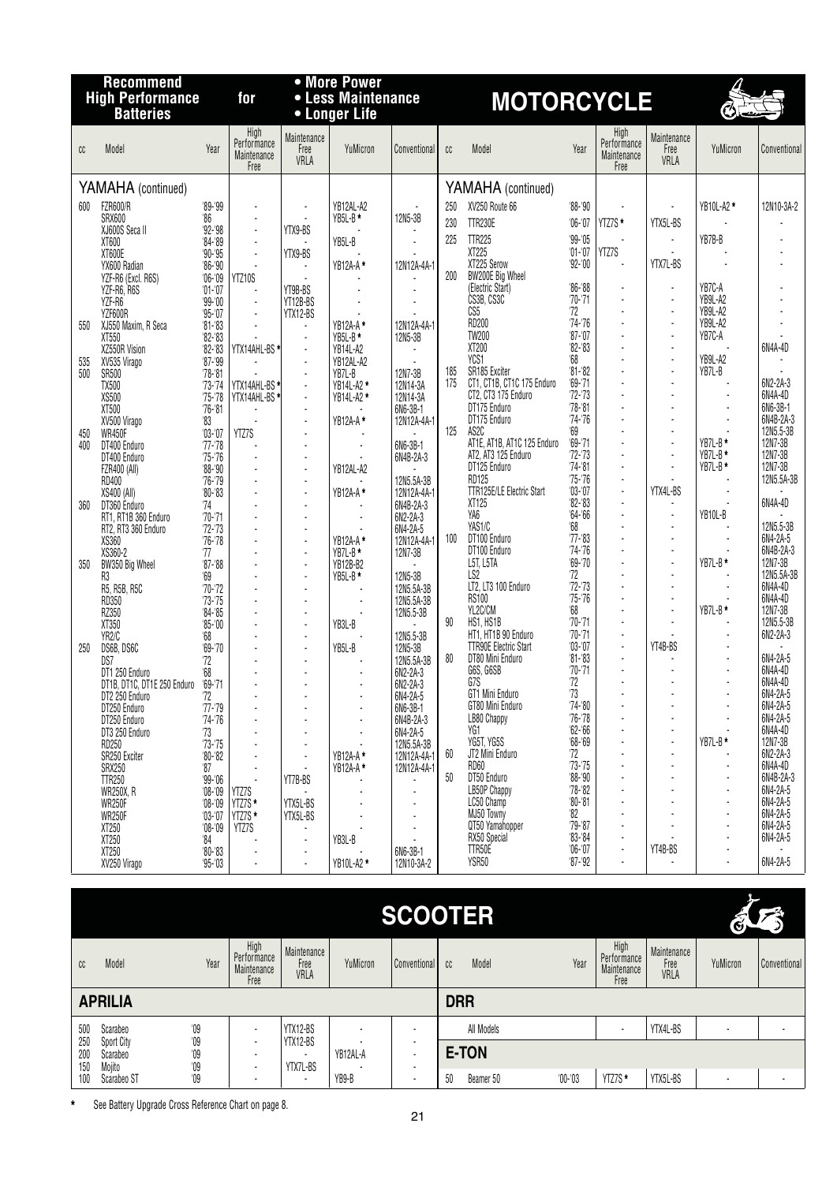|     | <b>Recommend</b><br><b>High Performance</b> |                                          | for                                        |                                            | • More Power<br>• Less Maintenance |                            |     | <b>MOTORCYCLE</b>                                 |                         |                                            |                             |                    |                       |
|-----|---------------------------------------------|------------------------------------------|--------------------------------------------|--------------------------------------------|------------------------------------|----------------------------|-----|---------------------------------------------------|-------------------------|--------------------------------------------|-----------------------------|--------------------|-----------------------|
|     | <b>Batteries</b>                            |                                          |                                            |                                            | • Longer Life                      |                            |     |                                                   |                         |                                            |                             | Ó                  |                       |
| CC  | Model                                       | Year                                     | High<br>Performance<br>Maintenance<br>Free | Maintenance<br>Free<br>VRLA                | YuMicron                           | Conventional               | cc  | Model                                             | Year                    | High<br>Performance<br>Maintenance<br>Free | Maintenance<br>Free<br>VRLA | YuMicron           | Conventional          |
|     | YAMAHA (continued)                          |                                          |                                            |                                            |                                    |                            |     | YAMAHA (continued)                                |                         |                                            |                             |                    |                       |
| 600 | <b>FZR600/R</b>                             | $99 - 99$                                |                                            |                                            | YB12AL-A2                          |                            | 250 | XV250 Route 66                                    | $'88 - '90$             |                                            |                             | YB10L-A2 *         | 12N10-3A-2            |
|     | SRX600                                      | $^{\prime}86$<br>$92 - 98$               |                                            | YTX9-BS                                    | YB5L-B*                            | 12N5-3B                    | 230 | <b>TTR230E</b>                                    | $06 - 07$               | YTZ7S *                                    | YTX5L-BS                    |                    |                       |
|     | XJ600S Seca II<br>XT600                     | $84 - 89$                                |                                            |                                            | YB5L-B                             |                            | 225 | <b>TTR225</b>                                     | $99 - 05$               |                                            | $\blacksquare$              | YB7B-B             |                       |
|     | XT600E                                      | $90 - 95$                                |                                            | YTX9-BS                                    |                                    |                            |     | XT225<br>XT225 Serow                              | $'01 - '07$             | YTZ7S<br>÷                                 | $\overline{a}$              |                    |                       |
|     | YX600 Radian<br>YZF-R6 (Excl. R6S)          | $86 - 90$<br>$06 - 09$                   | YTZ10S                                     |                                            | YB12A-A*                           | 12N12A-4A-1                | 200 | BW200E Big Wheel                                  | $92 - 00$               |                                            | YTX7L-BS                    |                    |                       |
|     | YZF-R6, R6S                                 | $'01 - '07$                              |                                            | YT9B-BS                                    |                                    |                            |     | (Electric Start)                                  | $86 - 88$               |                                            | ÷,                          | YB7C-A             |                       |
|     | YZF-R6                                      | $99 - 00$                                |                                            | YT12B-BS                                   |                                    | $\overline{a}$             |     | CS3B, CS3C<br>CS5                                 | '70-'71<br>72           |                                            | ÷,<br>÷,                    | YB9L-A2<br>YB9L-A2 |                       |
| 550 | YZF600R<br>XJ550 Maxim, R Seca              | $95 - 07$<br>$81 - 83$                   |                                            | YTX12-BS                                   | YB12A-A*                           | 12N12A-4A-1                |     | RD200                                             | $74 - 76$               |                                            |                             | YB9L-A2            |                       |
|     | XT550                                       | $82 - 83$                                |                                            | $\blacksquare$                             | YB5L-B*                            | 12N5-3B                    |     | <b>TW200</b>                                      | $87 - 07$               |                                            |                             | YB7C-A             |                       |
| 535 | XZ550R Vision<br>XV535 Virago               | $82 - 83$<br>$87 - 99$                   | YTX14AHL-BS *                              |                                            | YB14L-A2<br>YB12AL-A2              |                            |     | XT200<br>YCS1                                     | $82 - 83$<br>68         |                                            | ÷,<br>÷,                    | YB9L-A2            | 6N4A-4D               |
| 500 | SR500                                       | $78 - 81$                                |                                            |                                            | YB7L-B                             | 12N7-3B                    | 185 | SR185 Exciter                                     | $81 - 82$               |                                            | $\overline{a}$              | YB7L-B             |                       |
|     | <b>TX500</b>                                | $73 - 74$                                | YTX14AHL-BS*                               |                                            | YB14L-A2 *                         | 12N14-3A                   | 175 | CT1, CT1B, CT1C 175 Enduro<br>CT2, CT3 175 Enduro | $69 - 71$<br>$72 - 73$  |                                            |                             |                    | 6N2-2A-3<br>6N4A-4D   |
|     | XS500<br>XT500                              | $75 - 78$<br>$76 - 81$                   | YTX14AHL-BS*                               | $\overline{a}$                             | YB14L-A2 *                         | 12N14-3A<br>6N6-3B-1       |     | DT175 Enduro                                      | $78 - 81$               |                                            | ÷.                          |                    | 6N6-3B-1              |
|     | XV500 Virago                                | $^{\prime}83$                            |                                            | $\overline{a}$                             | YB12A-A*                           | 12N12A-4A-1                |     | DT175 Enduro                                      | $74 - 76$               |                                            |                             |                    | 6N4B-2A-3             |
| 450 | <b>WR450F</b>                               | $'03 -'07$                               | YTZ7S                                      |                                            |                                    |                            | 125 | AS2C<br>AT1E, AT1B, AT1C 125 Enduro               | '69<br>$69 - 71$        |                                            |                             | $YB7L-B*$          | 12N5.5-3B<br>12N7-3B  |
| 400 | DT400 Enduro<br>DT400 Enduro                | $'77 - '78$<br>$75 - 76$                 |                                            | $\blacksquare$<br>$\blacksquare$           |                                    | 6N6-3B-1<br>6N4B-2A-3      |     | AT2, AT3 125 Enduro                               | $72 - 73$               |                                            | ÷,                          | YB7L-B*            | 12N7-3B               |
|     | FZR400 (All)                                | $88 - 90$                                |                                            | $\overline{\phantom{a}}$                   | YB12AL-A2                          |                            |     | DT125 Enduro                                      | $74 - 81$               |                                            |                             | YB7L-B*            | 12N7-3B               |
|     | RD400                                       | $76 - 79$<br>$^{\prime}80 - ^{\prime}83$ |                                            | $\overline{\phantom{a}}$<br>$\overline{a}$ | YB12A-A*                           | 12N5.5A-3B<br>12N12A-4A-1  |     | <b>RD125</b><br><b>TTR125E/LE Electric Start</b>  | $75 - 76$<br>$'03 - 07$ | $\overline{a}$                             | YTX4L-BS                    |                    | 12N5.5A-3B            |
| 360 | XS400 (All)<br>DT360 Enduro                 | '74                                      |                                            |                                            |                                    | 6N4B-2A-3                  |     | XT125                                             | $82 - 83$               |                                            |                             |                    | 6N4A-4D               |
|     | RT1, RT1B 360 Enduro                        | $'70 - '71$                              |                                            | $\overline{a}$                             |                                    | 6N2-2A-3                   |     | YA6                                               | $64 - 66$               |                                            | $\overline{a}$              | YB10L-B            |                       |
|     | RT2, RT3 360 Enduro<br>XS360                | $72 - 73$<br>$76 - 78$                   |                                            | $\blacksquare$<br>÷,                       | YB12A-A*                           | 6N4-2A-5<br>12N12A-4A-1    | 100 | YAS1/C<br>DT100 Enduro                            | '68<br>$'77 - 83$       |                                            | ÷,                          |                    | 12N5.5-3B<br>6N4-2A-5 |
|     | XS360-2                                     | '77                                      |                                            | ÷,                                         | YB7L-B*                            | 12N7-3B                    |     | DT100 Enduro                                      | $74 - 76$               |                                            | ÷,                          |                    | 6N4B-2A-3             |
| 350 | BW350 Big Wheel                             | $87 - 88$                                |                                            | $\blacksquare$                             | YB12B-B2                           |                            |     | L5T, L5TA<br>LS <sub>2</sub>                      | $69 - 70$<br>72         |                                            | ÷.<br>÷,                    | YB7L-B*            | 12N7-3B<br>12N5.5A-3B |
|     | R3<br>R5, R5B, R5C                          | $^{\circ}69$<br>$70 - 72$                |                                            | $\blacksquare$                             | YB5L-B*                            | 12N5-3B<br>12N5.5A-3B      |     | LT2, LT3 100 Enduro                               | $72 - 73$               |                                            |                             |                    | 6N4A-4D               |
|     | RD350                                       | $73 - 75$                                |                                            | ÷                                          |                                    | 12N5.5A-3B                 |     | <b>RS100</b>                                      | $75 - 76$               |                                            | ÷,                          |                    | 6N4A-4D               |
|     | RZ350<br>XT350                              | $84 - 85$<br>$'85 - '00$                 |                                            | $\overline{\phantom{a}}$                   | YB3L-B                             | 12N5.5-3B                  | 90  | YL2C/CM<br>HS1, HS1B                              | '68<br>$70 - 71$        |                                            | ÷,                          | YB7L-B*            | 12N7-3B<br>12N5.5-3B  |
|     | YR2/C                                       | '68                                      |                                            | $\blacksquare$                             |                                    | 12N5.5-3B                  |     | HT1, HT1B 90 Enduro                               | $70 - 71$               |                                            | $\blacksquare$              |                    | 6N2-2A-3              |
| 250 | DS6B, DS6C                                  | $69 - 70$                                |                                            | ÷,                                         | YB5L-B                             | 12N5-3B                    | 80  | <b>TTR90E Electric Start</b><br>DT80 Mini Enduro  | $'03 - 07$              |                                            | YT4B-BS                     |                    |                       |
|     | DS7<br>DT1 250 Enduro                       | 72<br>68                                 |                                            | ÷,<br>÷                                    |                                    | 12N5.5A-3B<br>6N2-2A-3     |     | G6S, G6SB                                         | $81 - 83$<br>$'70-71$   |                                            | $\cdot$                     |                    | 6N4-2A-5<br>6N4A-4D   |
|     | DT1B, DT1C, DT1E 250 Enduro '69-'71         |                                          |                                            |                                            |                                    | 6N2-2A-3                   |     | G7S                                               | 72                      |                                            | ÷,                          |                    | 6N4A-4D               |
|     | DT2 250 Enduro                              | '72                                      |                                            |                                            |                                    | 6N4-2A-5                   |     | GT1 Mini Enduro<br>GT80 Mini Enduro               | 73<br>$74 - 80$         |                                            |                             |                    | 6N4-2A-5<br>6N4-2A-5  |
|     | DT250 Enduro<br>DT250 Enduro                | $'77 - 79$<br>$74 - 76$                  |                                            |                                            |                                    | 6N6-3B-1<br>6N4B-2A-3      |     | LB80 Chappy                                       | $76 - 78$               |                                            |                             |                    | 6N4-2A-5              |
|     | DT3 250 Enduro                              | 73                                       |                                            |                                            |                                    | 6N4-2A-5                   |     | YG1                                               | $62 - 66$               |                                            |                             |                    | 6N4A-4D               |
|     | RD250<br>SR250 Exciter                      | $73 - 75$                                |                                            | ÷                                          | YB12A-A*                           | 12N5.5A-3B                 | 60  | YG5T, YG5S<br>JT2 Mini Enduro                     | $'68 - '69$<br>72       |                                            | $\blacksquare$              | $YB7L-B*$          | 12N7-3B<br>6N2-2A-3   |
|     | SRX250                                      | $80 - 82$<br>$^{\prime}87$               |                                            | $\overline{\phantom{a}}$<br>÷,             | YB12A-A*                           | 12N12A-4A-1<br>12N12A-4A-1 |     | RD60                                              | $73 - 75$               |                                            |                             |                    | 6N4A-4D               |
|     | <b>TTR250</b>                               | $99 - 06$                                |                                            | YT7B-BS                                    |                                    |                            | 50  | DT50 Enduro                                       | '88-'90                 |                                            | ÷                           |                    | 6N4B-2A-3             |
|     | <b>WR250X, R</b><br><b>WR250F</b>           | $'08 - '09$<br>$'08 - '09$               | YTZ7S<br>YTZ7S*                            | YTX5L-BS                                   |                                    |                            |     | LB50P Chappy<br>LC50 Champ                        | $78 - 82$<br>$80 - 81$  |                                            |                             |                    | 6N4-2A-5<br>6N4-2A-5  |
|     | WR250F                                      | $'03-'07$                                | YTZ7S *                                    | YTX5L-BS                                   |                                    |                            |     | MJ50 Towny                                        | 82                      |                                            |                             |                    | 6N4-2A-5              |
|     | XT250                                       | $^{\prime}08$ -'09                       | YTZ7S                                      |                                            |                                    |                            |     | QT50 Yamahopper<br>RX50 Special                   | $79 - 87$<br>$83 - 84$  |                                            |                             |                    | 6N4-2A-5<br>6N4-2A-5  |
|     | XT250<br>XT250                              | $^{\prime}84$<br>$80 - 83$               |                                            |                                            | YB3L-B                             | 6N6-3B-1                   |     | TTR50E                                            | $06 - 07$               | $\blacksquare$                             | YT4B-BS                     |                    |                       |
|     | XV250 Virago                                | $95 - 03$                                |                                            |                                            | YB10L-A2 *                         | 12N10-3A-2                 |     | YSR50                                             | $87 - 92$               | $\blacksquare$                             |                             |                    | 6N4-2A-5              |

|                   |                        |                                                                                                                                      |                                            |                             |                                    |                          | <b>SCOOTER</b>  |            |                                            |                             | $\widehat{\mathbf{e}}$ | 六<br>D                   |
|-------------------|------------------------|--------------------------------------------------------------------------------------------------------------------------------------|--------------------------------------------|-----------------------------|------------------------------------|--------------------------|-----------------|------------|--------------------------------------------|-----------------------------|------------------------|--------------------------|
| cc                | Model                  | Year                                                                                                                                 | High<br>Performance<br>Maintenance<br>Free | Maintenance<br>Free<br>VRLA | YuMicron                           | Conventional             | Model<br>CC.    | Year       | High<br>Performance<br>Maintenance<br>Free | Maintenance<br>Free<br>VRLA | YuMicron               | Conventional             |
|                   | <b>APRILIA</b>         |                                                                                                                                      |                                            |                             |                                    |                          | <b>DRR</b>      |            |                                            |                             |                        |                          |
| 500               | Scarabeo               | $^{\prime}09$                                                                                                                        | ۰                                          | YTX12-BS                    | $\overline{\phantom{a}}$           | ۰                        | All Models      |            | $\overline{\phantom{a}}$                   | YTX4L-BS                    |                        | $\overline{\phantom{a}}$ |
| 250<br>200<br>150 | Sport City<br>Scarabeo | $^{\prime}09$<br>YTX12-BS<br>$^{\prime}09$<br>۰<br>$\overline{\phantom{a}}$<br>$^{\prime}09$<br>YTX7L-BS<br>$\overline{\phantom{a}}$ |                                            | YB12AL-A                    | ٠<br>$\overline{\phantom{a}}$<br>٠ | E-TON                    |                 |            |                                            |                             |                        |                          |
| 100               | Mojito<br>Scarabeo ST  | $^{\prime}09$                                                                                                                        | ۰                                          | $\overline{\phantom{a}}$    | YB9-B                              | $\overline{\phantom{a}}$ | 50<br>Beamer 50 | $'00 - 03$ | YTZ7S *                                    | YTX5L-BS                    |                        | $\overline{\phantom{a}}$ |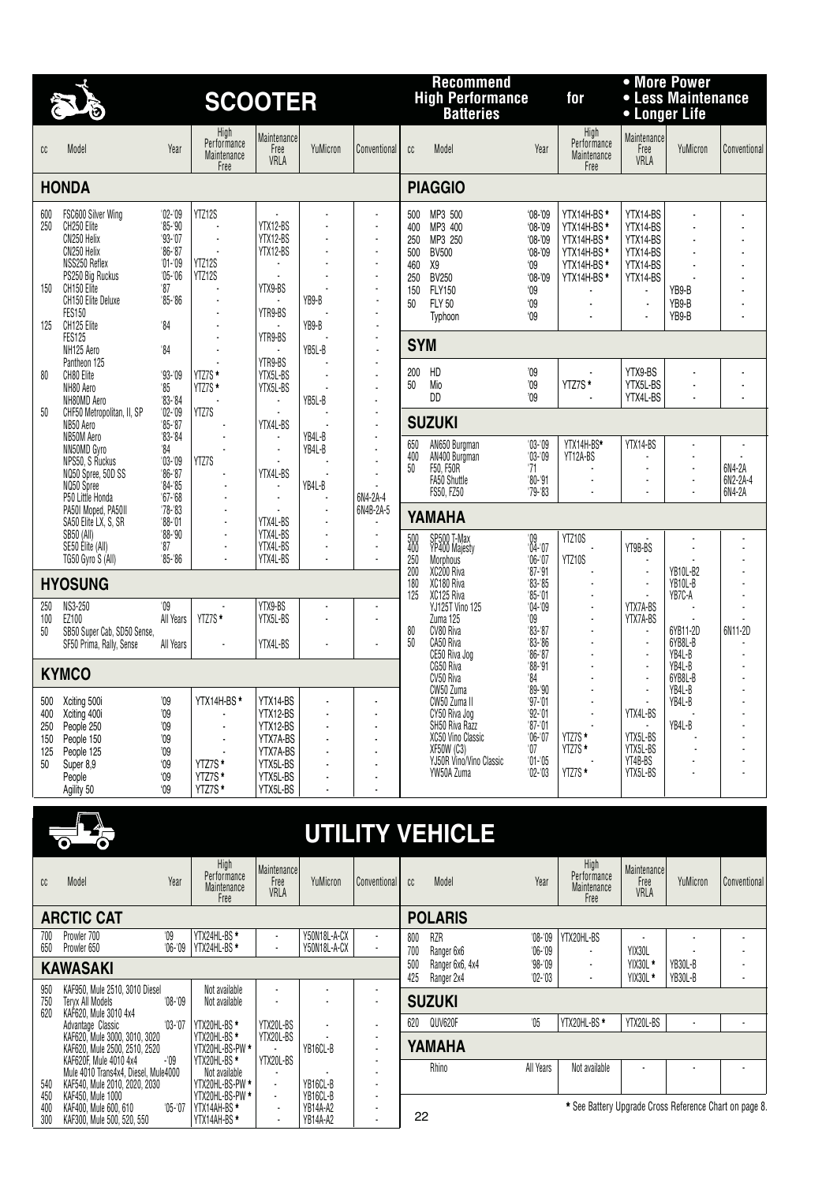|                                       | $\delta$                                                                                                                                                   |                                                                                                   | <b>SCOOTER</b>                                  |                                                                                              |                                              |                                                                                                                  |                                                     | <b>Recommend</b><br><b>High Performance</b><br><b>Batteries</b>                                                                                 |                                                                                                                               | for                                                                                                                            | • Longer Life                                                              | • More Power<br>• Less Maintenance           |                              |
|---------------------------------------|------------------------------------------------------------------------------------------------------------------------------------------------------------|---------------------------------------------------------------------------------------------------|-------------------------------------------------|----------------------------------------------------------------------------------------------|----------------------------------------------|------------------------------------------------------------------------------------------------------------------|-----------------------------------------------------|-------------------------------------------------------------------------------------------------------------------------------------------------|-------------------------------------------------------------------------------------------------------------------------------|--------------------------------------------------------------------------------------------------------------------------------|----------------------------------------------------------------------------|----------------------------------------------|------------------------------|
| cc                                    | Model                                                                                                                                                      | Year                                                                                              | High<br>Performance<br>Maintenance<br>Free      | Maintenance<br>Free<br>VRLA                                                                  | YuMicron                                     | Conventional                                                                                                     | cc                                                  | Model                                                                                                                                           | Year                                                                                                                          | High<br>Performance<br>Maintenance<br>Free                                                                                     | Maintenance<br>Free<br>VRLA                                                | YuMicron                                     | Conventional                 |
|                                       | <b>HONDA</b>                                                                                                                                               |                                                                                                   |                                                 |                                                                                              |                                              |                                                                                                                  |                                                     | <b>PIAGGIO</b>                                                                                                                                  |                                                                                                                               |                                                                                                                                |                                                                            |                                              |                              |
| 600<br>250<br>150                     | FSC600 Silver Wing<br>CH250 Elite<br>CN250 Helix<br>CN250 Helix<br>NSS250 Reflex<br>PS250 Big Ruckus<br>CH150 Elite<br>CH150 Elite Deluxe<br><b>FES150</b> | $'02 -'09$<br>$85 - 90$<br>$93 - 07$<br>$86 - 87$<br>$'01 - 09$<br>$'05 - 06$<br>'87<br>$85 - 86$ | YTZ12S<br>÷,<br>YTZ12S<br>YTZ12S                | YTX12-BS<br>YTX12-BS<br>YTX12-BS<br>÷<br>YTX9-BS<br>YTR9-BS                                  | YB9-B                                        | $\overline{\phantom{a}}$<br>$\blacksquare$<br>÷,<br>$\overline{\phantom{a}}$<br>$\blacksquare$<br>÷,<br>÷,<br>÷, | 500<br>400<br>250<br>500<br>460<br>250<br>150<br>50 | MP3 500<br>MP3 400<br>MP3 250<br><b>BV500</b><br>X9<br><b>BV250</b><br><b>FLY150</b><br><b>FLY 50</b><br>Typhoon                                | $08 - 09$<br>$08 - 09$<br>$08 - 09$<br>$08 - 09$<br>$^{\circ}09$<br>$08 - 09$<br>$^{\circ}09$<br>$^{\circ}09$<br>$^{\circ}09$ | YTX14H-BS*<br>YTX14H-BS*<br>YTX14H-BS*<br>YTX14H-BS*<br>YTX14H-BS*<br>YTX14H-BS <sup>*</sup><br>÷,<br>$\overline{\phantom{a}}$ | YTX14-BS<br>YTX14-BS<br>YTX14-BS<br>YTX14-BS<br>YTX14-BS<br>YTX14-BS<br>ä, | YB9-B<br>YB9-B<br>YB9-B                      |                              |
| 125                                   | CH125 Elite<br><b>FES125</b>                                                                                                                               | '84                                                                                               |                                                 | YTR9-BS                                                                                      | YB9-B                                        | $\blacksquare$<br>÷,                                                                                             | <b>SYM</b>                                          |                                                                                                                                                 |                                                                                                                               |                                                                                                                                |                                                                            |                                              |                              |
| 80<br>50                              | NH125 Aero<br>Pantheon 125<br>CH80 Elite<br>NH80 Aero<br>NH80MD Aero<br>CHF50 Metropolitan, II, SP<br>NB50 Aero                                            | '84<br>$93 - 09$<br>$^{\prime}85$<br>$83 - 84$<br>$'02 - 09$<br>$85 - 87$                         | ÷.<br>YTZ7S *<br>YTZ7S*<br>YTZ7S                | YTR9-BS<br>YTX5L-BS<br>YTX5L-BS<br>YTX4L-BS                                                  | YB5L-B<br>YB5L-B                             | ÷.<br>Ĭ.<br>$\blacksquare$<br>$\blacksquare$<br>$\overline{a}$<br>Ĭ.<br>$\blacksquare$                           | 200<br>50                                           | HD<br>Mio<br>DD<br><b>SUZUKI</b>                                                                                                                | '09<br>09<br>$^{\prime}09$                                                                                                    | YTZ7S*                                                                                                                         | YTX9-BS<br>YTX5L-BS<br>YTX4L-BS                                            |                                              |                              |
|                                       | NB50M Aero<br>NN50MD Gyro<br>NPS50. S Ruckus<br>NQ50 Spree, 50D SS<br>NQ50 Spree<br>P50 Little Honda<br>PA50I Moped, PA50II                                | $83 - 84$<br>34<br>$'03 - 09$<br>$86 - 87$<br>$84 - 85$<br>$67 - 68$<br>$'78 - 83$                | YTZ7S<br>÷.                                     | $\blacksquare$<br>÷.<br>YTX4L-BS<br>÷<br>÷.                                                  | YB4L-B<br>YB4L-B<br>YB4L-B<br>$\overline{a}$ | ÷,<br>$\blacksquare$<br>$\overline{a}$<br>$\blacksquare$<br>6N4-2A-4<br>6N4B-2A-5                                | 650<br>400<br>50                                    | AN650 Burgman<br>AN400 Burgman<br>F50, F50R<br><b>FA50 Shuttle</b><br>FS50, FZ50                                                                | $'03 - 09$<br>$'03 - 09$<br>71<br>$'80 - '91$<br>$79 - 83$                                                                    | YTX14H-BS*<br>YT12A-BS                                                                                                         | YTX14-BS<br>ä,                                                             | ÷,<br>÷,                                     | 6N4-2A<br>6N2-2A-4<br>6N4-2A |
|                                       | SA50 Elite LX, S, SR<br>SB50 (All)<br>SE50 Elite (All)                                                                                                     | $'88 - 01$<br>$'88 - '90$<br>'87                                                                  | ÷,<br>÷,                                        | YTX4L-BS<br>YTX4L-BS<br>YTX4L-BS                                                             |                                              | ÷,<br>$\blacksquare$                                                                                             | 500<br>400                                          | YAMAHA<br>SP500 T-Max<br>YP400 Majesty                                                                                                          | $^{109}_{04-07}$                                                                                                              | YTZ10S                                                                                                                         | YT9B-BS                                                                    |                                              |                              |
|                                       | TG50 Gyro S (All)                                                                                                                                          | '85-'86                                                                                           |                                                 | YTX4L-BS                                                                                     |                                              | $\blacksquare$                                                                                                   | 250<br>200                                          | Morphous<br>XC200 Riva                                                                                                                          | $06 - 07$<br>$'87 - '91$                                                                                                      | YTZ10S                                                                                                                         | ÷,                                                                         | <b>YB10L-B2</b>                              |                              |
|                                       | <b>HYOSUNG</b><br>NS3-250                                                                                                                                  | $^{\prime}09$                                                                                     |                                                 | YTX9-BS                                                                                      |                                              | ÷.                                                                                                               | 180<br>125                                          | XC180 Riva<br>XC125 Riva                                                                                                                        | $83 - 85$<br>$85 - 01$                                                                                                        | $\overline{a}$                                                                                                                 | $\blacksquare$                                                             | YB10L-B<br>YB7C-A                            |                              |
| 250<br>100<br>50                      | EZ100<br>SB50 Super Cab, SD50 Sense,<br>SF50 Prima, Rally, Sense                                                                                           | All Years<br>All Years                                                                            | YTZ7S*                                          | YTX5L-BS<br>YTX4L-BS                                                                         |                                              | ÷,<br>÷.                                                                                                         | 80<br>50                                            | YJ125T Vino 125<br>Zuma 125<br>CV80 Riva<br>CA50 Riva<br>CE50 Riva Jog                                                                          | $04 - 09$<br>09<br>$83 - 87$<br>$83 - 86$<br>$86 - 87$                                                                        |                                                                                                                                | YTX7A-BS<br>YTX7A-BS<br>٠<br>$\blacksquare$<br>÷,                          | 6YB11-2D<br>6YB8L-B<br>YB4L-B                | 6N11-2D                      |
|                                       | <b>KYMCO</b>                                                                                                                                               |                                                                                                   |                                                 |                                                                                              |                                              |                                                                                                                  |                                                     | CG50 Riva<br>CV50 Riva                                                                                                                          | '88-'91<br>84                                                                                                                 |                                                                                                                                | Ĭ.                                                                         | YB4L-B<br>6YB8L-B                            |                              |
| 500<br>400<br>250<br>150<br>125<br>50 | Xciting 500i<br>Xciting 400i<br>People 250<br>People 150<br>People 125<br>Super 8.9<br>People<br>Agility 50                                                | 09<br>'09<br>'09<br>'09<br>'09<br>'09<br>'09<br>09                                                | YTX14H-BS*<br>YTZ7S*<br>YTZ7S*<br>YTZ7S*        | YTX14-BS<br>YTX12-BS<br>YTX12-BS<br>YTX7A-BS<br>YTX7A-BS<br>YTX5L-BS<br>YTX5L-BS<br>YTX5L-BS | ٠<br>٠                                       | ٠                                                                                                                |                                                     | CW50 Zuma<br>CW50 Zuma II<br>CY50 Riva Jog<br>SH50 Riva Razz<br>XC50 Vino Classic<br><b>XF50W (C3)</b><br>YJ50R Vino/Vino Classic<br>YW50A Zuma | $89 - 90$<br>'97-'01<br>$92 - 01$<br>$'87 - '01$<br>$'06 - 07$<br>07<br>$'01 - '05$<br>$02 - 03$                              | YTZ7S *<br>YTZ7S *<br>YTZ7S *                                                                                                  | ٠<br>YTX4L-BS<br>YTX5L-BS<br>YTX5L-BS<br>YT4B-BS<br>YTX5L-BS               | YB4L-B<br>YB4L-B<br>YB4L-B<br>$\blacksquare$ |                              |
|                                       |                                                                                                                                                            |                                                                                                   |                                                 |                                                                                              |                                              |                                                                                                                  |                                                     |                                                                                                                                                 |                                                                                                                               |                                                                                                                                |                                                                            |                                              |                              |
|                                       |                                                                                                                                                            |                                                                                                   |                                                 |                                                                                              |                                              |                                                                                                                  |                                                     | <b>UTILITY VEHICLE</b>                                                                                                                          |                                                                                                                               |                                                                                                                                |                                                                            |                                              |                              |
| cc                                    | Model                                                                                                                                                      | Year                                                                                              | High<br>Performance<br>Maintenance<br>Free      | Maintenance<br>Free<br>VRLA                                                                  | YuMicron                                     | Conventional                                                                                                     | cc                                                  | Model                                                                                                                                           | Year                                                                                                                          | High<br>Performance<br>Maintenance<br>Free                                                                                     | <b>Maintenance</b><br>Free<br>VRLA                                         | YuMicron                                     | Conventional                 |
|                                       | <b>ARCTIC CAT</b>                                                                                                                                          |                                                                                                   |                                                 |                                                                                              |                                              |                                                                                                                  |                                                     | <b>POLARIS</b>                                                                                                                                  |                                                                                                                               |                                                                                                                                |                                                                            |                                              |                              |
| 700<br>650                            | Prowler 700<br>Prowler 650                                                                                                                                 | $^{\prime}09$<br>$06 - 09$                                                                        | YTX24HL-BS *<br>YTX24HL-BS *                    | $\overline{\phantom{a}}$<br>÷,                                                               | Y50N18L-A-CX<br>Y50N18L-A-CX                 | $\blacksquare$                                                                                                   | 800<br>700                                          | RZR<br>Ranger 6x6                                                                                                                               | $08 - 09$<br>$06 - 09$                                                                                                        | YTX20HL-BS                                                                                                                     | YIX30L                                                                     |                                              |                              |
|                                       | <b>KAWASAKI</b>                                                                                                                                            |                                                                                                   |                                                 |                                                                                              |                                              |                                                                                                                  | 500<br>425                                          | Ranger 6x6, 4x4<br>Ranger 2x4                                                                                                                   | $98 - 09$<br>$02 - 03$                                                                                                        | $\blacksquare$                                                                                                                 | YIX30L *<br>YIX30L*                                                        | YB30L-B<br>YB30L-B                           |                              |
| 950<br>750                            | KAF950, Mule 2510, 3010 Diesel<br>Teryx All Models                                                                                                         | '08-'09                                                                                           | Not available<br>Not available                  | ÷,                                                                                           |                                              | $\overline{\phantom{a}}$                                                                                         |                                                     | <b>SUZUKI</b>                                                                                                                                   |                                                                                                                               |                                                                                                                                |                                                                            |                                              |                              |
| 620                                   | KAF620, Mule 3010 4x4<br>Advantage Classic                                                                                                                 | $'03-'07$                                                                                         | YTX20HL-BS *                                    | YTX20L-BS                                                                                    |                                              |                                                                                                                  | 620                                                 | QUV620F                                                                                                                                         | 05                                                                                                                            | YTX20HL-BS *                                                                                                                   | YTX20L-BS                                                                  | $\overline{a}$                               |                              |
|                                       | KAF620, Mule 3000, 3010, 3020<br>KAF620, Mule 2500, 2510, 2520<br>KAF620F, Mule 4010 4x4                                                                   | -'09                                                                                              | YTX20HL-BS *<br>YTX20HL-BS-PW *<br>YTX20HL-BS * | YTX20L-BS<br>YTX20L-BS                                                                       | YB16CL-B                                     | $\blacksquare$                                                                                                   |                                                     | YAMAHA<br>Rhino                                                                                                                                 | All Years                                                                                                                     | Not available                                                                                                                  | $\blacksquare$                                                             | $\blacksquare$                               | $\blacksquare$               |
|                                       | Mule 4010 Transdyd Diesel Mule4000                                                                                                                         |                                                                                                   | Not available                                   |                                                                                              |                                              |                                                                                                                  |                                                     |                                                                                                                                                 |                                                                                                                               |                                                                                                                                |                                                                            |                                              |                              |

22

Mule 4010 Trans4x4, Diesel, Mule4000 | NOT available | - - | - - | - - - | - - -540 KAF540, Mule 2010, 2020, 2030 YTX20HL-BS-PW **\*** - YB16CL-B - 450 KAF450, Mule 1000 YTX20HL-BS-PW **\*** - YB16CL-B - 400 KAF400, Mule 600, 610 '05-'07 YTX14AH-BS **\*** - YB14A-A2 - 300 KAF300, Mule 500, 520, 550 YTX14AH-BS **\*** - YB14A-A2 -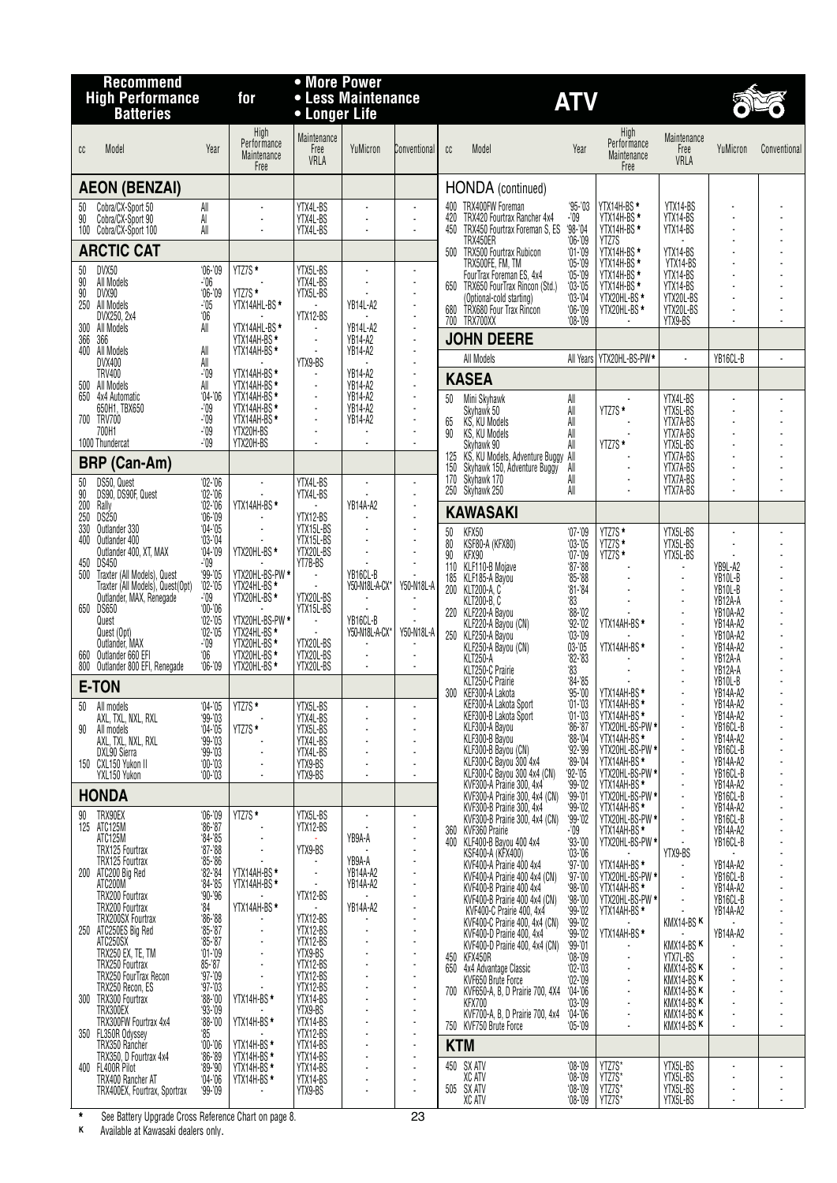|                 | <b>Recommend</b><br><b>High Performance</b><br><b>Batteries</b> | for                                 | • More Power<br>• Longer Life              | • Less Maintenance          |                                  |                |            | <b>ATV</b>                                                    |                        |                                            |                                    |                      |              |
|-----------------|-----------------------------------------------------------------|-------------------------------------|--------------------------------------------|-----------------------------|----------------------------------|----------------|------------|---------------------------------------------------------------|------------------------|--------------------------------------------|------------------------------------|----------------------|--------------|
| cc              | Model                                                           | Year                                | High<br>Performance<br>Maintenance<br>Free | Maintenance<br>Free<br>VRLA | YuMicron                         | Conventional   | cc         | Model                                                         | Year                   | High<br>Performance<br>Maintenance<br>Free | Maintenance<br>Free<br>VRLA        | YuMicron             | Conventional |
|                 | <b>AEON (BENZAI)</b>                                            |                                     |                                            |                             |                                  |                |            | HONDA (continued)                                             |                        |                                            |                                    |                      |              |
| 50              | Cobra/CX-Sport 50                                               | All                                 |                                            | YTX4L-BS                    |                                  |                |            | 400 TRX400FW Foreman                                          | $95 - 03$              | YTX14H-BS*                                 | YTX14-BS                           |                      |              |
| $\overline{90}$ | Cobra/CX-Sport 90<br>100 Cobra/CX-Sport 100                     | Al<br>All                           |                                            | YTX4L-BS<br>YTX4L-BS        |                                  |                | 420<br>450 | TRX420 Fourtrax Rancher 4x4<br>TRX450 Fourtrax Foreman S, ES  | -'09<br>$98 - 04$      | YTX14H-BS*<br>YTX14H-BS *                  | YTX14-BS<br>YTX14-BS               |                      |              |
|                 |                                                                 |                                     |                                            |                             |                                  |                |            | TRX450ER                                                      | $06 - 09$              | YTZ7S                                      |                                    |                      |              |
|                 | <b>ARCTIC CAT</b>                                               |                                     |                                            |                             |                                  |                |            | 500 TRX500 Fourtrax Rubicon<br>TRX500FE, FM, TM               | $01 - 09$<br>$05 - 09$ | YTX14H-BS *<br>YTX14H-BS *                 | YTX14-BS<br>YTX14-BS               |                      |              |
| 50<br>90        | DVX50<br>All Models                                             | $06 - 09$<br>$-106$                 | YTZ7S *                                    | YTX5L-BS<br>YTX4L-BS        |                                  |                |            | FourTrax Foreman ES, 4x4<br>650 TRX650 FourTrax Rincon (Std.) | $05 - 09$<br>$03 - 05$ | YTX14H-BS*<br>YTX14H-BS *                  | YTX14-BS<br>YTX14-BS               |                      |              |
| 90<br>250       | DVX90<br>All Models                                             | $06 - 09$<br>$-105$                 | YTZ7S *<br>YTX14AHL-BS*                    | YTX5L-BS                    | YB14L-A2                         |                |            | (Optional-cold starting)                                      | $03 - 04$              | YTX20HL-BS*                                | YTX20L-BS                          |                      |              |
|                 | DVX250, 2x4                                                     | '06                                 |                                            | YTX12-BS                    |                                  |                | 680<br>700 | TRX680 Four Trax Rincon<br>TRX700XX                           | $06 - 09$<br>$08 - 09$ | YTX20HL-BS*                                | YTX20L-BS<br>YTX9-BS               |                      |              |
| 300<br>366      | All Models<br>366                                               | All                                 | YTX14AHL-BS*<br>YTX14AH-BS *               | $\blacksquare$              | YB14L-A2<br><b>YB14-A2</b>       | $\blacksquare$ |            | <b>JOHN DEERE</b>                                             |                        |                                            |                                    |                      |              |
|                 | 400 All Models<br>DVX400                                        | All<br>All                          | YTX14AH-BS *                               | $\sim$<br>YTX9-BS           | YB14-A2                          |                |            | All Models                                                    |                        | All Years   YTX20HL-BS-PW*                 |                                    | YB16CL-B             |              |
|                 | <b>TRV400</b>                                                   | -'09                                | YTX14AH-BS *                               |                             | <b>YB14-A2</b>                   |                |            | <b>KASEA</b>                                                  |                        |                                            |                                    |                      |              |
| 500             | All Models<br>650 4x4 Automatic                                 | All<br>$04 - 06$                    | YTX14AH-BS *<br>YTX14AH-BS *               | $\mathbf{r}$                | YB14-A2<br><b>YB14-A2</b>        |                | 50         | Mini Skyhawk                                                  | All                    |                                            | YTX4L-BS                           |                      |              |
|                 | 650H1, TBX650<br>700 TRV700                                     | $-109$<br>$-109$                    | YTX14AH-BS *<br>YTX14AH-BS *               | $\sim$                      | <b>YB14-A2</b><br><b>YB14-A2</b> |                |            | Skyhawk 50<br>KS, KU Models                                   | All                    | YTZ7S*                                     | YTX5L-BS<br>YTX7A-BS               |                      |              |
|                 | 700H1                                                           | -'09                                | YTX20H-BS                                  |                             |                                  |                | 65<br>90   | KS, KU Models                                                 | All<br>All             |                                            | YTX7A-BS                           |                      |              |
|                 | 1000 Thundercat                                                 | $-109$                              | YTX20H-BS                                  |                             |                                  |                |            | Skyhawk 90<br>125 KS, KU Models, Adventure Buggy All          | All                    | YTZ7S*                                     | YTX5L-BS<br>YTX7A-BS               |                      |              |
|                 | <b>BRP (Can-Am)</b>                                             |                                     |                                            |                             |                                  |                | 150        | Skyhawk 150, Adventure Buggy                                  | All                    |                                            | YTX7A-BS                           |                      |              |
| $50\,$<br>90    | DS50, Quest<br>DS90, DS90F, Quest                               | $02 - 06$<br>$02 - 06$              |                                            | YTX4L-BS<br>YTX4L-BS        |                                  |                | 170        | Skyhawk 170<br>250 Skyhawk 250                                | All<br>All             |                                            | YTX7A-BS<br>YTX7A-BS               |                      |              |
| 200             | Rally<br>DS250                                                  | $02 - 06$                           | YTX14AH-BS *                               |                             | YB14A-A2                         |                |            | <b>KAWASAKI</b>                                               |                        |                                            |                                    |                      |              |
| 250<br>330      | Outlander 330                                                   | $06 - 09$<br>$04 - 05$              |                                            | YTX12-BS<br>YTX15L-BS       |                                  |                | 50         | KFX50                                                         | $07 - 09$              | YTZ7S*                                     | YTX5L-BS                           |                      |              |
| 400             | Outlander 400<br>Outlander 400, XT, MAX                         | $03 - 04$<br>$04 - 09$              | YTX20HL-BS *                               | YTX15L-BS<br>YTX20L-BS      |                                  |                | 80         | KSF80-A (KFX80)                                               | $03 - 05$              | YTZ7S*                                     | YTX5L-BS                           |                      |              |
| 450             | <b>DS450</b>                                                    | -'09                                |                                            | YT7B-BS                     |                                  |                | 90<br>110  | KFX90<br>KLF110-B Mojave                                      | $07 - 09$<br>$87 - 88$ | YTZ7S*                                     | YTX5L-BS                           | YB9L-A2              |              |
| 500             | Traxter (All Models), Quest<br>Traxter (All Models), Quest(Opt) | $99 - 05$<br>$'02 - 05$             | YTX20HL-BS-PW *<br>YTX24HL-BS *            | $\blacksquare$              | YB16CL-B<br>Y50-N18L-A-CX*       | Y50-N18L-A     | 185        | KLF185-A Bayou<br>200 KLT200-A, C                             | $85 - 88$<br>$81 - 84$ |                                            | $\overline{a}$                     | YB10L-B<br>YB10L-B   |              |
|                 | Outlander, MAX, Renegade<br>650 DS650                           | -'09<br>$00 - 06$                   | YTX20HL-BS*                                | YTX20L-BS<br>YTX15L-BS      |                                  |                |            | <b>KLT200-B.C</b>                                             | '83                    |                                            |                                    | YB12A-A              |              |
|                 | Quest                                                           | $02 - 05$                           | YTX20HL-BS-PW *                            | $\sim$                      | YB16CL-B                         |                |            | 220 KLF220-A Bayou<br>KLF220-A Bayou (CN)                     | $88 - 02$<br>$92 - 02$ | YTX14AH-BS *                               |                                    | YB10A-A2<br>YB14A-A2 |              |
|                 | Quest (Opt)<br>Outlander, MAX                                   | $02 - 05$<br>-'09                   | YTX24HL-BS *<br>YTX20HL-BS *               | YTX20L-BS                   | Y50-N18L-A-CX*                   | Y50-N18L-A     |            | 250 KLF250-A Bayou<br>KLF250-A Bayou (CN)                     | $03 - 09$<br>$03 - 05$ | YTX14AH-BS*                                |                                    | YB10A-A2<br>YB14A-A2 |              |
| 660             | Outlander 660 EFI<br>800 Outlander 800 EFI, Renegade            | '06<br>$06 - 09$                    | YTX20HL-BS*<br>YTX20HL-BS *                | YTX20L-BS<br>YTX20L-BS      | $\overline{\phantom{a}}$         |                |            | <b>KLT250-A</b>                                               | $82 - 83$              |                                            |                                    | YB12A-A              |              |
|                 | E-TON                                                           |                                     |                                            |                             |                                  |                |            | KLT250-C Prairie<br>KLT250-C Prairie                          | 33<br>$84 - 85$        |                                            |                                    | YB12A-A<br>YB10L-B   |              |
|                 | 50 All models                                                   | $04 - 05$                           | YTZ7S <sup>*</sup>                         | YTX5L-BS                    |                                  |                |            | 300 KEF300-A Lakota<br>KEF300-A Lakota Sport                  | $95 - 00$<br>$01 - 03$ | YTX14AH-BS*<br>YTX14AH-BS*                 |                                    | YB14A-A2<br>YB14A-A2 |              |
|                 | AXL, TXL, NXL, RXL                                              | $99 - 03$                           |                                            | YTX4L-BS                    |                                  |                |            | KEF300-B Lakota Sport                                         | $01 - 03$              | YTX14AH-BS*                                |                                    | YB14A-A2             |              |
| 90              | All models<br>AXL, TXL, NXL, RXL                                | $04 - 05$<br>$99 - 03$              | YTZ7S*                                     | YTX5L-BS<br>YTX4L-BS        |                                  |                |            | KLF300-A Bayou<br>KLF300-B Bayou                              | $86 - 87$<br>$88 - 04$ | YTX20HL-BS-PW *<br>YTX14AH-BS*             |                                    | YB16CL-B<br>YB14A-A2 |              |
|                 | DXL90 Sierra<br>150 CXL150 Yukon II                             | $99 - 03$                           |                                            | YTX4L-BS                    |                                  |                |            | KLF300-B Bayou (CN)<br>KLF300-C Bayou 300 4x4                 | $92 - 99$<br>$89 - 04$ | YTX20HL-BS-PW *<br>YTX14AH-BS*             | $\overline{a}$                     | YB16CL-B<br>YB14A-A2 |              |
|                 | YXL150 Yukon                                                    | $00 - 03$<br>$00 - 03$              |                                            | YTX9-BS<br>YTX9-BS          |                                  |                |            | KLF300-C Bayou 300 4x4 (CN)                                   | $92 - 05$              | YTX20HL-BS-PW *                            |                                    | YB16CL-B             |              |
|                 | <b>HONDA</b>                                                    |                                     |                                            |                             |                                  |                |            | KVF300-A Práirie 300, 4x4<br>KVF300-A Prairie 300, 4x4 (CN)   | $99 - 02$<br>$99 - 01$ | YTX14AH-BS*<br>YTX20HL-BS-PW *             |                                    | YB14A-A2<br>YB16CL-B |              |
| 90              | TRX90EX                                                         | $06 - 09$                           | YTZ7S *                                    | YTX5L-BS                    |                                  |                |            | KVF300-B Prairie 300, 4x4<br>KVF300-B Prairie 300, 4x4 (CN)   | $99 - 02$<br>$99 - 02$ | YTX14AH-BS *<br>YTX20HL-BS-PW *            |                                    | YB14A-A2<br>YB16CL-B |              |
|                 | 125 ATC125M<br>ATC125M                                          | $86 - 87$<br>$84 - 85$              |                                            | YTX12-BS                    | YB9A-A                           |                | 360        | KVF360 Prairie                                                | -'09                   | YTX14AH-BS *                               |                                    | YB14A-A2             |              |
|                 | TRX125 Fourtrax                                                 | $87 - 88$                           |                                            | YTX9-BS                     |                                  |                | 400        | KLF400-B Bayou 400 4x4<br>KSF400-A (KFX400)                   | $93 - 00$<br>$03 - 06$ | YTX20HL-BS-PW *                            | YTX9-BS                            | YB16CL-B             |              |
|                 | TRX125 Fourtrax<br>200 ATC200 Big Red                           | $85 - 86$<br>$62 - 84$<br>$64 - 85$ | YTX14AH-BS*                                |                             | YB9A-A<br>YB14A-A2               |                |            | KVF400-A Prairie 400 4x4<br>KVF400-A Prairie 400 4x4 (CN)     | $97 - 00$<br>$97 - 00$ | YTX14AH-BS *                               |                                    | YB14A-A2<br>YB16CL-B |              |
|                 | ATC200M<br>TRX200 Fourtrax                                      | $90 - 96$                           | YTX14AH-BS *                               | YTX12-BS                    | <b>YB14A-A2</b>                  |                |            | KVF400-B Prairie 400 4x4                                      | $98 - 00$              | YTX20HL-BS-PW *<br>YTX14AH-BS *            |                                    | YB14A-A2             |              |
|                 | TRX200 Fourtrax                                                 | $^{\circ}$ 84                       | YTX14AH-BS *                               |                             | <b>YB14A-A2</b>                  |                |            | KVF400-B Prairie 400 4x4 (CN)<br>KVF400-C Prairie 400, 4x4    | $98 - 00$<br>$99 - 02$ | YTX20HL-BS-PW *<br>YTX14AH-BS *            |                                    | YB16CL-B<br>YB14A-A2 |              |
|                 | TRX200SX Fourtrax<br>250 ATC250ES Big Red                       | $86 - 88$<br>$85 - 87$              |                                            | YTX12-BS<br>YTX12-BS        |                                  |                |            | KVF400-C Prairie 400, 4x4 (CN)<br>KVF400-D Prairie 400, 4x4   | $99 - 02$<br>$99 - 02$ | YTX14AH-BS *                               | KMX14-BSK                          | YB14A-A2             |              |
|                 | ATC250SX<br>TRX250 EX, TE, TM                                   | $65 - 87$<br>$01 - 09$              |                                            | YTX12-BS<br>YTX9-BS         |                                  |                |            | KVF400-D Prairie 400, 4x4 (CN)                                | $99 - 01$              |                                            | KMX14-BSK                          |                      |              |
|                 | TRX250 Fourtrax                                                 | $85 - 87$                           |                                            | YTX12-BS                    |                                  |                | 650        | 450 KFX450R<br>4x4 Advantage Classic                          | $08 - 09$<br>$02 - 03$ |                                            | YTX7L-BS<br>KMX14-BSK              |                      |              |
|                 | TRX250 FourTrax Recon<br>TRX250 Recon, ES                       | $97 - 09$<br>$97 - 03$              |                                            | YTX12-BS<br>YTX12-BS        |                                  |                | 700        | KVF650 Brute Force<br>KVF650-A, B, D Prairie 700, 4X4         | $02 - 09$<br>$04 - 06$ |                                            | KMX14-BSK<br>KMX14-BS <sup>K</sup> |                      |              |
|                 | 300 TRX300 Fourtrax<br>TRX300EX                                 | $88 - 00$<br>$93 - 09$              | YTX14H-BS *                                | YTX14-BS<br>YTX9-BS         |                                  |                |            | <b>KFX700</b>                                                 | $^{\circ}$ 03-'09      |                                            | KMX14-BS <sub>K</sub>              |                      |              |
|                 | TRX300FW Fourtrax 4x4                                           | $'88 - '00$                         | YTX14H-BS*                                 | YTX14-BS                    |                                  |                |            | KVF700-A, B, D Prairie 700, 4x4<br>750 KVF750 Brute Force     | $04 - 06$<br>05-'09'   |                                            | KMX14-BS <sub>K</sub><br>KMX14-BSK | ٠                    |              |
|                 | 350 FL350R Odyssey<br>TRX350 Rancher                            | '85<br>$00 - 06$                    |                                            | YTX12-BS<br>YTX14-BS        |                                  |                | <b>KTM</b> |                                                               |                        |                                            |                                    |                      |              |
|                 | TRX350, D Fourtrax 4x4<br>400 FL400R Pilot                      | $86 - 89$<br>$89 - 90$              | YTX14H-BS *<br>YTX14H-BS *<br>YTX14H-BS*   | YTX14-BS<br>YTX14-BS        |                                  |                | 450        | SX ATV                                                        | $^{\circ}08$ -'09      | YTZ7S'                                     | YTX5L-BS                           |                      |              |
|                 | TRX400 Rancher AT                                               | $04 - 06$                           | YTX14H-BS*                                 | YTX14-BS                    | $\overline{a}$                   |                |            | XC ATV<br>505 SX ATV                                          | $08 - 09$<br>$08 - 09$ | YTZ7S*<br>YTZ7S*                           | YTX5L-BS<br>YTX5L-BS               |                      |              |
|                 | TRX400EX, Fourtrax, Sportrax                                    | $99 - 09$                           |                                            | YTX9-BS                     |                                  |                |            | XC ATV                                                        | $08 - 09$              | YTZ7S*                                     | YTX5L-BS                           |                      |              |
|                 |                                                                 |                                     |                                            |                             |                                  |                |            |                                                               |                        |                                            |                                    |                      |              |

**\*** See Battery Upgrade Cross Reference Chart on page 8. 23

**<sup>K</sup>** Available at Kawasaki dealers only.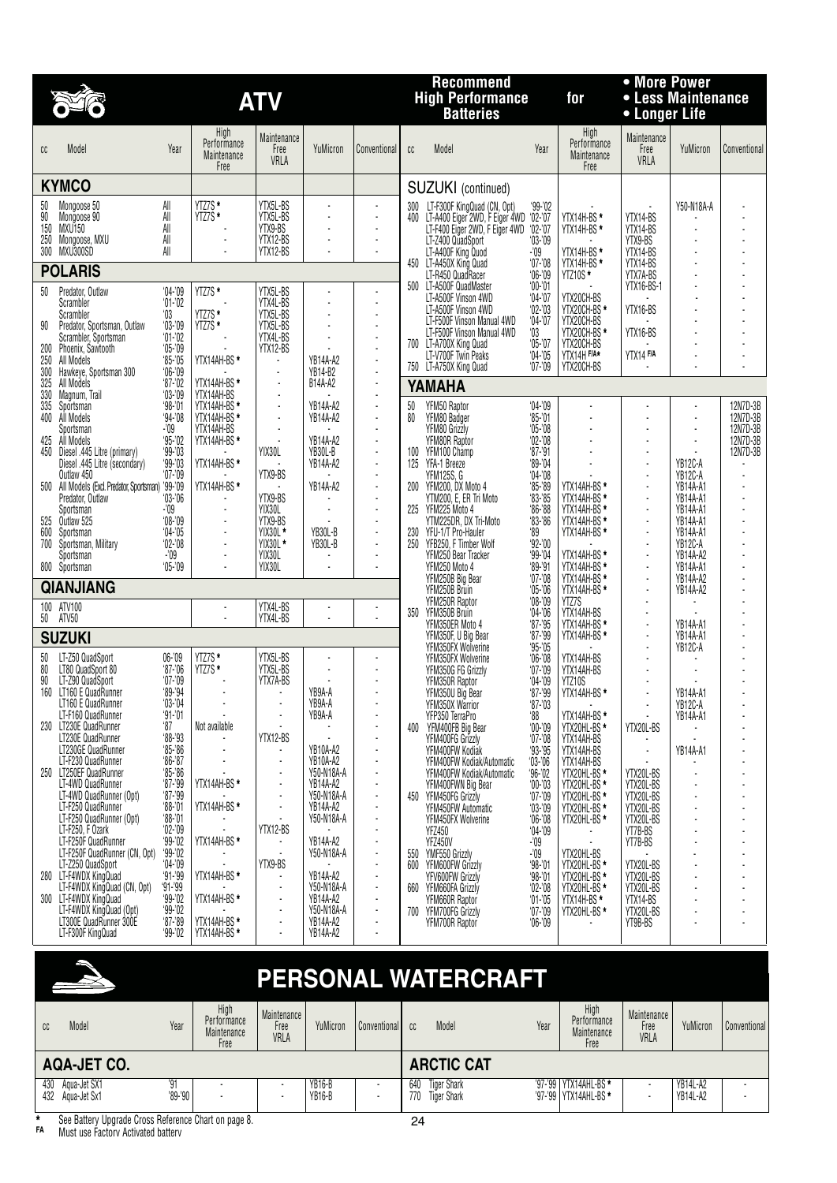|            |                                                                            |                        |                                            | <b>ATV</b>                       |                               |                      |          | <b>Recommend</b><br><b>High Performance</b><br><b>Batteries</b>      |                            | for                                                | • More Power<br>• Less Maintenance<br>• Longer Life |                             |                      |
|------------|----------------------------------------------------------------------------|------------------------|--------------------------------------------|----------------------------------|-------------------------------|----------------------|----------|----------------------------------------------------------------------|----------------------------|----------------------------------------------------|-----------------------------------------------------|-----------------------------|----------------------|
| cc         | Model                                                                      | Year                   | High<br>Performance<br>Maintenance<br>Free | Maintenance<br>Free<br>VRLA      | YuMicron                      | Conventional         | cc       | Model                                                                | Year                       | High<br>Performance<br>Maintenance<br>Free         | Maintenance<br>Free<br>VRLA                         | YuMicron                    | Conventional         |
|            | <b>KYMCO</b>                                                               |                        |                                            |                                  |                               |                      |          | <b>SUZUKI</b> (continued)                                            |                            |                                                    |                                                     |                             |                      |
| 50         | Mongoose 50                                                                | All                    | YTZ7S *<br>YTZ7S *                         | YTX5L-BS                         |                               | ÷.                   |          | 300 LT-F300F KingQuad (CN, Opt)                                      | $99 - 02$                  |                                                    |                                                     | Y50-N18A-A                  |                      |
| 90<br>150  | Mongoose 90<br>MXU150                                                      | All<br>All             |                                            | YTX5L-BS<br>YTX9-BS              |                               | $\blacksquare$       |          | 400 LT-A400 Eiger 2WD, F Eiger 4WD<br>LT-F400 Eiger 2WD, F Eiger 4WD | $^{0.02-0.07}_{0.02-0.07}$ | YTX14H-BS*<br>YTX14H-BS*                           | YTX14-BS<br>YTX14-BS                                |                             |                      |
| 250        | Mongoose, MXU                                                              | All                    | ÷,                                         | YTX12-BS                         |                               | $\blacksquare$       |          | LT-Z400 QuadSport                                                    | $03 - 09$                  |                                                    | YTX9-BS                                             |                             |                      |
|            | 300 MXU300SD                                                               | All                    |                                            | YTX12-BS                         |                               | ÷,                   |          | LT-A400F King Quod<br>450 LT-A450X King Quad                         | -'09<br>$07 - 08$          | YTX14H-BS*<br>YTX14H-BS *                          | YTX14-BS<br>YTX14-BS                                |                             |                      |
|            | <b>POLARIS</b>                                                             |                        |                                            |                                  |                               |                      |          | LT-R450 Quad Racer<br>500 LT-A500F QuadMaster                        | $06 - 09$<br>$00 - 01$     | YTZ10S*                                            | YTX7A-BS<br>YTX16-BS-1                              |                             |                      |
| 50         | Predator, Outlaw<br>Scrambler                                              | $04 - 09$<br>$01 - 02$ | YTZ7S*                                     | YTX5L-BS<br>YTX4L-BS             |                               | ÷,                   |          | LT-A500F Vinson 4WD                                                  | $04 - 07$                  | YTX20CH-BS                                         |                                                     |                             |                      |
|            | Scrambler                                                                  | $^{\circ}03$           | YTZ7S *<br>$YIZ7S*$                        | YTX5L-BS<br>YTX5L-BS             |                               | $\overline{a}$<br>÷  |          | LT-A500F Vinson 4WD<br>LT-F500F Vinson Manual 4WD                    | $02 - 03$<br>$04 - 07$     | YTX20CH-BS *                                       | YTX16-BS                                            |                             |                      |
| 90         | Predator, Sportsman, Outlaw<br>Scrambler, Sportsman                        | $03 - 09$<br>$01 - 02$ |                                            | YTX4L-BS                         |                               | ÷,                   |          | LT-F500F Vinson Manual 4WD<br>700 LT-A700X King Quad                 | 03<br>$05 - 07$            | YTX20CH-BS<br>YTX20CH-BS *<br>YTX20CH-BS           | YTX16-BS                                            |                             |                      |
| 200<br>250 | Phoenix, Sawtooth<br>All Models                                            | $05 - 09$<br>$85 - 05$ | YTX14AH-BS*                                | YTX12-BS                         | YB14A-A2                      | $\blacksquare$<br>÷, |          | LT-V700F Twin Peaks                                                  | $04 - 05$                  | YTX14H F/A*                                        | YTX14 F/A                                           |                             |                      |
| 300        | Hawkeye, Sportsman 300                                                     | $06 - 09$              |                                            |                                  | YB14-B2                       | ÷,                   |          | 750 LT-A750X King Quad                                               | $07 - 09$                  | YTX20CH-BS                                         |                                                     |                             |                      |
| 325<br>330 | All Models<br>Magnum, Trail                                                | $87 - 02$<br>$03 - 09$ | YTX14AH-BS*<br>YTX14AH-BS                  | ÷,                               | B14A-A2                       | ÷,                   |          | YAMAHA                                                               |                            |                                                    |                                                     |                             |                      |
| 335<br>400 | Sportsman<br>All Models                                                    | $98 - 01$<br>$94 - 08$ | YTX14AH-BS<br>YTX14AH-BS *                 | ÷,<br>÷,                         | YB14A-A2<br>YB14A-A2          | ÷,<br>$\overline{a}$ | 50<br>80 | YFM50 Raptor<br>YFM80 Badger                                         | $04 - 09$<br>$85 - 01$     |                                                    |                                                     | ÷,                          | 12N7D-3B<br>12N7D-3B |
|            | Sportsman                                                                  | -'09                   | YTX14AH-BS                                 | ÷,                               |                               | ÷.                   |          | YFM80 Grizzly                                                        | $05 - 08$                  |                                                    |                                                     | ÷.                          | 12N7D-3B             |
| 425<br>450 | All Models<br>Diesel .445 Litre (primary)                                  | $95 - 02$<br>$99 - 03$ | YTX14AH-BS*                                | YIX30L                           | YB14A-A2<br>YB30L-B           | $\overline{a}$<br>÷. |          | YFM80R Raptor<br>100 YFM100 Champ                                    | $02 - 08$<br>$97 - 91$     |                                                    |                                                     |                             | 12N7D-3B<br>12N7D-3B |
|            | Diesel .445 Litre (secondary)<br>Outlaw 450                                | $99 - 03$<br>$07 - 09$ | YTX14AH-BS*                                | YTX9-BS                          | YB14A-A2                      | ÷,<br>÷,             | 125      | YFA-1 Breeze<br><b>YFM125S, G</b>                                    | $89 - 04$<br>$04 - 08$     |                                                    | $\overline{\phantom{a}}$                            | YB12C-A<br>YB12C-A          |                      |
|            | 500 All Models (Excl. Predator, Sportsman) '99-'09                         |                        | YTX14AH-BS*                                |                                  | YB14A-A2                      | ÷,                   |          | 200 YFM200, DX Moto 4                                                | $85 - 89$                  | YTX14AH-BS*                                        | ÷,                                                  | <b>YB14A-A1</b>             |                      |
|            | Predator, Outlaw<br>Sportsman                                              | $03 - 06$<br>-'09      | ÷,                                         | YTX9-BS<br>YIX30L                |                               | ÷,<br>÷              |          | YTM200, E, ER Tri Moto<br>225 YFM225 Moto 4                          | $83 - 85$<br>$86 - 88$     | YTX14AH-BS *<br>YTX14AH-BS *                       | $\overline{\phantom{a}}$<br>$\ddot{\phantom{a}}$    | YB14A-A1<br>YB14A-A1        |                      |
| 525        | Outlaw 525                                                                 | $08 - 09$<br>$04 - 05$ |                                            | YTX9-BS<br>YIX30L *              |                               | ÷,<br>$\blacksquare$ |          | YTM225DR, DX Tri-Moto                                                | $83 - 86$                  | YTX14AH-BS *                                       | $\overline{\phantom{a}}$                            | YB14A-A1                    |                      |
| 600<br>700 | Sportsman<br>Sportsman, Military                                           | $02 - 08$              |                                            | YIX30L *                         | YB30L-B<br>YB30L-B            | ÷                    |          | 230 YFU-1/T Pro-Hauler<br>250 YFB250, F Timber Wolf                  | '89<br>$92 - 00$           | YTX14AH-BS *                                       |                                                     | <b>YB14A-A1</b><br>YB12C-A  |                      |
|            | Sportsman<br>800 Sportsman                                                 | -'09<br>$05 - 09$      |                                            | YIX30L<br>YIX30L                 |                               | ٠<br>÷,              |          | YFM250 Bear Tracker<br>YFM250 Moto 4                                 | $99 - 04$<br>$89 - 91$     | YTX14AH-BS*<br>YTX14AH-BS*                         | $\overline{\phantom{a}}$<br>$\ddot{\phantom{a}}$    | YB14A-A2<br><b>YB14A-A1</b> |                      |
|            | <b>QIANJIANG</b>                                                           |                        |                                            |                                  |                               |                      |          | YFM250B Big Bear                                                     | $07 - 08$                  | YTX14AH-BS *<br>YTX14AH-BS *                       | $\overline{\phantom{a}}$<br>÷,                      | YB14A-A2                    |                      |
|            | 100 ATV100                                                                 |                        | ÷,                                         | YTX4L-BS                         |                               |                      |          | YFM250B Bruin<br>YFM250R Raptor                                      | $05 - 06$<br>$08 - 09$     | YTZ7S                                              |                                                     | YB14A-A2                    |                      |
| 50         | ATV50                                                                      |                        | $\overline{a}$                             | YTX4L-BS                         |                               | ÷.                   |          | 350 YFM350B Bruin<br>YFM350ER Moto 4                                 | $04 - 06$<br>$87 - 95$     | YTX14AH-BS<br>YTX14AH-BS *                         | $\overline{\phantom{a}}$                            | <b>YB14A-A1</b>             |                      |
|            | <b>SUZUKI</b>                                                              |                        |                                            |                                  |                               |                      |          | YFM350F, U Big Bear<br>YFM350FX Wolverine                            | $87 - 99$<br>$95 - 05$     | YTX14AH-BS *                                       | $\ddot{\phantom{a}}$                                | YB14A-A1<br>YB12C-A         |                      |
| 50         | LT-Z50 QuadSport                                                           | $06 - 09$<br>$87 - 06$ | YTZ7S *<br>YTZ7S *                         | YTX5L-BS<br>YTX5L-BS             |                               |                      |          | YFM350FX Wolverine                                                   | $06 - 08$                  | YTX14AH-BS                                         |                                                     |                             |                      |
| 80<br>90   | LT80 QuadSport 80<br>LT-Z90 QuadSport                                      | $'07 - '09$            |                                            | YTX7A-BS                         |                               | $\blacksquare$       |          | YFM350G FG Grizzly<br>YFM350R Raptor                                 | $07 - 09$<br>$04 - 09$     | YTX14AH-BS<br>YTZ10S                               |                                                     |                             |                      |
|            | 160 LT160 E QuadRunner<br>LT160 E QuadRunner                               | $99 - 94$<br>$03 - 04$ |                                            | $\blacksquare$                   | YB9A-A<br>YB9A-A              | ÷                    |          | YFM350U Big Bear<br>YFM350X Warrior                                  | $87 - 99$<br>$87 - 03$     | YTX14AH-BS*                                        | $\overline{a}$<br>$\overline{\phantom{a}}$          | YB14A-A1<br>YB12C-A         |                      |
|            | LT-F160 QuadRunner                                                         | $91 - 01$              |                                            |                                  | YB9A-A                        |                      |          | YFP350 TerraPro                                                      | $^{\circ}88$               | YTX14AH-BS *                                       |                                                     | YB14A-A1                    |                      |
| 230        | LT230E QuadRunner<br>LT230E QuadRunner                                     | '87<br>$88 - 93$       | Not available                              | YTX12-BS                         |                               |                      |          | 400 YFM400FB Big Bear<br>YFM400FG Grizzly                            | $00 - 09$<br>$07 - 08$     | YTX20HL-BS*                                        | YTX20L-BS                                           |                             |                      |
|            | LT230GE QuadRunner<br>LT-F230 QuadRunner                                   | $85 - 86$<br>$86 - 87$ |                                            | ÷,                               | YB10A-A2<br><b>YB10A-A2</b>   | $\blacksquare$<br>ä, |          | YFM400FW Kodiák<br>YFM400FW Kodiak/Automatic                         | $93 - 95$<br>$03 - 06$     | YTX14AH-BS<br>YTX14AH-BS<br>YTX14AH-BS             |                                                     | <b>YB14A-A1</b>             |                      |
| 250        | LT250EF QuadRunner                                                         | $85 - 86$              |                                            | ٠                                | Y50-N18A-A                    | $\blacksquare$       |          | YFM400FW Kodiak/Automatic                                            | $96 - 02$                  | YTX20HL-BS*                                        | YTX20L-BS                                           |                             |                      |
|            | LT-4WD QuadRunner<br>LT-4WD QuadRunner (Opt)                               | $87 - 99$<br>$87 - 99$ | YTX14AH-BS*                                | Ĭ.<br>$\blacksquare$             | <b>YB14A-A2</b><br>Y50-N18A-A | ÷,<br>÷              |          | YFM400FWN Big Bear<br>450 YFM450FG Grizzly                           | $00 - 03$<br>$07 - 09$     | YTX20HL-BS <sup>*</sup>                            | YTX20L-BS<br>YTX20L-BS                              |                             |                      |
|            | LT-F250 QuadRunner<br>LT-F250 QuadRunner (Opt)                             | $88 - 01$<br>$88 - 01$ | YTX14AH-BS *                               |                                  | YB14A-A2<br>Y50-N18A-A        | Ĭ.                   |          | YFM450FW Automatic<br>YFM450FX Wolverine                             | $03 - 09$<br>$06 - 08$     | YTX20HL-BS *<br>YTX20HL-BS *<br>YTX20HL-BS*        | YTX20L-BS<br>YTX20L-BS                              |                             |                      |
|            | LT-F250, F Ozark                                                           | $02 - 09$              |                                            | YTX12-BS                         |                               | Ĭ.                   |          | <b>YFZ450</b>                                                        | $04 - 09$                  |                                                    | YT7B-BS                                             |                             |                      |
|            | LT-F250F QuadRunner<br>LT-F250F QuadRunner (CN, Opt)                       | $99 - 02$<br>$99 - 02$ | YTX14AH-BS*                                |                                  | <b>YB14A-A2</b><br>Y50-N18A-A | $\overline{a}$<br>÷, |          | YFZ450V<br>550 YMF550 Grizzly                                        | $-109$<br>$-09$            |                                                    | YT7B-BS                                             |                             |                      |
|            | LT-Z250 QuadSport<br>280 LT-F4WDX KingQuad                                 | $04 - 09$<br>$91 - 99$ | YTX14AH-BS *                               | YTX9-BS                          | YB14A-A2                      | Ĭ.<br>÷              | 600      | YFM600FW Grizzly<br>YFV600FW Grizzly                                 | $98 - 01$<br>$98 - 01$     | YTX20HL-BS<br>YTX20HL-BS *<br>YTX20HL-BS *         | YTX20L-BS<br>YTX20L-BS                              |                             |                      |
|            | LT-F4WDX KingQuad (CN, Opt)                                                | $91 - 99$              |                                            |                                  | Y50-N18A-A                    | ä,                   |          | 660 YFM660FA Grizzly                                                 | $02 - 08$                  | YTX20HL-BS*                                        | YTX20L-BS                                           |                             |                      |
|            | 300 LT-F4WDX KingQuad<br>LT-F4WDX KingQuad (Opt)<br>LT300E QuadRunner 300E | $99 - 02$<br>$99 - 02$ | YTX14AH-BS *                               | $\blacksquare$<br>$\blacksquare$ | YB14A-A2<br>Y50-N18A-A        | ÷<br>÷               | 700      | YFM660R Raptor<br>YFM700FG Grizzly                                   | $01 - 05$<br>$07 - 09$     | YTX14H-BS <sup>*</sup><br>YTX20HL-BS *             | YTX14-BS<br>YTX20L-BS                               |                             |                      |
|            | LT-F300F KingQuad                                                          | $87 - 89$<br>$99 - 02$ | YTX14AH-BS *<br>YTX14AH-BS *               | $\tilde{\phantom{a}}$<br>÷,      | YB14A-A2<br>YB14A-A2          | ÷,                   |          | YFM700R Raptor                                                       | $06 - 09$                  |                                                    | YT9B-BS                                             |                             |                      |
|            |                                                                            |                        |                                            |                                  |                               |                      |          | PERSONAL WATERCRAFT                                                  |                            |                                                    |                                                     |                             |                      |
|            |                                                                            |                        | High<br>Performance                        | Maintenance                      |                               |                      |          |                                                                      |                            | High<br>Performance                                | Maintenance                                         |                             |                      |
| cc         | Model                                                                      | Year                   | Maintenance<br>Free                        | Free<br>VRLA                     | YuMicron                      | Conventional         | cc       | Model                                                                | Year                       | Maintenance<br>Free                                | Free<br>VRLA                                        | YuMicron                    | Conventional         |
|            | <b>AQA-JET CO.</b>                                                         |                        |                                            |                                  |                               |                      |          | <b>ARCTIC CAT</b>                                                    |                            |                                                    |                                                     |                             |                      |
| 430        | Agua-Jet SX1                                                               | '91<br>'89-'90         |                                            |                                  | YB16-B<br><b>YB16-B</b>       |                      | 640      | <b>Tiger Shark</b>                                                   |                            | '97-'99   YTX14AHL-BS *<br>'97-'99   YTX14AHL-BS * |                                                     | <b>YB14L-A2</b>             |                      |
|            | 432 Aqua-Jet Sx1                                                           |                        |                                            |                                  |                               |                      | 770      | <b>Tiger Shark</b>                                                   |                            |                                                    |                                                     | YB14L-A2                    |                      |

**\*** See Battery Upgrade Cross Reference Chart on page 8. **FA** Must use Factory Activated battery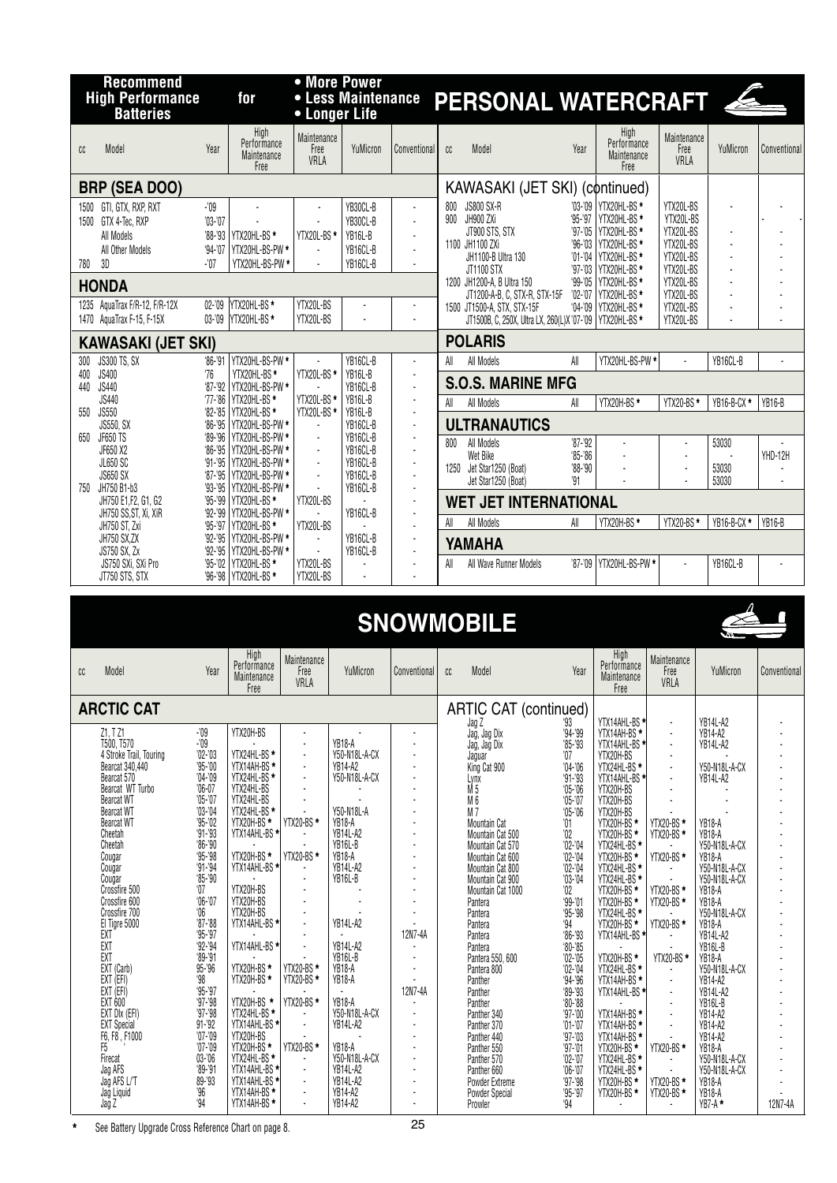|                           | <b>Recommend</b><br><b>High Performance</b>                                            |                                                                      | for                                                                                                  | • More Power                           | <b>• Less Maintenance</b>                                         |                                  |            | PERSONAL WATERCRAFT                                                                                         |                                                     |                                                                                                               |                                                                            |                         |              |  |  |  |
|---------------------------|----------------------------------------------------------------------------------------|----------------------------------------------------------------------|------------------------------------------------------------------------------------------------------|----------------------------------------|-------------------------------------------------------------------|----------------------------------|------------|-------------------------------------------------------------------------------------------------------------|-----------------------------------------------------|---------------------------------------------------------------------------------------------------------------|----------------------------------------------------------------------------|-------------------------|--------------|--|--|--|
|                           | <b>Batteries</b>                                                                       |                                                                      |                                                                                                      | • Longer Life                          |                                                                   |                                  |            |                                                                                                             |                                                     |                                                                                                               |                                                                            |                         |              |  |  |  |
| cc                        | Model                                                                                  | Year                                                                 | High<br>Performance<br>Maintenance<br>Free                                                           | Maintenance<br>Free<br>VRLA            | YuMicron                                                          | Conventional                     | cc         | Model                                                                                                       | Year                                                | High<br>Performance<br>Maintenance<br>Free                                                                    | Maintenance<br>Free<br>VRLA                                                | YuMicron                | Conventional |  |  |  |
|                           | <b>BRP (SEA DOO)</b>                                                                   |                                                                      |                                                                                                      |                                        |                                                                   |                                  |            | KAWASAKI (JET SKI) (continued)                                                                              |                                                     |                                                                                                               |                                                                            |                         |              |  |  |  |
| 780                       | 1500 GTI, GTX, RXP, RXT<br>1500 GTX 4-Tec, RXP<br>All Models<br>All Other Models<br>3D | -'09<br>$'03-'07$<br>$94 - 07$<br>$-107$                             | '88-'93 YTX20HL-BS *<br>YTX20HL-BS-PW *<br>YTX20HL-BS-PW *                                           | YTX20L-BS *                            | YB30CL-B<br>YB30CL-B<br>YB16L-B<br>YB16CL-B<br>YB16CL-B           | $\blacksquare$<br>$\overline{a}$ | 800        | <b>JS800 SX-R</b><br>900 JH900 ZXi<br>JT900 STS, STX<br>1100 JH1100 ZXi<br>JH1100-B Ultra 130<br>JT1100 STX | $95 - 97$<br>$'97 - 05$<br>$96 - 03$<br>$'97 - '03$ | '03-'09 YTX20HL-BS *<br>YTX20HL-BS*<br>YTX20HL-BS *<br>YTX20HL-BS *<br>'01-'04   YTX20HL-BS *<br>YTX20HL-BS * | YTX20L-BS<br>YTX20L-BS<br>YTX20L-BS<br>YTX20L-BS<br>YTX20L-BS<br>YTX20L-BS |                         |              |  |  |  |
|                           | <b>HONDA</b>                                                                           |                                                                      |                                                                                                      |                                        |                                                                   |                                  |            | 1200 JH1200-A, B Ultra 150                                                                                  | $99 - 05$                                           | YTX20HL-BS *                                                                                                  | YTX20L-BS                                                                  |                         |              |  |  |  |
|                           | 1235 AquaTrax F/R-12, F/R-12X<br>1470 AguaTrax F-15, F-15X                             | $02 - 09$<br>$03 - 09$                                               | YTX20HL-BS *<br>YTX20HL-BS *                                                                         | YTX20L-BS<br>YTX20L-BS                 |                                                                   |                                  |            | JT1200-A-B, C, STX-R, STX-15F<br>1500 JT1500-A, STX, STX-15F<br>JT1500B, C, 250X, Ultra LX, 260(L)X'07-'09  |                                                     | '02-'07 YTX20HL-BS *<br>'04-'09   YTX20HL-BS *<br><b>YTX20HL-BS*</b>                                          | YTX20L-BS<br>YTX20L-BS<br>YTX20L-BS                                        |                         |              |  |  |  |
| <b>KAWASAKI (JET SKI)</b> |                                                                                        |                                                                      |                                                                                                      |                                        |                                                                   |                                  |            | <b>POLARIS</b>                                                                                              |                                                     |                                                                                                               |                                                                            |                         |              |  |  |  |
| 300<br>400<br>440<br>550  | JS300 TS, SX<br><b>JS400</b><br><b>JS440</b><br>JS440<br><b>JS550</b><br>JS550, SX     | $86 - 91$<br>76<br>$87 - 92$<br>$'77 - 86$<br>$82 - 85$<br>$86 - 95$ | YTX20HL-BS-PW *<br>YTX20HL-BS*<br>YTX20HL-BS-PW *<br>YTX20HL-BS *<br>YTX20HL-BS *<br>YTX20HL-BS-PW * | YTX20L-BS*<br>YTX20L-BS*<br>YTX20L-BS* | YB16CL-B<br>YB16L-B<br>YB16CL-B<br>YB16L-B<br>YB16L-B<br>YB16CL-B |                                  | All<br>All | All Models<br><b>S.O.S. MARINE MFG</b><br>All Models<br><b>ULTRANAUTICS</b>                                 | All<br>All                                          | YTX20HL-BS-PW *<br>YTX20H-BS*                                                                                 | YTX20-BS*                                                                  | YB16CL-B<br>YB16-B-CX*  | L.<br>YB16-B |  |  |  |
| 650<br>750                | JF650 TS<br>JF650 X2<br><b>JL650 SC</b><br><b>JS650 SX</b><br>JH750 B1-b3              | $89 - 96$<br>$86 - 95$<br>$91 - 95$<br>$87 - 95$<br>$93 - 95$        | YTX20HL-BS-PW *<br>YTX20HL-BS-PW *<br>YTX20HL-BS-PW *<br>YTX20HL-BS-PW *<br>YTX20HL-BS-PW *          | $\overline{a}$<br>$\mathbf{r}$         | YB16CL-B<br>YB16CL-B<br>YB16CL-B<br>YB16CL-B<br>YB16CL-B          |                                  | 800        | All Models<br>Wet Bike<br>1250 Jet Star1250 (Boat)<br>Jet Star1250 (Boat)                                   | $'87 - '92$<br>$85 - 86$<br>$'88 - '90$<br>'91      | ÷,                                                                                                            | ÷,                                                                         | 53030<br>53030<br>53030 | YHD-12H      |  |  |  |
|                           | JH750 E1, F2, G1, G2                                                                   | $95 - 99$                                                            | YTX20HL-BS*                                                                                          | YTX20L-BS                              | YB16CL-B                                                          |                                  |            | <b>WET JET INTERNATIONAL</b>                                                                                |                                                     |                                                                                                               |                                                                            |                         |              |  |  |  |
|                           | JH750 SS, ST, Xi, XiR<br>JH750 ST, Zxi                                                 | $92 - 99$<br>$95 - 97$                                               | YTX20HL-BS-PW *<br>YTX20HL-BS*                                                                       | YTX20L-BS                              |                                                                   |                                  | All        | All Models                                                                                                  | All                                                 | YTX20H-BS*                                                                                                    | YTX20-BS*                                                                  | YB16-B-CX *             | YB16-B       |  |  |  |
|                           | JH750 SX,ZX<br>JS750 SX, Zx                                                            | '92-'95<br>$92 - 95$                                                 | YTX20HL-BS-PW *<br>YTX20HL-BS-PW *                                                                   |                                        | YB16CL-B<br>YB16CL-B                                              |                                  |            | YAMAHA                                                                                                      |                                                     |                                                                                                               |                                                                            |                         |              |  |  |  |
|                           | JS750 SXi, SXi Pro<br>JT750 STS, STX                                                   | $95 - 02$<br>'96-'98                                                 | YTX20HL-BS*<br>YTX20HL-BS*                                                                           | YTX20L-BS<br>YTX20L-BS                 |                                                                   |                                  | All        | All Wave Runner Models                                                                                      | $'87 - '09$                                         | YTX20HL-BS-PW *                                                                                               |                                                                            | YB16CL-B                |              |  |  |  |
|                           |                                                                                        |                                                                      | High                                                                                                 |                                        |                                                                   |                                  |            | <b>SNOWMOBILE</b>                                                                                           |                                                     | High                                                                                                          |                                                                            |                         |              |  |  |  |
| cc                        | Model                                                                                  | Year                                                                 | Performance<br>Maintenance<br>Free                                                                   | Maintenance<br>Free<br>VRLA            | YuMicron                                                          | Conventional                     | cc         | Model                                                                                                       | Year                                                | Performance<br>Maintenance<br>Free                                                                            | Maintenance<br>Free<br>VRLA                                                | YuMicron                | Conventional |  |  |  |

|                                                                                                   |                        | Free                    | VNLA           |                         |         |                                       |                            | Free                                         | VNLM                         |                           |         |
|---------------------------------------------------------------------------------------------------|------------------------|-------------------------|----------------|-------------------------|---------|---------------------------------------|----------------------------|----------------------------------------------|------------------------------|---------------------------|---------|
| <b>ARCTIC CAT</b>                                                                                 |                        |                         |                |                         |         | ARTIC CAT (continued)                 | '93                        | YTX14AHL-BS                                  | $\blacksquare$               | <b>YB14L-A2</b>           |         |
| Z1. T Z1                                                                                          | $-109$                 | YTX20H-BS               | ×              |                         |         | Jag Z<br>Jag, Jag Dix<br>Jag, Jag Dix | $94 - 99$                  | YTX14AH-BS <sup>*</sup>                      | $\mathbf{r}$                 | YB14-A2                   |         |
| T500, T570                                                                                        | $-109$                 |                         | ×              | <b>YB18-A</b>           |         |                                       | $85 - 93$                  | YTX14AHL-BS                                  | $\mathbf{r}$                 | <b>YB14L-A2</b>           |         |
| 4 Stroke Trail, Touring                                                                           | $'02 - '03$            | YTX24HL-BS *            | $\blacksquare$ | Y50-N18L-A-CX           |         | Jaguar                                | $^{\prime}07$              | YTX20H-BS                                    | $\blacksquare$               |                           |         |
| Bearcat 340,440                                                                                   | $95 - 00$              | YTX14AH-BS <sup>*</sup> | $\blacksquare$ | YB14-A2                 |         | King Cat 900                          | $'04 - '06$                | YTX24HL-BS <sup>*</sup>                      | $\blacksquare$               | Y50-N18L-A-CX             |         |
| Bearcat 570                                                                                       | $'04 - '09$            | YTX24HL-BS*             | $\blacksquare$ | Y50-N18L-A-CX           |         | Lynx                                  | $91 - 93$                  | YTX14AHL-BS                                  | $\blacksquare$               | <b>YB14L-A2</b>           |         |
| Bearcat WT Turbo                                                                                  | $'06-07$               | YTX24HL-BS              | ÷.             |                         |         | $\overline{M}$ 5                      | $'05 - '06$                | YTX20H-BS                                    | $\blacksquare$               |                           |         |
| <b>Bearcat WT</b>                                                                                 | $'05 - '07$            | YTX24HL-BS              |                |                         |         | Mб                                    | $05 - 07$                  | YTX20H-BS                                    | $\blacksquare$               |                           |         |
| Bearcat WT                                                                                        | $'03 - '04$            | YTX24HL-BS *            |                | Y50-N18L-A              |         | $M\bar{7}$                            | $'05 - '06$                | YTX20H-BS                                    |                              |                           |         |
| Bearcat WT                                                                                        | $'95 - '02$            | YTX20H-BS *             | YTX20-BS *     | <b>YB18-A</b>           |         | Mountain Cat                          | $^{\prime}01$              | YTX20H-BS <sup>*</sup>                       | YTX20-BS *                   | YB18-A                    |         |
| Cheetah                                                                                           | $91 - 93$              | YTX14AHL-BS *           | $\mathbf{r}$   | YB14L-A2                |         | Mountain Cat 500                      | $^{\prime}02$              | YTX20H-BS*                                   | YTX20-BS*                    | <b>YB18-A</b>             |         |
| Cheetah                                                                                           | $96 - 90$              |                         |                | YB16L-B                 |         | Mountain Cat 570                      | $'02 -'04$                 | YTX24HL-BS *                                 |                              | Y50-N18L-A-CX             |         |
| Cougar                                                                                            | $95 - 98$              | YTX20H-BS *             | YTX20-BS *     | <b>YB18-A</b>           |         | Mountain Cat 600                      | $'02 - 04$                 |                                              | YTX20-BS *                   | <b>YB18-A</b>             |         |
| Cougar                                                                                            | $91 - 94$              | YTX14AHL-BS *           | $\mathbf{r}$   | YB14L-A2                |         | Mountain Cat 800                      | $'02 - '04$                | YTX20H-BS *<br>YTX20H-BS *<br>YTX24HL-BS *   | $\sim$                       | Y50-N18L-A-CX             |         |
| Cougar                                                                                            | $85 - 90$              |                         | $\bullet$      | YB16L-B                 |         | Mountain Cat 900                      | $'03 - 04$                 |                                              |                              | Y50-N18L-A-CX             |         |
| Crossfire 500                                                                                     | $^{\circ}07$           | YTX20H-BS               |                |                         |         | Mountain Cat 1000                     | '02                        | YTX20H-BS <sup>*</sup>                       | YTX20-BS *                   | YB18-A                    |         |
| Crossfire 600                                                                                     | $06 - 07$              | YTX20H-BS               | $\sim$         |                         |         | Pantera                               | 99.01                      | YTX20H-BS <sup>*</sup>                       | <b>YTX20-BS*</b>             | <b>YB18-A</b>             |         |
| Crossfire 700                                                                                     | 06                     | YTX20H-BS               | $\blacksquare$ |                         |         | Pantera                               | $95 - 98$                  | YTX24HL-BS <sup>*</sup>                      |                              | Y50-N18L-A-CX             |         |
| El Tigre 5000<br>EXT                                                                              | $'87 - '88$            | YTX14AHL-BS *           | $\sim$         | <b>YB14L-A2</b>         |         | Pantera                               | 94                         | YTX20H-BS *                                  | <b>YTX20-BS*</b>             | <b>YB18-A</b>             |         |
|                                                                                                   | $95 - 97$              |                         |                |                         | 12N7-4A | Pantera                               | $86 - 93$                  | YTX14AHL-BS                                  | $\sim$                       | <b>YB14L-A2</b>           |         |
| EXT<br>EXT                                                                                        | $92 - 94$              | YTX14AHL-BS *           | $\blacksquare$ | <b>YB14L-A2</b>         |         | Pantera                               | $80 - 85$                  |                                              |                              | YB16L-B                   |         |
|                                                                                                   | $9 - 91$               |                         |                | YB16L-B                 |         | Pantera 550, 600                      | $'02 - '05$                | YTX20H-BS*                                   | YTX20-BS*                    | <b>YB18-A</b>             |         |
|                                                                                                   | 95-'96                 | YTX20H-BS *             | YTX20-BS *     | <b>YB18-A</b>           |         | Pantera 800                           | $'02 -'04$                 | YTX24HL-BS *                                 | $\blacksquare$               | Y50-N18L-A-CX             |         |
|                                                                                                   | '98                    | YTX20H-BS <sup>*</sup>  | YTX20-BS*      | <b>YB18-A</b>           |         | Panther                               | $94 - 96$                  | YTX14AH-BS <sup>*</sup>                      | $\mathbf{r}$                 | <b>YB14-A2</b>            |         |
| EXT (Carb)<br>EXT (EFI)<br>EXT (EFI)<br>EXT 600<br>EXT DIx (EFI)<br>EXT Special<br>F6, F8 , F1000 | $95 - 97$<br>$97 - 98$ |                         | YTX20-BS*      | $\sim$<br><b>YB18-A</b> | 12N7-4A | Panther                               | $9 - 93$                   | YTX14AHL-BS                                  | $\bullet$                    | YB14L-A2                  |         |
|                                                                                                   | '97-'98                | YTX20H-BS *             | $\omega$       | Y50-N18L-A-CX           |         | Panther                               | $80 - 88$                  |                                              | $\bullet$                    | YB16L-B                   |         |
|                                                                                                   | $91 - 92$              | YTX24HL-BS *            | $\sim$         | <b>YB14L-A2</b>         |         | Panther 340                           | $'97 - '00$<br>$'01 - '07$ | YTX14AH-BS *<br>YTX14AH-BS *                 | $\mathbf{r}$<br>$\mathbf{r}$ | YB14-A2<br><b>YB14-A2</b> |         |
|                                                                                                   | $'07 - '09$            | YTX14AHL-BS *           |                |                         |         | Panther 370                           | $'97 - 03$                 |                                              |                              |                           |         |
| F5Ī                                                                                               | $'07 - '09$            | YTX20H-BS *             | YTX20-BS *     | <b>YB18-A</b>           |         | Panther 440<br>Panther 550            | $'97 - 01$                 |                                              | <b>YTX20-BS*</b>             | YB14-A2<br>YB18-A         |         |
| Firecat                                                                                           | $03 - 06$              | YTX24HL-BS <sup>*</sup> | $\blacksquare$ | Y50-N18L-A-CX           |         | Panther 570                           | $'02 -'07$                 | YTX14AH-BS *<br>YTX14AH-BS *<br>YTX24HL-BS * | $\bullet$                    | Y50-N18L-A-CX             |         |
|                                                                                                   | $99 - 91$              | YTX14AHL-BS *           | $\blacksquare$ | <b>YB14L-A2</b>         |         | Panther 660                           | $'06-'07$                  | YTX24HL-BS*                                  |                              | Y50-N18L-A-CX             |         |
| Jag AFS<br>Jag AFS L/T                                                                            | 89-'93                 | YTX14AHL-BS *           | $\blacksquare$ | YB14L-A2                |         | Powder Extreme                        | $'97 - 98$                 | YTX20H-BS <sup>*</sup>                       | YTX20-BS *                   | YB18-A                    |         |
|                                                                                                   | '96                    | YTX14AH-BS <sup>*</sup> | $\sim$         | YB14-A2                 |         | Powder Special                        | $'95-'97$                  | YTX20H-BS *                                  | <b>YTX20-BS *</b>            | <b>YB18-A</b>             |         |
| Jag Liquid<br>Jag Z                                                                               | .94                    | YTX14AH-BS *            | $\sim$         | <b>YB14-A2</b>          |         | Prowler                               | 94                         |                                              | ÷                            | $YB7-A$ *                 | 12N7-4A |
|                                                                                                   |                        |                         |                |                         |         |                                       |                            |                                              |                              |                           |         |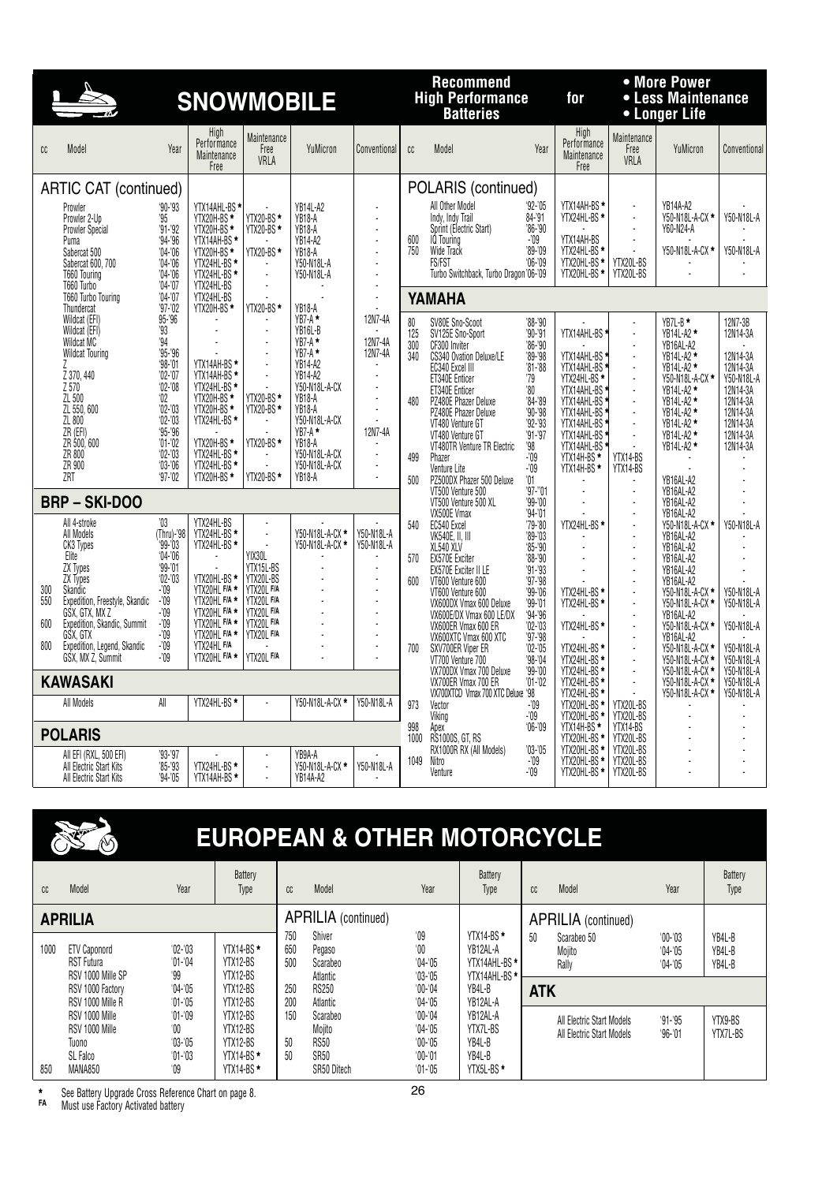|                          |                                                                                                                                                                                                                                        |                                                                                                                                                                                                         | <b>SNOWMOBILE</b>                                                                                                                                                                 |                                                                                                                            |                                                                                                                                                                                                                                            |                                                                              | <b>Recommend</b><br><b>High Performance</b><br><b>Batteries</b> |                                                                                                                                                                                                                                                                                                                                           | for                                                                                                                                                                               |                                                                                                                                                                                                        | • More Power<br>• Less Maintenance<br>• Longer Life            |                                                                                                                                                                                                           |                                                                                                                                   |
|--------------------------|----------------------------------------------------------------------------------------------------------------------------------------------------------------------------------------------------------------------------------------|---------------------------------------------------------------------------------------------------------------------------------------------------------------------------------------------------------|-----------------------------------------------------------------------------------------------------------------------------------------------------------------------------------|----------------------------------------------------------------------------------------------------------------------------|--------------------------------------------------------------------------------------------------------------------------------------------------------------------------------------------------------------------------------------------|------------------------------------------------------------------------------|-----------------------------------------------------------------|-------------------------------------------------------------------------------------------------------------------------------------------------------------------------------------------------------------------------------------------------------------------------------------------------------------------------------------------|-----------------------------------------------------------------------------------------------------------------------------------------------------------------------------------|--------------------------------------------------------------------------------------------------------------------------------------------------------------------------------------------------------|----------------------------------------------------------------|-----------------------------------------------------------------------------------------------------------------------------------------------------------------------------------------------------------|-----------------------------------------------------------------------------------------------------------------------------------|
| cc                       | Model                                                                                                                                                                                                                                  | Year                                                                                                                                                                                                    | High<br>Performance<br>Maintenance<br>Free                                                                                                                                        | Maintenance<br>Free<br>VRLA                                                                                                | YuMicron                                                                                                                                                                                                                                   | Conventional                                                                 | cc                                                              | Model                                                                                                                                                                                                                                                                                                                                     | Year                                                                                                                                                                              | High<br>Performance<br>Maintenance<br>Free                                                                                                                                                             | Maintenance<br>Free<br>VRLA                                    | YuMicron                                                                                                                                                                                                  | Conventional                                                                                                                      |
|                          | <b>ARTIC CAT (continued)</b>                                                                                                                                                                                                           |                                                                                                                                                                                                         |                                                                                                                                                                                   |                                                                                                                            |                                                                                                                                                                                                                                            |                                                                              |                                                                 | POLARIS (continued)                                                                                                                                                                                                                                                                                                                       |                                                                                                                                                                                   |                                                                                                                                                                                                        |                                                                |                                                                                                                                                                                                           |                                                                                                                                   |
|                          | Prowler<br>Prowler 2-Up<br><b>Prowler Special</b><br>Puma<br>Sabercat 500<br>Sabercat 600, 700<br>T660 Touring                                                                                                                         | $90 - 93$<br>95'<br>$'91 - '92$<br>$94 - 96$<br>$'04 - '06$<br>$04 - 06$<br>$'04 - '06$                                                                                                                 | YTX14AHL-BS<br>YTX20H-BS *<br>YTX20H-BS <sup>*</sup><br>YTX14AH-BS*<br>YTX20H-BS *<br>YTX24HL-BS *<br>YTX24HL-BS *                                                                | YTX20-BS *<br>YTX20-BS *<br>YTX20-BS *<br>÷.                                                                               | <b>YB14L-A2</b><br><b>YB18-A</b><br>YB <sub>18</sub> -A<br>YB14-A2<br>YB <sub>18</sub> -A<br>Y50-N18L-A<br>Y50-N18L-A                                                                                                                      |                                                                              | 600<br>750                                                      | All Other Model<br>Indv. Indv Trail<br>Sprint (Electric Start)<br><b>IQ</b> Touring<br>Wide Track<br>FS/FST<br>Turbo Switchback, Turbo Dragon'06-'09                                                                                                                                                                                      | $92 - 05$<br>84-'91<br>'86-'90<br>-'09<br>'89-'09<br>$06 - 09$                                                                                                                    | YTX14AH-BS *<br>YTX24HL-BS *<br>YTX14AH-BS<br>YTX24HL-BS *<br>YTX20HL-BS *<br>YTX20HL-BS *                                                                                                             | J.<br>÷,<br>÷,<br>YTX20L-BS<br>YTX20L-BS                       | YB14A-A2<br>Y50-N18L-A-CX *<br>Y60-N24-A<br>Y50-N18L-A-CX *                                                                                                                                               | Y50-N18L-A<br>Y50-N18L-A                                                                                                          |
|                          | T660 Turbo<br>T660 Turbo Touring                                                                                                                                                                                                       | $'04 - '07$<br>$'04 - '07$                                                                                                                                                                              | YTX24HL-BS<br>YTX24HL-BS                                                                                                                                                          | ÷                                                                                                                          |                                                                                                                                                                                                                                            | ÷.                                                                           |                                                                 | YAMAHA                                                                                                                                                                                                                                                                                                                                    |                                                                                                                                                                                   |                                                                                                                                                                                                        |                                                                |                                                                                                                                                                                                           |                                                                                                                                   |
|                          | Thundercat<br>Wildcat (EFI)<br>Wildcat (EFI)<br>Wildcat MC<br><b>Wildcat Touring</b><br>Z 370, 440<br>Z 570<br>ZL 500<br>ZL 550, 600<br>ZL 800<br>$\overline{ZR}$ (EFI)<br>ZR 500, 600<br>ZR 800<br>ZR 900<br>ZRT                      | $'97 - '02$<br>95-'96<br>'93<br>.94<br>'95-'96<br>$98 - 01$<br>$'02 -'07$<br>$02 - 08$<br>$^{\circ}02$<br>$'02 - '03$<br>$02 - 03$<br>$95 - 96$<br>$'01 - '02$<br>$02 - 03$<br>$'03 - '06$<br>$97 - 02$ | YTX20H-BS *<br>YTX14AH-BS*<br>YTX14AH-BS *<br>YTX24HL-BS *<br>YTX20H-BS <sup>*</sup><br>YTX20H-BS *<br>YTX24HL-BS *<br>YTX20H-BS *<br>YTX24HL-BS *<br>YTX24HL-BS *<br>YTX20H-BS * | YTX20-BS *<br>YTX20-BS *<br>YTX20-BS *<br>YTX20-BS *<br><b>YTX20-BS*</b>                                                   | YB18-A<br>$YB7-A$ *<br>YB16L-B<br>$YB7-A$ *<br>$YB7-A$ *<br><b>YB14-A2</b><br><b>YB14-A2</b><br>Y50-N18L-A-CX<br>YB18-A<br><b>YB18-A</b><br>Y50-N18L-A-CX<br>$YB7-A$ *<br><b>YB18-A</b><br>Y50-N18L-A-CX<br>Y50-N18L-A-CX<br><b>YB18-A</b> | 12N7-4A<br>12N7-4A<br>12N7-4A<br>ä,<br>$\overline{a}$<br>12N7-4A<br>÷.<br>÷. | 80<br>125<br>300<br>340<br>480<br>499<br>500                    | SV80E Sno-Scoot<br>SV125E Sno-Sport<br>CF300 Inviter<br>CS340 Ovation Deluxe/LE<br>EC340 Excel III<br>ET340E Enticer<br>ET340E Enticer<br>PZ480E Phazer Deluxe<br>PZ480E Phazer Deluxe<br>VT480 Venture GT<br>VT480 Venture GT<br>VT480TR Venture TR Electric<br>Phazer<br>Venture Lite<br>PZ500DX Phazer 500 Deluxe<br>VT500 Venture 500 | '88-'90<br>$'90 - '91$<br>'86-'90<br>'89-'98<br>$'81 - '88$<br>79<br>'80<br>'84-'89<br>$90 - 98$<br>'92-'93<br>$'91 - '97$<br>'98<br>-'09<br>$-109$<br>$^{\prime}01$<br>$97 - 01$ | YTX14AHL-BS<br>* YTX14AHL-BS<br>* YTX14AHL-BS<br>YTX24HL-BS <sup>*</sup><br>YTX14AHL-BS *<br>YTX14AHL-BS<br>YTX14AHL-BS<br>YTX14AHL-BS<br>YTX14AHL-BS<br>YTX14AHL-BS<br>YTX14H-BS*<br>YTX14H-BS*<br>÷. | YTX14-BS<br>YTX14-BS<br>÷.                                     | YB7L-B*<br>YB14L-A2 *<br>YB16AL-A2<br>YB14L-A2 *<br>YB14L-A2 *<br>Y50-N18L-A-CX *<br>YB14L-A2 *<br>YB14L-A2 *<br>YB14L-A2 *<br>YB14L-A2 *<br>YB14L-A2 *<br>YB14L-A2 *<br>YB16AL-A2<br>YB16AL-A2           | 12N7-3B<br>12N14-3A<br>12N14-3A<br>12N14-3A<br>Y50-N18L-A<br>12N14-3A<br>12N14-3A<br>12N14-3A<br>12N14-3A<br>12N14-3A<br>12N14-3A |
|                          | <b>BRP-SKI-DOO</b>                                                                                                                                                                                                                     |                                                                                                                                                                                                         |                                                                                                                                                                                   |                                                                                                                            |                                                                                                                                                                                                                                            |                                                                              |                                                                 | VT500 Venture 500 XL<br>VX500E Vmax                                                                                                                                                                                                                                                                                                       | '99-'00<br>94.01                                                                                                                                                                  |                                                                                                                                                                                                        |                                                                | YB16AL-A2<br>YB16AL-A2                                                                                                                                                                                    |                                                                                                                                   |
| 300<br>550<br>600<br>800 | All 4-stroke<br>All Models<br>CK3 Types<br>Elite<br>ZX Types<br>ZX Types<br>Skandic<br>Expedition, Freestyle, Skandic<br>GSX, GTX, MX Z<br>Expedition, Skandic, Summit<br>GSX, GTX<br>Expedition, Legend, Skandic<br>GSX, MX Z, Summit | '03<br>(Thru)-'98<br>$99 - 03$<br>$04 - 06$<br>$99 - 01$<br>$02 - 03$<br>-'09<br>-'09<br>$-109$<br>$-109$<br>$-109$<br>$-109$<br>$-109$                                                                 | YTX24HL-BS<br>YTX24HL-BS *<br>YTX24HL-BS *<br>YTX20HL-BS *<br>YTX20HL F/A *<br>YTX20HL F/A *<br>YTX20HL F/A *<br>YTX20HL F/A *<br>YTX20HL F/A *<br>YTX24HL F/A<br>YTX20HL F/A *   | L.<br>YIX30L<br>YTX15L-BS<br>YTX20L-BS<br>YTX20L F/A<br>YTX20L F/A<br>YTX20L F/A<br>YTX20L F/A<br>YTX20L F/A<br>YTX20L F/A | Y50-N18L-A-CX *<br>Y50-N18L-A-CX *                                                                                                                                                                                                         | Y50-N18L-A<br>Y50-N18L-A<br>J.<br>÷,                                         | 540<br>570<br>600<br>700                                        | EC540 Excel<br><b>VK540E, II, III</b><br>XL540 XLV<br>EX570E Exciter<br>EX570E Exciter II LE<br>VT600 Venture 600<br>VT600 Venture 600<br>VX600DX Vmax 600 Deluxe<br>VX600E/DX Vmax 600 LE/DX<br>VX600ER Vmax 600 ER<br>VX600XTC Vmax 600 XTC<br>SXV700ER Viper ER<br>VT700 Venture 700<br>VX700DX Vmax 700 Deluxe                        | '79-'80<br>$89 - 03$<br>$85 - 90$<br>'88-'90<br>$91 - 93$<br>'97-'98<br>'99-'06<br>$99 - 01$<br>'94-'96<br>'02-'03<br>'97-'98<br>$'02 - '05$<br>'98-'04<br>$99 - 00$              | YTX24HL-BS *<br>YTX24HL-BS *<br>YTX24HL-BS *<br>YTX24HL-BS *<br>YTX24HL-BS *<br>YTX24HL-BS *<br>YTX24HL-BS *                                                                                           | ÷,<br>ä,<br>÷,<br>$\overline{a}$<br>J.<br>$\ddot{\phantom{a}}$ | Y50-N18L-A-CX *<br>YB16AL-A2<br>YB16AL-A2<br>YB16AL-A2<br>YB16AL-A2<br>YB16AL-A2<br>Y50-N18L-A-CX *<br>Y50-N18L-A-CX *<br>YB16AL-A2<br>Y50-N18L-A-CX *<br>YB16AL-A2<br>Y50-N18L-A-CX *<br>Y50-N18L-A-CX * | Y50-N18L-A<br>Y50-N18L-A<br>Y50-N18L-A<br>Y50-N18L-A<br>Y50-N18L-A<br>Y50-N18L-A<br>Y50-N18L-A                                    |
|                          | <b>KAWASAKI</b>                                                                                                                                                                                                                        |                                                                                                                                                                                                         |                                                                                                                                                                                   |                                                                                                                            |                                                                                                                                                                                                                                            |                                                                              |                                                                 | VX700ER Vmax 700 ER                                                                                                                                                                                                                                                                                                                       | $'01 - '02$                                                                                                                                                                       | YTX24HL-BS *                                                                                                                                                                                           | L.                                                             | Y50-N18L-A-CX *<br>Y50-N18L-A-CX *                                                                                                                                                                        | Y50-N18L-A                                                                                                                        |
|                          | All Models                                                                                                                                                                                                                             | All                                                                                                                                                                                                     | YTX24HL-BS *                                                                                                                                                                      |                                                                                                                            | Y50-N18L-A-CX *                                                                                                                                                                                                                            | Y50-N18L-A                                                                   | 973                                                             | VX700XTCD Vmax 700 XTC Deluxe '98<br>Vector                                                                                                                                                                                                                                                                                               | $-109$                                                                                                                                                                            | YTX24HL-BS *<br>YTX20HL-BS <sup>*</sup>                                                                                                                                                                | YTX20L-BS                                                      | Y50-N18L-A-CX *<br>ä,                                                                                                                                                                                     | Y50-N18L-A                                                                                                                        |
|                          | <b>POLARIS</b>                                                                                                                                                                                                                         |                                                                                                                                                                                                         |                                                                                                                                                                                   |                                                                                                                            |                                                                                                                                                                                                                                            |                                                                              | 998<br>1000                                                     | Viking<br>Apex<br>RS1000S, GT, RS                                                                                                                                                                                                                                                                                                         | -'09<br>$06 - 09$                                                                                                                                                                 | YTX20HL-BS *<br>YTX14H-BS *<br>YTX20HL-BS *                                                                                                                                                            | YTX20L-BS<br>YTX14-BS<br>YTX20L-BS                             |                                                                                                                                                                                                           |                                                                                                                                   |
|                          | All EFI (RXL, 500 EFI)<br>All Electric Start Kits<br>All Electric Start Kits                                                                                                                                                           | '93-'97<br>'85-'93<br>'94-'05                                                                                                                                                                           | YTX24HL-BS *<br>YTX14AH-BS*                                                                                                                                                       |                                                                                                                            | YB9A-A<br>Y50-N18L-A-CX *<br><b>YB14A-A2</b>                                                                                                                                                                                               | Y50-N18L-A                                                                   | 1049                                                            | RX1000R RX (All Models)<br>Nitro<br>Venture                                                                                                                                                                                                                                                                                               | '03-'05<br>-'09<br>$-109$                                                                                                                                                         | YTX20HL-BS *<br>YTX20HL-BS *<br>YTX20HL-BS *                                                                                                                                                           | YTX20L-BS<br>YTX20L-BS<br>YTX20L-BS                            |                                                                                                                                                                                                           |                                                                                                                                   |

### **EUROPEAN & OTHER MOTORCYCLE**

| cc             | Model                                                            | Year                                               | Battery<br>Type                                                 | cc                | Model                                                                | Year                                                              | Battery<br>Type                                                   | CC         | Model                                                  | Year                                | <b>Battery</b><br>Type     |
|----------------|------------------------------------------------------------------|----------------------------------------------------|-----------------------------------------------------------------|-------------------|----------------------------------------------------------------------|-------------------------------------------------------------------|-------------------------------------------------------------------|------------|--------------------------------------------------------|-------------------------------------|----------------------------|
| <b>APRILIA</b> |                                                                  |                                                    |                                                                 |                   | APRILIA (continued)                                                  |                                                                   |                                                                   |            | <b>APRILIA</b> (continued)                             |                                     |                            |
| 1000           | <b>ETV Caponord</b><br><b>RST Futura</b><br>RSV 1000 Mille SP    | $'02 - '03$<br>$'01 - '04$<br>'99                  | YTX14-BS *<br>YTX12-BS<br>YTX12-BS                              | 750<br>650<br>500 | Shiver<br>Pegaso<br>Scarabeo<br>Atlantic                             | '09<br>'00<br>$04 - 05$<br>$03 - 05$                              | YTX14-BS *<br>YB12AL-A<br>YTX14AHL-BS *<br>YTX14AHL-BS *          | 50         | Scarabeo 50<br>Mojito<br>Rally                         | $00 - 03$<br>$04 - 05$<br>$04 - 05$ | YB4L-B<br>YB4L-B<br>YB4L-B |
|                | RSV 1000 Factory<br>RSV 1000 Mille R                             | $04 - 05$<br>$'01 - 05$                            | YTX12-BS<br>YTX12-BS                                            | 250<br>200        | <b>RS250</b><br>Atlantic                                             | $'00-'04$<br>$04 - 05$                                            | YB4L-B<br>YB12AL-A                                                | <b>ATK</b> |                                                        |                                     |                            |
| 850            | RSV 1000 Mille<br>RSV 1000 Mille<br>Tuono<br>SL Falco<br>MANA850 | $'01 - 09$<br>'00<br>$'03 - '05$<br>'01-'03<br>'09 | YTX12-BS<br>YTX12-BS<br>YTX12-BS<br>YTX14-BS $*$<br>$YTX14-BS*$ | 150<br>50<br>50   | Scarabeo<br>Mojito<br><b>RS50</b><br>SR <sub>50</sub><br>SR50 Ditech | $'00-'04$<br>$04 - 05$<br>$'00 - '05$<br>$'00-'01$<br>$'01 - '05$ | YB12AL-A<br>YTX7L-BS<br>YB4L-B<br>YB4L-B<br>YTX5L-BS <sup>*</sup> |            | All Electric Start Models<br>All Electric Start Models | $91 - 95$<br>$96 - 01$              | YTX9-BS<br>YTX7L-BS        |

**\*** See Battery Upgrade Cross Reference Chart on page 8. 26

**FA** Must use Factory Activated battery

**REA**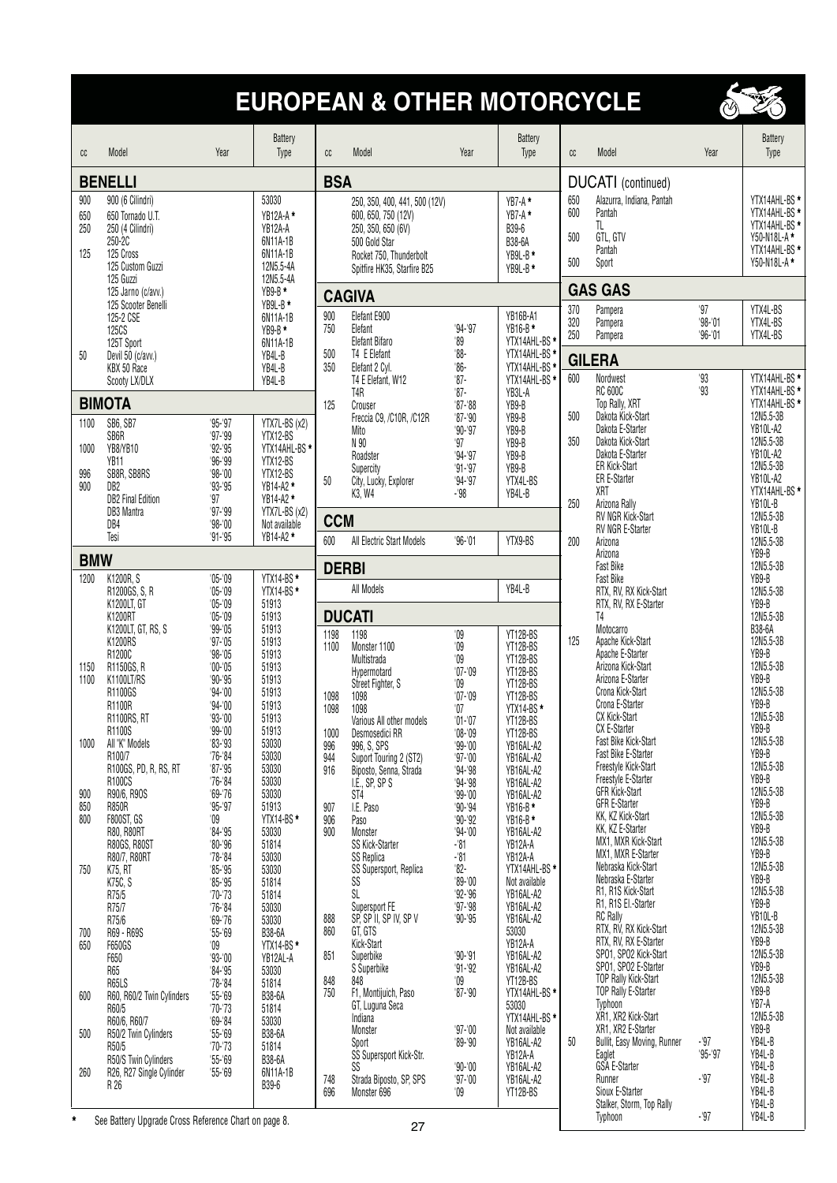### **EUROPEAN & OTHER MOTORCYCLE**



| cc                       | Model                                                                                               | Year                       | Battery<br>Type                                                   | cc                | Model                                                                                                                                                 | Year                           | <b>Battery</b><br>Type                                    | cc                       | Model                                                                     | Year            | Battery<br>Type                                                                                |  |  |  |
|--------------------------|-----------------------------------------------------------------------------------------------------|----------------------------|-------------------------------------------------------------------|-------------------|-------------------------------------------------------------------------------------------------------------------------------------------------------|--------------------------------|-----------------------------------------------------------|--------------------------|---------------------------------------------------------------------------|-----------------|------------------------------------------------------------------------------------------------|--|--|--|
| <b>BENELLI</b>           |                                                                                                     |                            |                                                                   |                   | <b>BSA</b>                                                                                                                                            |                                |                                                           |                          | DUCATI (continued)                                                        |                 |                                                                                                |  |  |  |
| 900<br>650<br>250<br>125 | 900 (6 Cilindri)<br>650 Tornado U.T.<br>250 (4 Cilindri)<br>250-2C<br>125 Cross<br>125 Custom Guzzi |                            | 53030<br>YB12A-A*<br>YB12A-A<br>6N11A-1B<br>6N11A-1B<br>12N5.5-4A |                   | 250, 350, 400, 441, 500 (12V)<br>600, 650, 750 (12V)<br>250, 350, 650 (6V)<br>500 Gold Star<br>Rocket 750, Thunderbolt<br>Spitfire HK35, Starfire B25 |                                | YB7-A*<br>YB7-A*<br>B39-6<br>B38-6A<br>YB9L-B*<br>YB9L-B* | 650<br>600<br>500<br>500 | Alazurra, Indiana, Pantah<br>Pantah<br>TL.<br>GTL, GTV<br>Pantah<br>Sport |                 | YTX14AHL-BS *<br>YTX14AHL-BS *<br>YTX14AHL-BS *<br>Y50-N18L-A*<br>YTX14AHL-BS *<br>Y50-N18L-A* |  |  |  |
|                          | 125 Guzzi<br>125 Jarno (c/avv.)                                                                     |                            | 12N5.5-4A<br>$YB9-B*$                                             |                   | <b>CAGIVA</b>                                                                                                                                         |                                |                                                           |                          | <b>GAS GAS</b>                                                            |                 |                                                                                                |  |  |  |
|                          | 125 Scooter Benelli<br>125-2 CSE                                                                    |                            | YB9L-B*<br>6N11A-1B                                               | 900               | Elefant E900                                                                                                                                          |                                | YB16B-A1                                                  | 370<br>320               | Pampera<br>Pampera                                                        | 97<br>$98 - 01$ | YTX4L-BS<br>YTX4L-BS                                                                           |  |  |  |
|                          | <b>125CS</b><br>125T Sport                                                                          |                            | YB9-B*<br>6N11A-1B                                                | 750               | Elefant<br>Elefant Bifaro                                                                                                                             | $94 - 97$<br>$^{\prime}89$     | YB16-B*<br>YTX14AHL-BS *                                  | 250                      | Pampera                                                                   | $96 - 01$       | YTX4L-BS                                                                                       |  |  |  |
| 50                       | Devil 50 (c/avv.)<br>KBX 50 Race                                                                    |                            | YB4L-B<br>YB4L-B                                                  | 500<br>350        | T4 E Elefant<br>Elefant 2 Cyl.                                                                                                                        | $88-$<br>$86 -$                | YTX14AHL-BS *<br>YTX14AHL-BS *                            |                          | <b>GILERA</b>                                                             |                 |                                                                                                |  |  |  |
|                          | Scooty LX/DLX                                                                                       |                            | YB4L-B                                                            |                   | T4 E Elefant, W12<br>T4R                                                                                                                              | $87 -$<br>$87-$                | YTX14AHL-BS *<br>YB3L-A                                   | 600                      | Nordwest<br><b>RC 600C</b>                                                | 93<br>93        | YTX14AHL-BS *<br>YTX14AHL-BS *                                                                 |  |  |  |
|                          | <b>BIMOTA</b>                                                                                       |                            |                                                                   | 125               | Crouser<br>Freccia C9, /C10R, /C12R                                                                                                                   | $87 - 88$<br>$'87 - 90$        | YB9-B<br>YB9-B                                            | 500                      | Top Rally, XRT<br>Dakota Kick-Start                                       |                 | YTX14AHL-BS *<br>12N5.5-3B                                                                     |  |  |  |
| 1100                     | SB6, SB7<br>SB6R                                                                                    | $95 - 97$<br>$97 - 99$     | YTX7L-BS (x2)<br>YTX12-BS                                         |                   | Mito<br>N 90                                                                                                                                          | $90 - 97$<br>97                | YB9-B<br>YB9-B                                            | 350                      | Dakota E-Starter<br>Dakota Kick-Start                                     |                 | YB10L-A2<br>12N5.5-3B                                                                          |  |  |  |
| 1000                     | YB8/YB10<br>YB <sub>11</sub>                                                                        | $92 - 95$<br>$96 - 99$     | YTX14AHL-BS *<br>YTX12-BS                                         |                   | Roadster<br>Supercity                                                                                                                                 | $94 - 97$<br>$91 - 97$         | YB9-B<br>YB9-B                                            |                          | Dakota E-Starter<br>ER Kick-Start                                         |                 | YB10L-A2<br>12N5.5-3B                                                                          |  |  |  |
| 996<br>900               | SB8R, SB8RS<br>DB <sub>2</sub>                                                                      | $98 - 00$<br>'93-'95       | YTX12-BS<br>YB14-A2 *                                             | 50                | City, Lucky, Explorer<br>K3, W4                                                                                                                       | $94 - 97$<br>-'98              | YTX4L-BS<br>YB4L-B                                        |                          | <b>ER E-Starter</b><br>XRT                                                |                 | YB10L-A2<br>YTX14AHL-BS *                                                                      |  |  |  |
|                          | <b>DB2 Final Edition</b><br><b>DB3 Mantra</b>                                                       | 97<br>$97 - 99$            | YB14-A2 *<br>YTX7L-BS (x2)                                        |                   |                                                                                                                                                       |                                |                                                           | 250                      | Arizona Rally<br>RV NGR Kick-Start                                        |                 | YB10L-B<br>12N5.5-3B                                                                           |  |  |  |
|                          | DB4<br>Tesi                                                                                         | $98 - 00$<br>$91 - 95$     | Not available<br>YB14-A2 *                                        | <b>CCM</b><br>600 | All Electric Start Models                                                                                                                             | $96 - 01$                      | YTX9-BS                                                   | 200                      | RV NGR E-Starter<br>Arizona                                               |                 | YB10L-B<br>12N5.5-3B                                                                           |  |  |  |
| <b>BMW</b>               |                                                                                                     |                            |                                                                   |                   |                                                                                                                                                       |                                |                                                           |                          | Arizona<br>Fast Bike                                                      |                 | YB9-B<br>12N5.5-3B                                                                             |  |  |  |
| 1200                     | K1200R, S                                                                                           | $'05 - 09$                 | YTX14-BS*                                                         | <b>DERBI</b>      | All Models                                                                                                                                            |                                | YB4L-B                                                    |                          | <b>Fast Bike</b>                                                          |                 | YB9-B                                                                                          |  |  |  |
|                          | R1200GS, S, R<br>K1200LT, GT                                                                        | $'05 - 09$<br>$'05 - 09$   | YTX14-BS*<br>51913                                                |                   |                                                                                                                                                       |                                |                                                           |                          | RTX, RV, RX Kick-Start<br>RTX, RV, RX E-Starter                           |                 | 12N5.5-3B<br>YB9-B                                                                             |  |  |  |
|                          | K1200RT<br>K1200LT, GT, RS, S                                                                       | $'05 - 09$<br>$99 - 05$    | 51913<br>51913                                                    | 1198              | <b>DUCATI</b><br>1198                                                                                                                                 | $^{\shortmid}09$               | YT12B-BS                                                  |                          | T <sub>4</sub><br>Motocarro                                               |                 | 12N5.5-3B<br>B38-6A                                                                            |  |  |  |
|                          | K1200RS<br>R1200C                                                                                   | $97 - 05$<br>$98 - 05$     | 51913<br>51913                                                    | 1100              | Monster 1100<br>Multistrada                                                                                                                           | $^{\prime}09$<br>$^{\prime}09$ | YT12B-BS<br>YT12B-BS                                      | 125                      | Apache Kick-Start<br>Apache E-Starter                                     |                 | 12N5.5-3B<br>YB9-B                                                                             |  |  |  |
| 1150<br>1100             | R1150GS, R<br>K1100LT/RS                                                                            | $'00 - 05$<br>$90 - 95$    | 51913<br>51913                                                    |                   | Hypermotard                                                                                                                                           | $'07 - 09$<br>$^{\prime}09$    | YT12B-BS<br>YT12B-BS                                      |                          | Arizona Kick-Start<br>Arizona E-Starter                                   |                 | 12N5.5-3B<br>YB9-B                                                                             |  |  |  |
|                          | R1100GS<br>R1100R                                                                                   | $94 - 00$<br>$94 - 00$     | 51913<br>51913                                                    | 1098              | Street Fighter, S<br>1098                                                                                                                             | $'07 - 09$                     | YT12B-BS                                                  |                          | Crona Kick-Start<br>Crona E-Starter                                       |                 | 12N5.5-3B<br>YB9-B                                                                             |  |  |  |
|                          | <b>R1100RS, RT</b><br>R1100S                                                                        | $93 - 00$<br>$99 - 00$     | 51913<br>51913                                                    | 1098              | 1098<br>Various All other models                                                                                                                      | '07<br>$'01 - 07$              | YTX14-BS*<br>YT12B-BS                                     |                          | CX Kick-Start<br><b>CX E-Starter</b>                                      |                 | 12N5.5-3B<br>YB9-B                                                                             |  |  |  |
| 1000                     | All "K" Models                                                                                      | $'83 - '93$                | 53030                                                             | 1000<br>996       | Desmosedici RR<br>996, S, SPS                                                                                                                         | $'08 - 09$<br>$'99 - 00$       | YT12B-BS<br>YB16AL-A2                                     |                          | Fast Bike Kick-Start                                                      |                 | 12N5.5-3B                                                                                      |  |  |  |
|                          | R100/7<br>R100GS, PD, R, RS, RT                                                                     | $76 - 84$<br>$'87 - '95$   | 53030<br>53030                                                    | 944<br>916        | Suport Touring 2 (ST2)<br>Biposto, Senna, Strada                                                                                                      | $97 - 00$<br>$94 - 98$         | YB16AL-A2<br>YB16AL-A2                                    |                          | Fast Bike E-Starter<br>Freestyle Kick-Start                               |                 | YB9-B<br>12N5.5-3B                                                                             |  |  |  |
| 900                      | R100CS<br>R90/6, R90S                                                                               | $76 - 84$<br>$'69 - 76$    | 53030<br>53030                                                    |                   | I.E., SP, SP S<br>ST <sub>4</sub>                                                                                                                     | $94 - 98$<br>$99 - 00$         | YB16AL-A2<br>YB16AL-A2                                    |                          | Freestyle E-Starter<br>GFR Kick-Start                                     |                 | YB9-B<br>12N5.5-3B                                                                             |  |  |  |
| 850<br>800               | <b>R850R</b><br><b>F800ST, GS</b>                                                                   | $95 - 97$<br>$^{\prime}09$ | 51913<br>YTX14-BS*                                                | 907<br>906        | I.E. Paso<br>Paso                                                                                                                                     | $90 - 94$<br>$90 - 92$         | YB16-B*<br>YB16-B *                                       |                          | <b>GFR E-Starter</b><br>KK, KZ Kick-Start                                 |                 | YB9-B<br>12N5.5-3B                                                                             |  |  |  |
|                          | R80, R80RT<br><b>R80GS, R80ST</b>                                                                   | '84'95<br>$'80 - '96$      | 53030<br>51814                                                    | 900               | Monster<br>SS Kick-Starter                                                                                                                            | $94 - 00$<br>$-81$             | YB16AL-A2<br>YB12A-A                                      |                          | KK, KZ E-Starter<br>MX1, MXR Kick-Start                                   |                 | YB9-B<br>12N5.5-3B                                                                             |  |  |  |
| 750                      | R80/7, R80RT<br>K75, RT                                                                             | '78'84<br>$'85 - '95$      | 53030<br>53030                                                    |                   | <b>SS Replica</b><br>SS Supersport, Replica                                                                                                           | -'81<br>$82 -$                 | YB12A-A<br>YTX14AHL-BS *                                  |                          | MX1, MXR E-Starter<br>Nebraska Kick-Start                                 |                 | YB9-B<br>12N5.5-3B                                                                             |  |  |  |
|                          | K75C, S                                                                                             | $'85 - '95$                | 51814                                                             |                   | SS                                                                                                                                                    | $'89 - 00$                     | Not available                                             |                          | Nebraska E-Starter<br>R1, R1S Kick-Start                                  |                 | YB9-B<br>12N5.5-3B                                                                             |  |  |  |
|                          | R75/5<br>R75/7                                                                                      | $70 - 73$<br>$76 - 84$     | 51814<br>53030                                                    |                   | SL<br>Supersport FE                                                                                                                                   | $92 - 96$<br>$97 - 98$         | YB16AL-A2<br>YB16AL-A2                                    |                          | R1, R1S El.-Starter                                                       |                 | YB9-B                                                                                          |  |  |  |
| 700                      | R75/6<br>R69 - R69S                                                                                 | $'69 - 76$<br>$'55 - 69$   | 53030<br>B38-6A                                                   | 888<br>860        | SP, SP II, SP IV, SP V<br>GT, GTS                                                                                                                     | $90 - 95$                      | YB16AL-A2<br>53030                                        |                          | <b>RC</b> Rally<br>RTX, RV, RX Kick-Start                                 |                 | YB10L-B<br>12N5.5-3B                                                                           |  |  |  |
| 650                      | F650GS<br>F650                                                                                      | $^{\prime}09$<br>$93 - 00$ | YTX14-BS*<br>YB12AL-A                                             | 851               | Kick-Start<br>Superbike                                                                                                                               | $90 - 91$                      | YB12A-A<br>YB16AL-A2                                      |                          | RTX, RV, RX E-Starter<br>SP01, SP02 Kick-Start                            |                 | YB9-B<br>12N5.5-3B                                                                             |  |  |  |
|                          | R65<br>R65LS                                                                                        | '84'95<br>'78'84           | 53030<br>51814                                                    | 848               | S Superbike<br>848                                                                                                                                    | $91 - 92$<br>$^{\prime}09$     | YB16AL-A2<br>YT12B-BS                                     |                          | SP01, SP02 E-Starter<br>TOP Rally Kick-Start                              |                 | YB9-B<br>12N5.5-3B                                                                             |  |  |  |
| 600                      | R60, R60/2 Twin Cylinders                                                                           | $'55 - 69$                 | B38-6A                                                            | 750               | F1, Montijuich, Paso<br>GT, Luguna Seca                                                                                                               | $'87 - '90$                    | YTX14AHL-BS *<br>53030                                    |                          | TOP Rally E-Starter<br>Typhoon                                            |                 | YB9-B<br>YB7-A                                                                                 |  |  |  |
|                          | R60/5<br>R60/6, R60/7                                                                               | $70 - 73$<br>'69'84        | 51814<br>53030                                                    |                   | Indiana<br>Monster                                                                                                                                    | $97 - 00$                      | YTX14AHL-BS *<br>Not available                            |                          | XR1, XR2 Kick-Start<br>XR1, XR2 E-Starter                                 |                 | 12N5.5-3B<br>YB9-B                                                                             |  |  |  |
| 500                      | R50/2 Twin Cylinders<br>R50/5                                                                       | $'55 - 69$<br>$70 - 73$    | B38-6A<br>51814                                                   |                   | Sport                                                                                                                                                 | $99 - 90$                      | YB16AL-A2                                                 | 50                       | Bullit, Easy Moving, Runner                                               | -'97            | YB4L-B                                                                                         |  |  |  |
| 260                      | R50/S Twin Cylinders<br>R26, R27 Single Cylinder                                                    | $'55 - 69$<br>$'55 - 69$   | B38-6A<br>6N11A-1B                                                |                   | SS Supersport Kick-Str.<br>SS                                                                                                                         | $90 - 00$                      | YB12A-A<br>YB16AL-A2                                      |                          | Eaglet<br>GSA E-Starter                                                   | $95 - 97$       | YB4L-B<br>YB4L-B                                                                               |  |  |  |
|                          | R 26                                                                                                |                            | B39-6                                                             | 748<br>696        | Strada Biposto, SP, SPS<br>Monster 696                                                                                                                | $'97 - '00$<br>$^{\prime}09$   | YB16AL-A2<br>YT12B-BS                                     |                          | Runner<br>Sioux E-Starter                                                 | $-97$           | YB4L-B<br>YB4L-B                                                                               |  |  |  |
| $\star$                  | See Battery Ungrade Cross Reference Chart on page 8                                                 |                            |                                                                   |                   |                                                                                                                                                       |                                |                                                           |                          | Stalker, Storm, Top Rally<br>Typhoon                                      | $-97$           | YB4L-B<br>YB4L-B                                                                               |  |  |  |